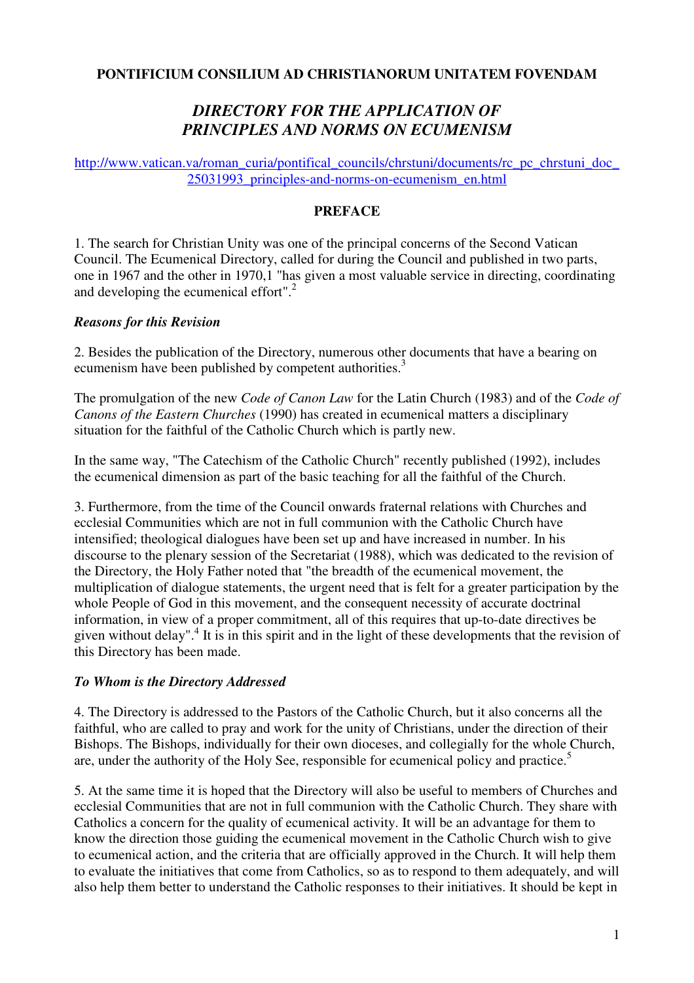## **PONTIFICIUM CONSILIUM AD CHRISTIANORUM UNITATEM FOVENDAM**

# *DIRECTORY FOR THE APPLICATION OF PRINCIPLES AND NORMS ON ECUMENISM*

http://www.vatican.va/roman\_curia/pontifical\_councils/chrstuni/documents/rc\_pc\_chrstuni\_doc\_ 25031993\_principles-and-norms-on-ecumenism\_en.html

## **PREFACE**

1. The search for Christian Unity was one of the principal concerns of the Second Vatican Council. The Ecumenical Directory, called for during the Council and published in two parts, one in 1967 and the other in 1970,1 "has given a most valuable service in directing, coordinating and developing the ecumenical effort".<sup>2</sup>

## *Reasons for this Revision*

2. Besides the publication of the Directory, numerous other documents that have a bearing on ecumenism have been published by competent authorities.<sup>3</sup>

The promulgation of the new *Code of Canon Law* for the Latin Church (1983) and of the *Code of Canons of the Eastern Churches* (1990) has created in ecumenical matters a disciplinary situation for the faithful of the Catholic Church which is partly new.

In the same way, "The Catechism of the Catholic Church" recently published (1992), includes the ecumenical dimension as part of the basic teaching for all the faithful of the Church.

3. Furthermore, from the time of the Council onwards fraternal relations with Churches and ecclesial Communities which are not in full communion with the Catholic Church have intensified; theological dialogues have been set up and have increased in number. In his discourse to the plenary session of the Secretariat (1988), which was dedicated to the revision of the Directory, the Holy Father noted that "the breadth of the ecumenical movement, the multiplication of dialogue statements, the urgent need that is felt for a greater participation by the whole People of God in this movement, and the consequent necessity of accurate doctrinal information, in view of a proper commitment, all of this requires that up-to-date directives be given without delay".<sup>4</sup> It is in this spirit and in the light of these developments that the revision of this Directory has been made.

# *To Whom is the Directory Addressed*

4. The Directory is addressed to the Pastors of the Catholic Church, but it also concerns all the faithful, who are called to pray and work for the unity of Christians, under the direction of their Bishops. The Bishops, individually for their own dioceses, and collegially for the whole Church, are, under the authority of the Holy See, responsible for ecumenical policy and practice.<sup>5</sup>

5. At the same time it is hoped that the Directory will also be useful to members of Churches and ecclesial Communities that are not in full communion with the Catholic Church. They share with Catholics a concern for the quality of ecumenical activity. It will be an advantage for them to know the direction those guiding the ecumenical movement in the Catholic Church wish to give to ecumenical action, and the criteria that are officially approved in the Church. It will help them to evaluate the initiatives that come from Catholics, so as to respond to them adequately, and will also help them better to understand the Catholic responses to their initiatives. It should be kept in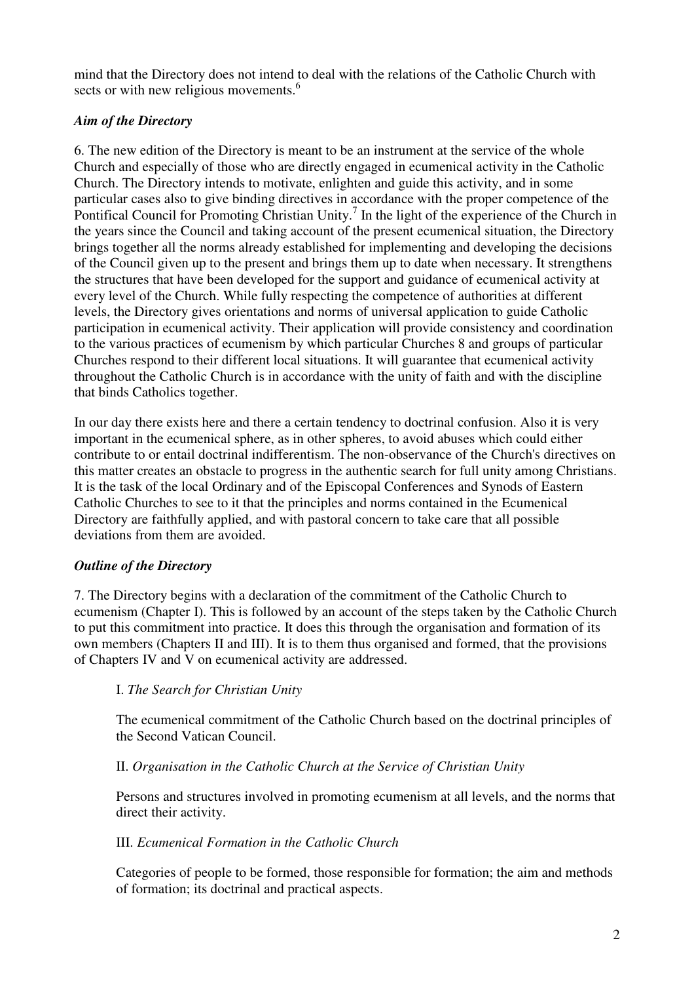mind that the Directory does not intend to deal with the relations of the Catholic Church with sects or with new religious movements.<sup>6</sup>

# *Aim of the Directory*

6. The new edition of the Directory is meant to be an instrument at the service of the whole Church and especially of those who are directly engaged in ecumenical activity in the Catholic Church. The Directory intends to motivate, enlighten and guide this activity, and in some particular cases also to give binding directives in accordance with the proper competence of the Pontifical Council for Promoting Christian Unity.<sup>7</sup> In the light of the experience of the Church in the years since the Council and taking account of the present ecumenical situation, the Directory brings together all the norms already established for implementing and developing the decisions of the Council given up to the present and brings them up to date when necessary. It strengthens the structures that have been developed for the support and guidance of ecumenical activity at every level of the Church. While fully respecting the competence of authorities at different levels, the Directory gives orientations and norms of universal application to guide Catholic participation in ecumenical activity. Their application will provide consistency and coordination to the various practices of ecumenism by which particular Churches 8 and groups of particular Churches respond to their different local situations. It will guarantee that ecumenical activity throughout the Catholic Church is in accordance with the unity of faith and with the discipline that binds Catholics together.

In our day there exists here and there a certain tendency to doctrinal confusion. Also it is very important in the ecumenical sphere, as in other spheres, to avoid abuses which could either contribute to or entail doctrinal indifferentism. The non-observance of the Church's directives on this matter creates an obstacle to progress in the authentic search for full unity among Christians. It is the task of the local Ordinary and of the Episcopal Conferences and Synods of Eastern Catholic Churches to see to it that the principles and norms contained in the Ecumenical Directory are faithfully applied, and with pastoral concern to take care that all possible deviations from them are avoided.

# *Outline of the Directory*

7. The Directory begins with a declaration of the commitment of the Catholic Church to ecumenism (Chapter I). This is followed by an account of the steps taken by the Catholic Church to put this commitment into practice. It does this through the organisation and formation of its own members (Chapters II and III). It is to them thus organised and formed, that the provisions of Chapters IV and V on ecumenical activity are addressed.

# I. *The Search for Christian Unity*

The ecumenical commitment of the Catholic Church based on the doctrinal principles of the Second Vatican Council.

## II. *Organisation in the Catholic Church at the Service of Christian Unity*

Persons and structures involved in promoting ecumenism at all levels, and the norms that direct their activity.

## III. *Ecumenical Formation in the Catholic Church*

Categories of people to be formed, those responsible for formation; the aim and methods of formation; its doctrinal and practical aspects.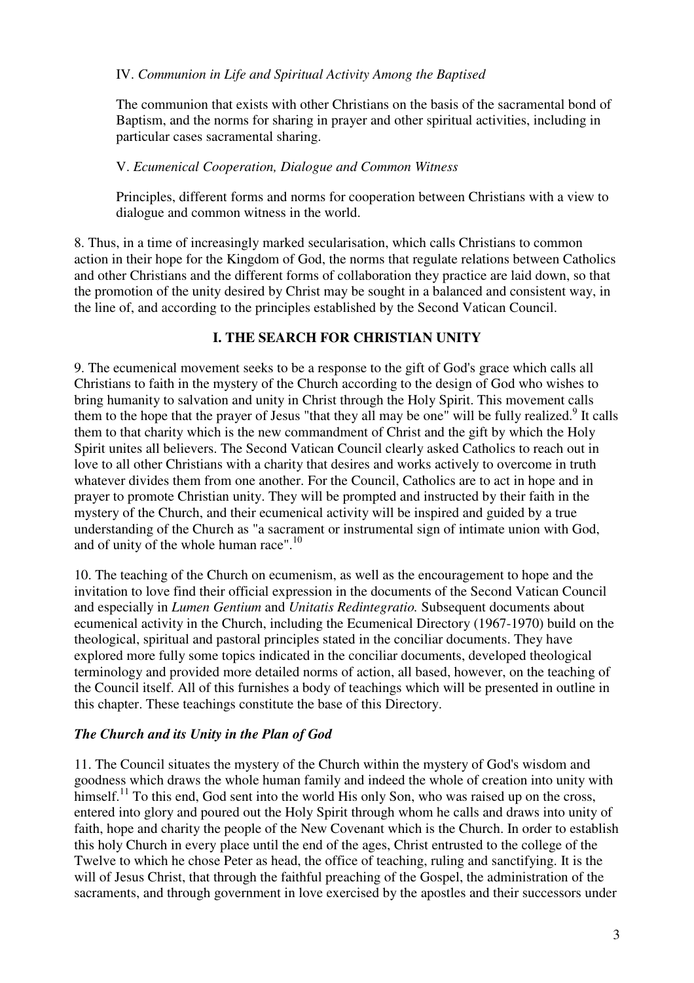### IV. *Communion in Life and Spiritual Activity Among the Baptised*

The communion that exists with other Christians on the basis of the sacramental bond of Baptism, and the norms for sharing in prayer and other spiritual activities, including in particular cases sacramental sharing.

### V. *Ecumenical Cooperation, Dialogue and Common Witness*

Principles, different forms and norms for cooperation between Christians with a view to dialogue and common witness in the world.

8. Thus, in a time of increasingly marked secularisation, which calls Christians to common action in their hope for the Kingdom of God, the norms that regulate relations between Catholics and other Christians and the different forms of collaboration they practice are laid down, so that the promotion of the unity desired by Christ may be sought in a balanced and consistent way, in the line of, and according to the principles established by the Second Vatican Council.

## **I. THE SEARCH FOR CHRISTIAN UNITY**

9. The ecumenical movement seeks to be a response to the gift of God's grace which calls all Christians to faith in the mystery of the Church according to the design of God who wishes to bring humanity to salvation and unity in Christ through the Holy Spirit. This movement calls them to the hope that the prayer of Jesus "that they all may be one" will be fully realized.<sup>9</sup> It calls them to that charity which is the new commandment of Christ and the gift by which the Holy Spirit unites all believers. The Second Vatican Council clearly asked Catholics to reach out in love to all other Christians with a charity that desires and works actively to overcome in truth whatever divides them from one another. For the Council, Catholics are to act in hope and in prayer to promote Christian unity. They will be prompted and instructed by their faith in the mystery of the Church, and their ecumenical activity will be inspired and guided by a true understanding of the Church as "a sacrament or instrumental sign of intimate union with God, and of unity of the whole human race".<sup>10</sup>

10. The teaching of the Church on ecumenism, as well as the encouragement to hope and the invitation to love find their official expression in the documents of the Second Vatican Council and especially in *Lumen Gentium* and *Unitatis Redintegratio.* Subsequent documents about ecumenical activity in the Church, including the Ecumenical Directory (1967-1970) build on the theological, spiritual and pastoral principles stated in the conciliar documents. They have explored more fully some topics indicated in the conciliar documents, developed theological terminology and provided more detailed norms of action, all based, however, on the teaching of the Council itself. All of this furnishes a body of teachings which will be presented in outline in this chapter. These teachings constitute the base of this Directory.

## *The Church and its Unity in the Plan of God*

11. The Council situates the mystery of the Church within the mystery of God's wisdom and goodness which draws the whole human family and indeed the whole of creation into unity with himself.<sup>11</sup> To this end, God sent into the world His only Son, who was raised up on the cross, entered into glory and poured out the Holy Spirit through whom he calls and draws into unity of faith, hope and charity the people of the New Covenant which is the Church. In order to establish this holy Church in every place until the end of the ages, Christ entrusted to the college of the Twelve to which he chose Peter as head, the office of teaching, ruling and sanctifying. It is the will of Jesus Christ, that through the faithful preaching of the Gospel, the administration of the sacraments, and through government in love exercised by the apostles and their successors under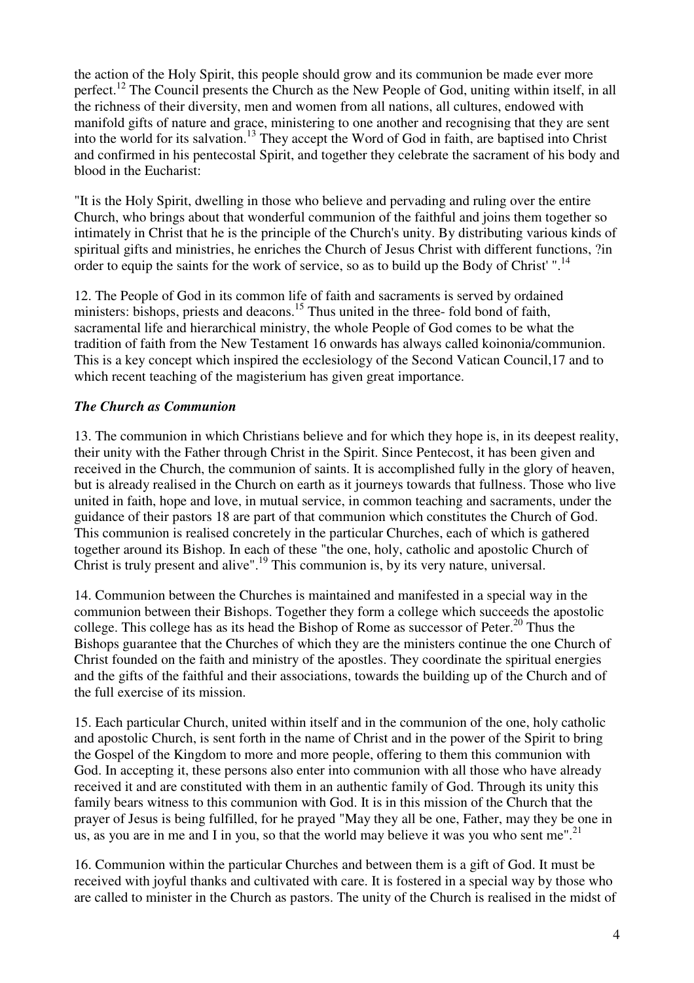the action of the Holy Spirit, this people should grow and its communion be made ever more perfect.<sup>12</sup> The Council presents the Church as the New People of God, uniting within itself, in all the richness of their diversity, men and women from all nations, all cultures, endowed with manifold gifts of nature and grace, ministering to one another and recognising that they are sent into the world for its salvation.<sup>13</sup> They accept the Word of God in faith, are baptised into Christ and confirmed in his pentecostal Spirit, and together they celebrate the sacrament of his body and blood in the Eucharist:

"It is the Holy Spirit, dwelling in those who believe and pervading and ruling over the entire Church, who brings about that wonderful communion of the faithful and joins them together so intimately in Christ that he is the principle of the Church's unity. By distributing various kinds of spiritual gifts and ministries, he enriches the Church of Jesus Christ with different functions, ?in order to equip the saints for the work of service, so as to build up the Body of Christ'".<sup>14</sup>

12. The People of God in its common life of faith and sacraments is served by ordained ministers: bishops, priests and deacons.<sup>15</sup> Thus united in the three- fold bond of faith, sacramental life and hierarchical ministry, the whole People of God comes to be what the tradition of faith from the New Testament 16 onwards has always called koinonia/communion. This is a key concept which inspired the ecclesiology of the Second Vatican Council,17 and to which recent teaching of the magisterium has given great importance.

# *The Church as Communion*

13. The communion in which Christians believe and for which they hope is, in its deepest reality, their unity with the Father through Christ in the Spirit. Since Pentecost, it has been given and received in the Church, the communion of saints. It is accomplished fully in the glory of heaven, but is already realised in the Church on earth as it journeys towards that fullness. Those who live united in faith, hope and love, in mutual service, in common teaching and sacraments, under the guidance of their pastors 18 are part of that communion which constitutes the Church of God. This communion is realised concretely in the particular Churches, each of which is gathered together around its Bishop. In each of these "the one, holy, catholic and apostolic Church of Christ is truly present and alive".<sup>19</sup> This communion is, by its very nature, universal.

14. Communion between the Churches is maintained and manifested in a special way in the communion between their Bishops. Together they form a college which succeeds the apostolic college. This college has as its head the Bishop of Rome as successor of Peter.<sup>20</sup> Thus the Bishops guarantee that the Churches of which they are the ministers continue the one Church of Christ founded on the faith and ministry of the apostles. They coordinate the spiritual energies and the gifts of the faithful and their associations, towards the building up of the Church and of the full exercise of its mission.

15. Each particular Church, united within itself and in the communion of the one, holy catholic and apostolic Church, is sent forth in the name of Christ and in the power of the Spirit to bring the Gospel of the Kingdom to more and more people, offering to them this communion with God. In accepting it, these persons also enter into communion with all those who have already received it and are constituted with them in an authentic family of God. Through its unity this family bears witness to this communion with God. It is in this mission of the Church that the prayer of Jesus is being fulfilled, for he prayed "May they all be one, Father, may they be one in us, as you are in me and I in you, so that the world may believe it was you who sent me".<sup>21</sup>

16. Communion within the particular Churches and between them is a gift of God. It must be received with joyful thanks and cultivated with care. It is fostered in a special way by those who are called to minister in the Church as pastors. The unity of the Church is realised in the midst of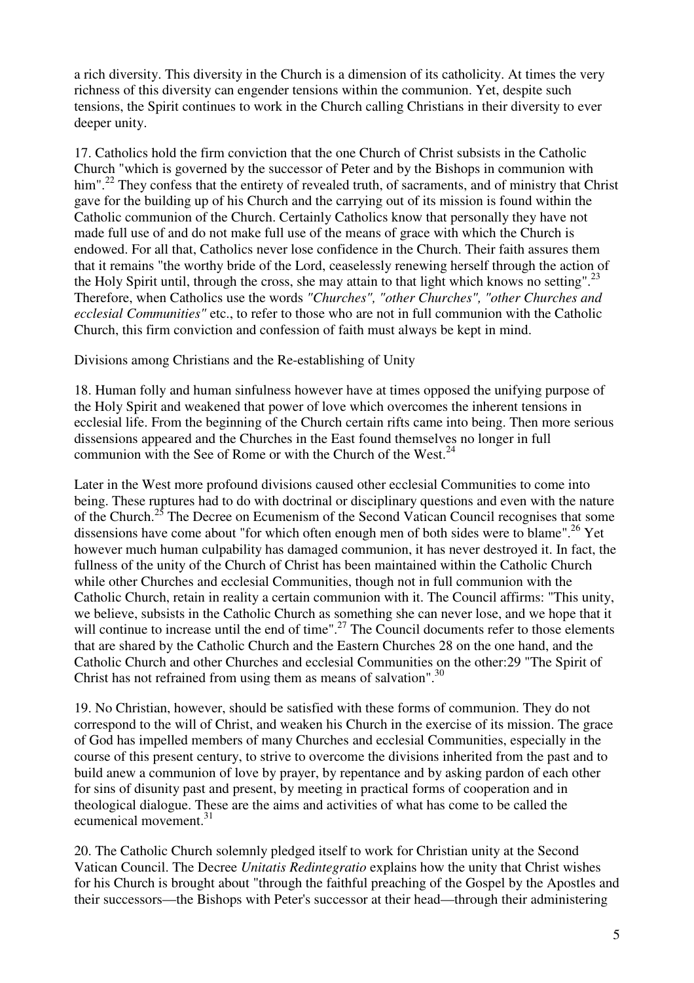a rich diversity. This diversity in the Church is a dimension of its catholicity. At times the very richness of this diversity can engender tensions within the communion. Yet, despite such tensions, the Spirit continues to work in the Church calling Christians in their diversity to ever deeper unity.

17. Catholics hold the firm conviction that the one Church of Christ subsists in the Catholic Church "which is governed by the successor of Peter and by the Bishops in communion with him".<sup>22</sup> They confess that the entirety of revealed truth, of sacraments, and of ministry that Christ gave for the building up of his Church and the carrying out of its mission is found within the Catholic communion of the Church. Certainly Catholics know that personally they have not made full use of and do not make full use of the means of grace with which the Church is endowed. For all that, Catholics never lose confidence in the Church. Their faith assures them that it remains "the worthy bride of the Lord, ceaselessly renewing herself through the action of the Holy Spirit until, through the cross, she may attain to that light which knows no setting".<sup>23</sup> Therefore, when Catholics use the words *"Churches", "other Churches", "other Churches and ecclesial Communities"* etc., to refer to those who are not in full communion with the Catholic Church, this firm conviction and confession of faith must always be kept in mind.

Divisions among Christians and the Re-establishing of Unity

18. Human folly and human sinfulness however have at times opposed the unifying purpose of the Holy Spirit and weakened that power of love which overcomes the inherent tensions in ecclesial life. From the beginning of the Church certain rifts came into being. Then more serious dissensions appeared and the Churches in the East found themselves no longer in full communion with the See of Rome or with the Church of the West. $^{24}$ 

Later in the West more profound divisions caused other ecclesial Communities to come into being. These ruptures had to do with doctrinal or disciplinary questions and even with the nature of the Church.<sup>25</sup> The Decree on Ecumenism of the Second Vatican Council recognises that some dissensions have come about "for which often enough men of both sides were to blame".<sup>26</sup> Yet however much human culpability has damaged communion, it has never destroyed it. In fact, the fullness of the unity of the Church of Christ has been maintained within the Catholic Church while other Churches and ecclesial Communities, though not in full communion with the Catholic Church, retain in reality a certain communion with it. The Council affirms: "This unity, we believe, subsists in the Catholic Church as something she can never lose, and we hope that it will continue to increase until the end of time".<sup>27</sup> The Council documents refer to those elements that are shared by the Catholic Church and the Eastern Churches 28 on the one hand, and the Catholic Church and other Churches and ecclesial Communities on the other:29 "The Spirit of Christ has not refrained from using them as means of salvation". $^{30}$ 

19. No Christian, however, should be satisfied with these forms of communion. They do not correspond to the will of Christ, and weaken his Church in the exercise of its mission. The grace of God has impelled members of many Churches and ecclesial Communities, especially in the course of this present century, to strive to overcome the divisions inherited from the past and to build anew a communion of love by prayer, by repentance and by asking pardon of each other for sins of disunity past and present, by meeting in practical forms of cooperation and in theological dialogue. These are the aims and activities of what has come to be called the ecumenical movement.<sup>31</sup>

20. The Catholic Church solemnly pledged itself to work for Christian unity at the Second Vatican Council. The Decree *Unitatis Redintegratio* explains how the unity that Christ wishes for his Church is brought about "through the faithful preaching of the Gospel by the Apostles and their successors—the Bishops with Peter's successor at their head—through their administering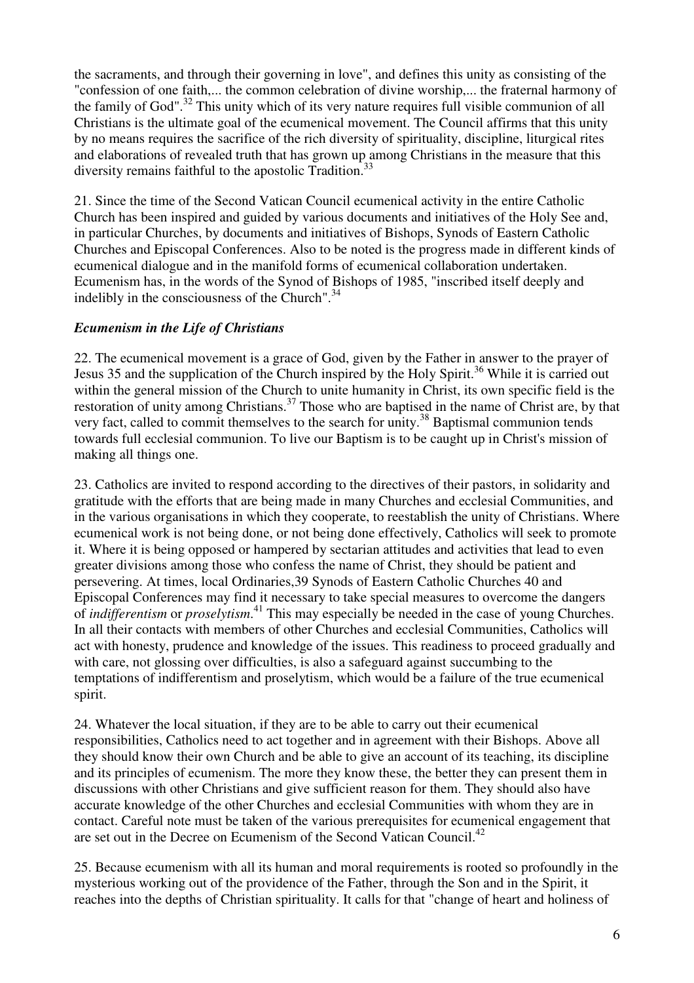the sacraments, and through their governing in love", and defines this unity as consisting of the "confession of one faith,... the common celebration of divine worship,... the fraternal harmony of the family of God".<sup>32</sup> This unity which of its very nature requires full visible communion of all Christians is the ultimate goal of the ecumenical movement. The Council affirms that this unity by no means requires the sacrifice of the rich diversity of spirituality, discipline, liturgical rites and elaborations of revealed truth that has grown up among Christians in the measure that this diversity remains faithful to the apostolic Tradition.<sup>33</sup>

21. Since the time of the Second Vatican Council ecumenical activity in the entire Catholic Church has been inspired and guided by various documents and initiatives of the Holy See and, in particular Churches, by documents and initiatives of Bishops, Synods of Eastern Catholic Churches and Episcopal Conferences. Also to be noted is the progress made in different kinds of ecumenical dialogue and in the manifold forms of ecumenical collaboration undertaken. Ecumenism has, in the words of the Synod of Bishops of 1985, "inscribed itself deeply and indelibly in the consciousness of the Church". $34$ 

## *Ecumenism in the Life of Christians*

22. The ecumenical movement is a grace of God, given by the Father in answer to the prayer of Jesus 35 and the supplication of the Church inspired by the Holy Spirit.<sup>36</sup> While it is carried out within the general mission of the Church to unite humanity in Christ, its own specific field is the restoration of unity among Christians.<sup>37</sup> Those who are baptised in the name of Christ are, by that very fact, called to commit themselves to the search for unity.<sup>38</sup> Baptismal communion tends towards full ecclesial communion. To live our Baptism is to be caught up in Christ's mission of making all things one.

23. Catholics are invited to respond according to the directives of their pastors, in solidarity and gratitude with the efforts that are being made in many Churches and ecclesial Communities, and in the various organisations in which they cooperate, to reestablish the unity of Christians. Where ecumenical work is not being done, or not being done effectively, Catholics will seek to promote it. Where it is being opposed or hampered by sectarian attitudes and activities that lead to even greater divisions among those who confess the name of Christ, they should be patient and persevering. At times, local Ordinaries,39 Synods of Eastern Catholic Churches 40 and Episcopal Conferences may find it necessary to take special measures to overcome the dangers of *indifferentism* or *proselytism*. <sup>41</sup> This may especially be needed in the case of young Churches. In all their contacts with members of other Churches and ecclesial Communities, Catholics will act with honesty, prudence and knowledge of the issues. This readiness to proceed gradually and with care, not glossing over difficulties, is also a safeguard against succumbing to the temptations of indifferentism and proselytism, which would be a failure of the true ecumenical spirit.

24. Whatever the local situation, if they are to be able to carry out their ecumenical responsibilities, Catholics need to act together and in agreement with their Bishops. Above all they should know their own Church and be able to give an account of its teaching, its discipline and its principles of ecumenism. The more they know these, the better they can present them in discussions with other Christians and give sufficient reason for them. They should also have accurate knowledge of the other Churches and ecclesial Communities with whom they are in contact. Careful note must be taken of the various prerequisites for ecumenical engagement that are set out in the Decree on Ecumenism of the Second Vatican Council.<sup>42</sup>

25. Because ecumenism with all its human and moral requirements is rooted so profoundly in the mysterious working out of the providence of the Father, through the Son and in the Spirit, it reaches into the depths of Christian spirituality. It calls for that "change of heart and holiness of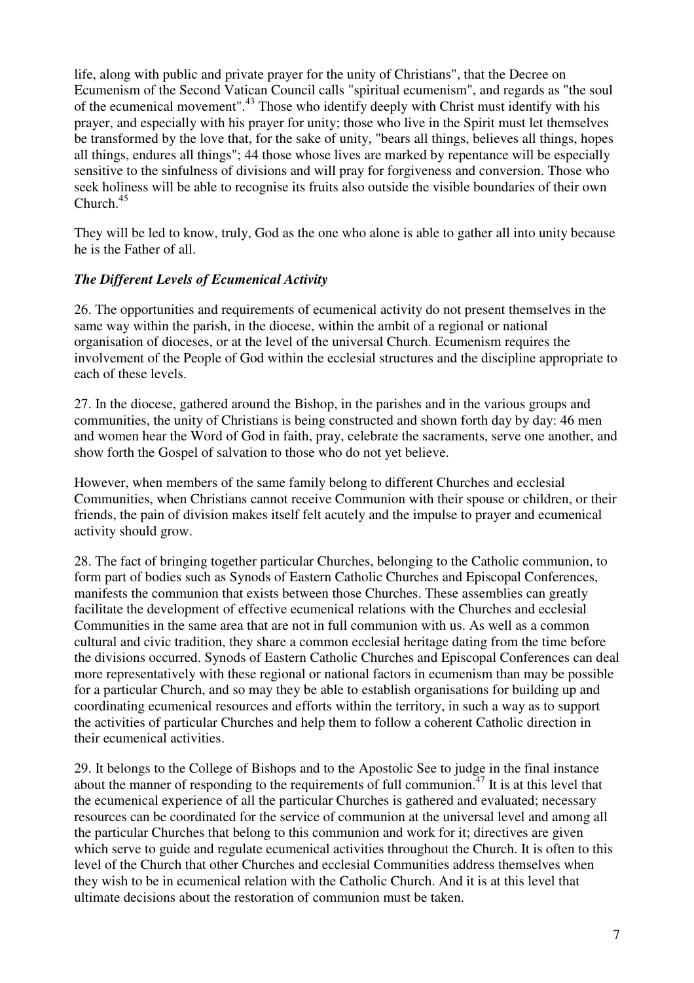life, along with public and private prayer for the unity of Christians", that the Decree on Ecumenism of the Second Vatican Council calls "spiritual ecumenism", and regards as "the soul of the ecumenical movement".<sup>43</sup> Those who identify deeply with Christ must identify with his prayer, and especially with his prayer for unity; those who live in the Spirit must let themselves be transformed by the love that, for the sake of unity, "bears all things, believes all things, hopes all things, endures all things"; 44 those whose lives are marked by repentance will be especially sensitive to the sinfulness of divisions and will pray for forgiveness and conversion. Those who seek holiness will be able to recognise its fruits also outside the visible boundaries of their own  $Church<sup>45</sup>$ 

They will be led to know, truly, God as the one who alone is able to gather all into unity because he is the Father of all.

## *The Different Levels of Ecumenical Activity*

26. The opportunities and requirements of ecumenical activity do not present themselves in the same way within the parish, in the diocese, within the ambit of a regional or national organisation of dioceses, or at the level of the universal Church. Ecumenism requires the involvement of the People of God within the ecclesial structures and the discipline appropriate to each of these levels.

27. In the diocese, gathered around the Bishop, in the parishes and in the various groups and communities, the unity of Christians is being constructed and shown forth day by day: 46 men and women hear the Word of God in faith, pray, celebrate the sacraments, serve one another, and show forth the Gospel of salvation to those who do not yet believe.

However, when members of the same family belong to different Churches and ecclesial Communities, when Christians cannot receive Communion with their spouse or children, or their friends, the pain of division makes itself felt acutely and the impulse to prayer and ecumenical activity should grow.

28. The fact of bringing together particular Churches, belonging to the Catholic communion, to form part of bodies such as Synods of Eastern Catholic Churches and Episcopal Conferences, manifests the communion that exists between those Churches. These assemblies can greatly facilitate the development of effective ecumenical relations with the Churches and ecclesial Communities in the same area that are not in full communion with us. As well as a common cultural and civic tradition, they share a common ecclesial heritage dating from the time before the divisions occurred. Synods of Eastern Catholic Churches and Episcopal Conferences can deal more representatively with these regional or national factors in ecumenism than may be possible for a particular Church, and so may they be able to establish organisations for building up and coordinating ecumenical resources and efforts within the territory, in such a way as to support the activities of particular Churches and help them to follow a coherent Catholic direction in their ecumenical activities.

29. It belongs to the College of Bishops and to the Apostolic See to judge in the final instance about the manner of responding to the requirements of full communion.<sup> $47$ </sup> It is at this level that the ecumenical experience of all the particular Churches is gathered and evaluated; necessary resources can be coordinated for the service of communion at the universal level and among all the particular Churches that belong to this communion and work for it; directives are given which serve to guide and regulate ecumenical activities throughout the Church. It is often to this level of the Church that other Churches and ecclesial Communities address themselves when they wish to be in ecumenical relation with the Catholic Church. And it is at this level that ultimate decisions about the restoration of communion must be taken.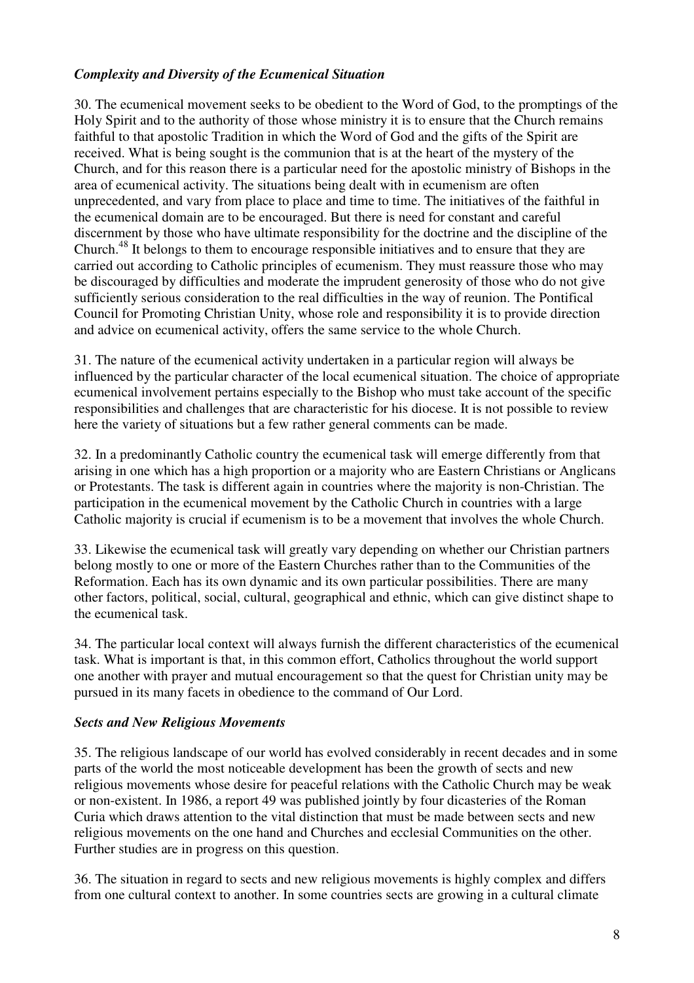## *Complexity and Diversity of the Ecumenical Situation*

30. The ecumenical movement seeks to be obedient to the Word of God, to the promptings of the Holy Spirit and to the authority of those whose ministry it is to ensure that the Church remains faithful to that apostolic Tradition in which the Word of God and the gifts of the Spirit are received. What is being sought is the communion that is at the heart of the mystery of the Church, and for this reason there is a particular need for the apostolic ministry of Bishops in the area of ecumenical activity. The situations being dealt with in ecumenism are often unprecedented, and vary from place to place and time to time. The initiatives of the faithful in the ecumenical domain are to be encouraged. But there is need for constant and careful discernment by those who have ultimate responsibility for the doctrine and the discipline of the Church.<sup>48</sup> It belongs to them to encourage responsible initiatives and to ensure that they are carried out according to Catholic principles of ecumenism. They must reassure those who may be discouraged by difficulties and moderate the imprudent generosity of those who do not give sufficiently serious consideration to the real difficulties in the way of reunion. The Pontifical Council for Promoting Christian Unity, whose role and responsibility it is to provide direction and advice on ecumenical activity, offers the same service to the whole Church.

31. The nature of the ecumenical activity undertaken in a particular region will always be influenced by the particular character of the local ecumenical situation. The choice of appropriate ecumenical involvement pertains especially to the Bishop who must take account of the specific responsibilities and challenges that are characteristic for his diocese. It is not possible to review here the variety of situations but a few rather general comments can be made.

32. In a predominantly Catholic country the ecumenical task will emerge differently from that arising in one which has a high proportion or a majority who are Eastern Christians or Anglicans or Protestants. The task is different again in countries where the majority is non-Christian. The participation in the ecumenical movement by the Catholic Church in countries with a large Catholic majority is crucial if ecumenism is to be a movement that involves the whole Church.

33. Likewise the ecumenical task will greatly vary depending on whether our Christian partners belong mostly to one or more of the Eastern Churches rather than to the Communities of the Reformation. Each has its own dynamic and its own particular possibilities. There are many other factors, political, social, cultural, geographical and ethnic, which can give distinct shape to the ecumenical task.

34. The particular local context will always furnish the different characteristics of the ecumenical task. What is important is that, in this common effort, Catholics throughout the world support one another with prayer and mutual encouragement so that the quest for Christian unity may be pursued in its many facets in obedience to the command of Our Lord.

## *Sects and New Religious Movements*

35. The religious landscape of our world has evolved considerably in recent decades and in some parts of the world the most noticeable development has been the growth of sects and new religious movements whose desire for peaceful relations with the Catholic Church may be weak or non-existent. In 1986, a report 49 was published jointly by four dicasteries of the Roman Curia which draws attention to the vital distinction that must be made between sects and new religious movements on the one hand and Churches and ecclesial Communities on the other. Further studies are in progress on this question.

36. The situation in regard to sects and new religious movements is highly complex and differs from one cultural context to another. In some countries sects are growing in a cultural climate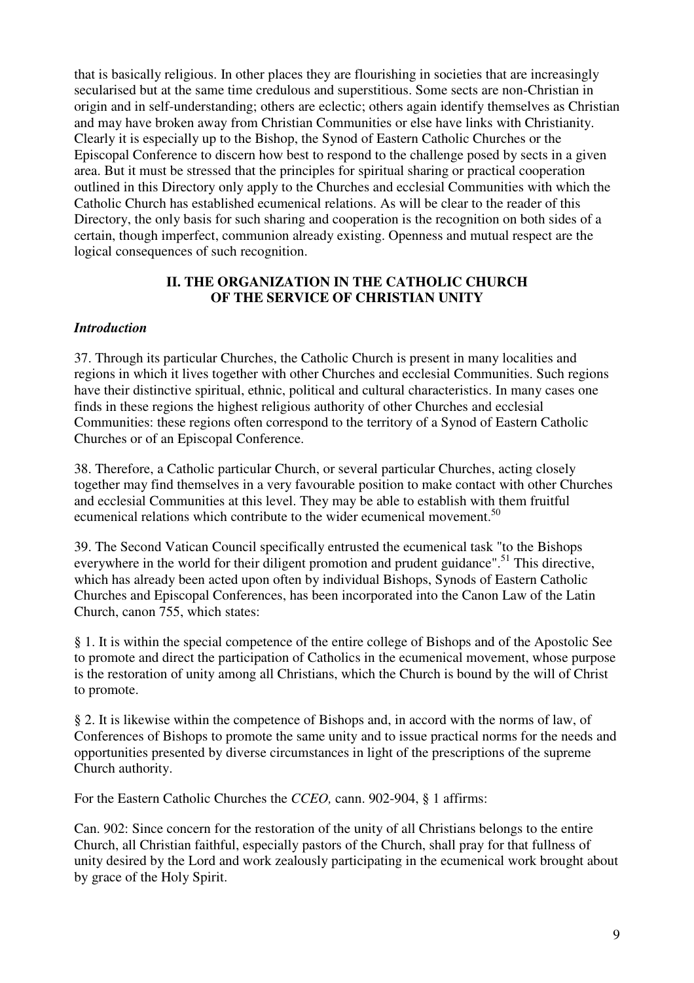that is basically religious. In other places they are flourishing in societies that are increasingly secularised but at the same time credulous and superstitious. Some sects are non-Christian in origin and in self-understanding; others are eclectic; others again identify themselves as Christian and may have broken away from Christian Communities or else have links with Christianity. Clearly it is especially up to the Bishop, the Synod of Eastern Catholic Churches or the Episcopal Conference to discern how best to respond to the challenge posed by sects in a given area. But it must be stressed that the principles for spiritual sharing or practical cooperation outlined in this Directory only apply to the Churches and ecclesial Communities with which the Catholic Church has established ecumenical relations. As will be clear to the reader of this Directory, the only basis for such sharing and cooperation is the recognition on both sides of a certain, though imperfect, communion already existing. Openness and mutual respect are the logical consequences of such recognition.

## **II. THE ORGANIZATION IN THE CATHOLIC CHURCH OF THE SERVICE OF CHRISTIAN UNITY**

## *Introduction*

37. Through its particular Churches, the Catholic Church is present in many localities and regions in which it lives together with other Churches and ecclesial Communities. Such regions have their distinctive spiritual, ethnic, political and cultural characteristics. In many cases one finds in these regions the highest religious authority of other Churches and ecclesial Communities: these regions often correspond to the territory of a Synod of Eastern Catholic Churches or of an Episcopal Conference.

38. Therefore, a Catholic particular Church, or several particular Churches, acting closely together may find themselves in a very favourable position to make contact with other Churches and ecclesial Communities at this level. They may be able to establish with them fruitful ecumenical relations which contribute to the wider ecumenical movement.<sup>50</sup>

39. The Second Vatican Council specifically entrusted the ecumenical task "to the Bishops everywhere in the world for their diligent promotion and prudent guidance".<sup>51</sup> This directive, which has already been acted upon often by individual Bishops, Synods of Eastern Catholic Churches and Episcopal Conferences, has been incorporated into the Canon Law of the Latin Church, canon 755, which states:

§ 1. It is within the special competence of the entire college of Bishops and of the Apostolic See to promote and direct the participation of Catholics in the ecumenical movement, whose purpose is the restoration of unity among all Christians, which the Church is bound by the will of Christ to promote.

§ 2. It is likewise within the competence of Bishops and, in accord with the norms of law, of Conferences of Bishops to promote the same unity and to issue practical norms for the needs and opportunities presented by diverse circumstances in light of the prescriptions of the supreme Church authority.

For the Eastern Catholic Churches the *CCEO,* cann. 902-904, § 1 affirms:

Can. 902: Since concern for the restoration of the unity of all Christians belongs to the entire Church, all Christian faithful, especially pastors of the Church, shall pray for that fullness of unity desired by the Lord and work zealously participating in the ecumenical work brought about by grace of the Holy Spirit.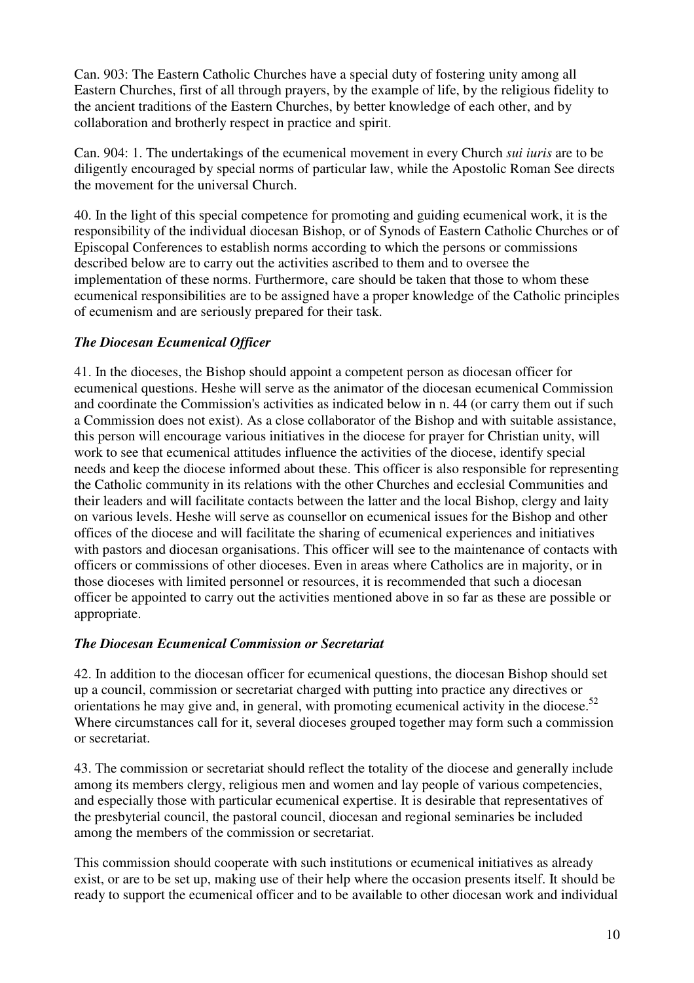Can. 903: The Eastern Catholic Churches have a special duty of fostering unity among all Eastern Churches, first of all through prayers, by the example of life, by the religious fidelity to the ancient traditions of the Eastern Churches, by better knowledge of each other, and by collaboration and brotherly respect in practice and spirit.

Can. 904: 1. The undertakings of the ecumenical movement in every Church *sui iuris* are to be diligently encouraged by special norms of particular law, while the Apostolic Roman See directs the movement for the universal Church.

40. In the light of this special competence for promoting and guiding ecumenical work, it is the responsibility of the individual diocesan Bishop, or of Synods of Eastern Catholic Churches or of Episcopal Conferences to establish norms according to which the persons or commissions described below are to carry out the activities ascribed to them and to oversee the implementation of these norms. Furthermore, care should be taken that those to whom these ecumenical responsibilities are to be assigned have a proper knowledge of the Catholic principles of ecumenism and are seriously prepared for their task.

# *The Diocesan Ecumenical Officer*

41. In the dioceses, the Bishop should appoint a competent person as diocesan officer for ecumenical questions. Heshe will serve as the animator of the diocesan ecumenical Commission and coordinate the Commission's activities as indicated below in n. 44 (or carry them out if such a Commission does not exist). As a close collaborator of the Bishop and with suitable assistance, this person will encourage various initiatives in the diocese for prayer for Christian unity, will work to see that ecumenical attitudes influence the activities of the diocese, identify special needs and keep the diocese informed about these. This officer is also responsible for representing the Catholic community in its relations with the other Churches and ecclesial Communities and their leaders and will facilitate contacts between the latter and the local Bishop, clergy and laity on various levels. Heshe will serve as counsellor on ecumenical issues for the Bishop and other offices of the diocese and will facilitate the sharing of ecumenical experiences and initiatives with pastors and diocesan organisations. This officer will see to the maintenance of contacts with officers or commissions of other dioceses. Even in areas where Catholics are in majority, or in those dioceses with limited personnel or resources, it is recommended that such a diocesan officer be appointed to carry out the activities mentioned above in so far as these are possible or appropriate.

# *The Diocesan Ecumenical Commission or Secretariat*

42. In addition to the diocesan officer for ecumenical questions, the diocesan Bishop should set up a council, commission or secretariat charged with putting into practice any directives or orientations he may give and, in general, with promoting ecumenical activity in the diocese.<sup>52</sup> Where circumstances call for it, several dioceses grouped together may form such a commission or secretariat.

43. The commission or secretariat should reflect the totality of the diocese and generally include among its members clergy, religious men and women and lay people of various competencies, and especially those with particular ecumenical expertise. It is desirable that representatives of the presbyterial council, the pastoral council, diocesan and regional seminaries be included among the members of the commission or secretariat.

This commission should cooperate with such institutions or ecumenical initiatives as already exist, or are to be set up, making use of their help where the occasion presents itself. It should be ready to support the ecumenical officer and to be available to other diocesan work and individual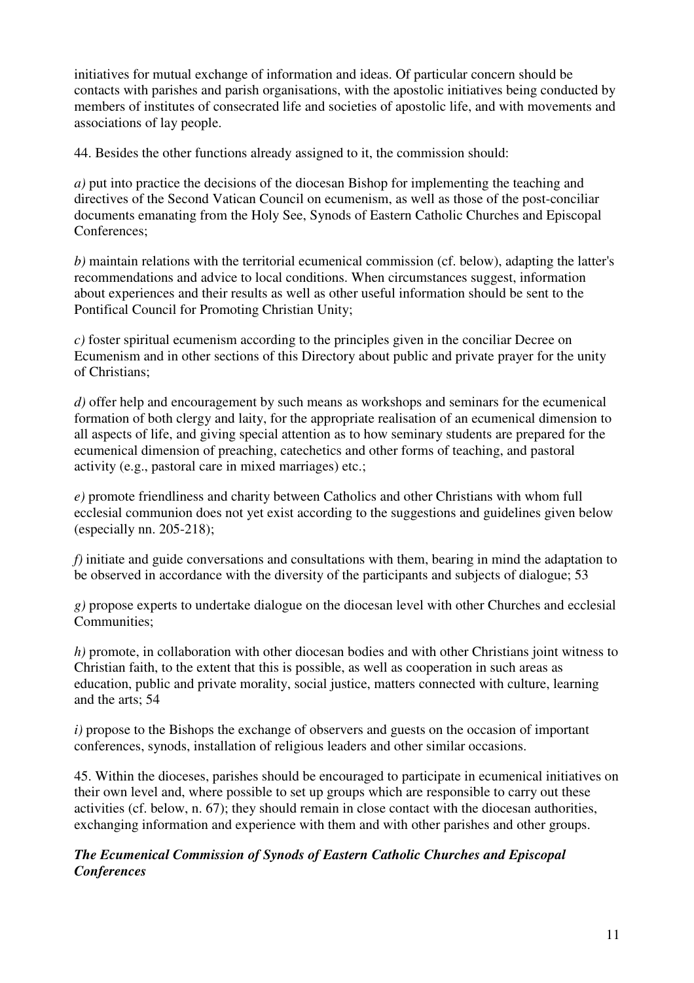initiatives for mutual exchange of information and ideas. Of particular concern should be contacts with parishes and parish organisations, with the apostolic initiatives being conducted by members of institutes of consecrated life and societies of apostolic life, and with movements and associations of lay people.

44. Besides the other functions already assigned to it, the commission should:

*a)* put into practice the decisions of the diocesan Bishop for implementing the teaching and directives of the Second Vatican Council on ecumenism, as well as those of the post-conciliar documents emanating from the Holy See, Synods of Eastern Catholic Churches and Episcopal Conferences;

*b)* maintain relations with the territorial ecumenical commission (cf. below), adapting the latter's recommendations and advice to local conditions. When circumstances suggest, information about experiences and their results as well as other useful information should be sent to the Pontifical Council for Promoting Christian Unity;

*c)* foster spiritual ecumenism according to the principles given in the conciliar Decree on Ecumenism and in other sections of this Directory about public and private prayer for the unity of Christians;

*d)* offer help and encouragement by such means as workshops and seminars for the ecumenical formation of both clergy and laity, for the appropriate realisation of an ecumenical dimension to all aspects of life, and giving special attention as to how seminary students are prepared for the ecumenical dimension of preaching, catechetics and other forms of teaching, and pastoral activity (e.g., pastoral care in mixed marriages) etc.;

*e)* promote friendliness and charity between Catholics and other Christians with whom full ecclesial communion does not yet exist according to the suggestions and guidelines given below (especially nn. 205-218);

*f)* initiate and guide conversations and consultations with them, bearing in mind the adaptation to be observed in accordance with the diversity of the participants and subjects of dialogue; 53

*g)* propose experts to undertake dialogue on the diocesan level with other Churches and ecclesial Communities;

*h)* promote, in collaboration with other diocesan bodies and with other Christians joint witness to Christian faith, to the extent that this is possible, as well as cooperation in such areas as education, public and private morality, social justice, matters connected with culture, learning and the arts; 54

*i)* propose to the Bishops the exchange of observers and guests on the occasion of important conferences, synods, installation of religious leaders and other similar occasions.

45. Within the dioceses, parishes should be encouraged to participate in ecumenical initiatives on their own level and, where possible to set up groups which are responsible to carry out these activities (cf. below, n. 67); they should remain in close contact with the diocesan authorities, exchanging information and experience with them and with other parishes and other groups.

## *The Ecumenical Commission of Synods of Eastern Catholic Churches and Episcopal Conferences*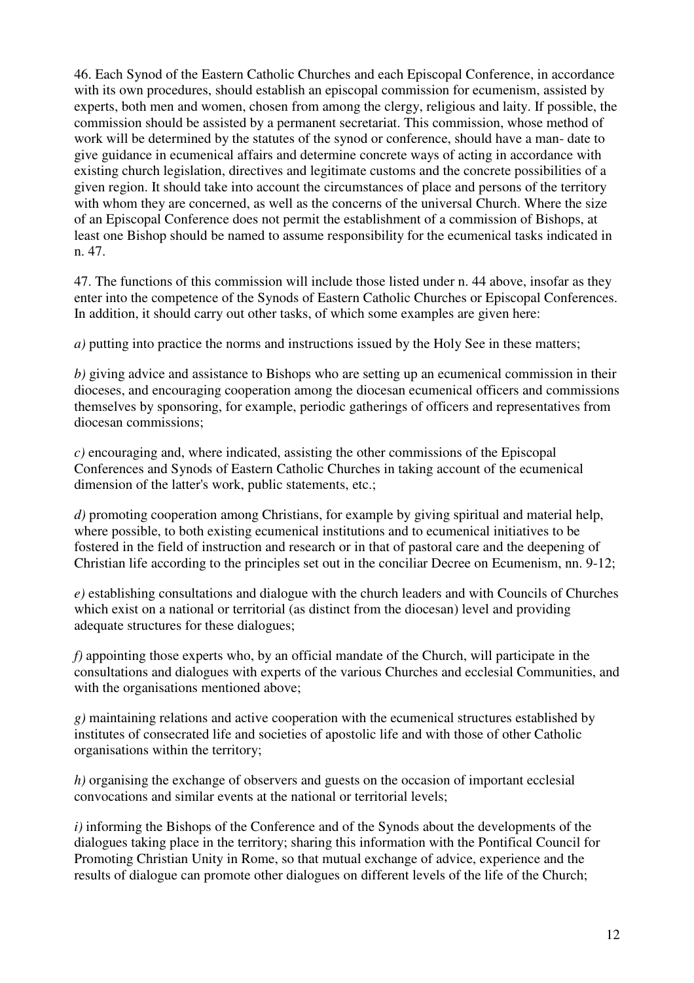46. Each Synod of the Eastern Catholic Churches and each Episcopal Conference, in accordance with its own procedures, should establish an episcopal commission for ecumenism, assisted by experts, both men and women, chosen from among the clergy, religious and laity. If possible, the commission should be assisted by a permanent secretariat. This commission, whose method of work will be determined by the statutes of the synod or conference, should have a man- date to give guidance in ecumenical affairs and determine concrete ways of acting in accordance with existing church legislation, directives and legitimate customs and the concrete possibilities of a given region. It should take into account the circumstances of place and persons of the territory with whom they are concerned, as well as the concerns of the universal Church. Where the size of an Episcopal Conference does not permit the establishment of a commission of Bishops, at least one Bishop should be named to assume responsibility for the ecumenical tasks indicated in n. 47.

47. The functions of this commission will include those listed under n. 44 above, insofar as they enter into the competence of the Synods of Eastern Catholic Churches or Episcopal Conferences. In addition, it should carry out other tasks, of which some examples are given here:

*a)* putting into practice the norms and instructions issued by the Holy See in these matters;

*b)* giving advice and assistance to Bishops who are setting up an ecumenical commission in their dioceses, and encouraging cooperation among the diocesan ecumenical officers and commissions themselves by sponsoring, for example, periodic gatherings of officers and representatives from diocesan commissions;

*c)* encouraging and, where indicated, assisting the other commissions of the Episcopal Conferences and Synods of Eastern Catholic Churches in taking account of the ecumenical dimension of the latter's work, public statements, etc.;

*d)* promoting cooperation among Christians, for example by giving spiritual and material help, where possible, to both existing ecumenical institutions and to ecumenical initiatives to be fostered in the field of instruction and research or in that of pastoral care and the deepening of Christian life according to the principles set out in the conciliar Decree on Ecumenism, nn. 9-12;

*e)* establishing consultations and dialogue with the church leaders and with Councils of Churches which exist on a national or territorial (as distinct from the diocesan) level and providing adequate structures for these dialogues;

*f)* appointing those experts who, by an official mandate of the Church, will participate in the consultations and dialogues with experts of the various Churches and ecclesial Communities, and with the organisations mentioned above;

*g)* maintaining relations and active cooperation with the ecumenical structures established by institutes of consecrated life and societies of apostolic life and with those of other Catholic organisations within the territory;

*h)* organising the exchange of observers and guests on the occasion of important ecclesial convocations and similar events at the national or territorial levels;

*i)* informing the Bishops of the Conference and of the Synods about the developments of the dialogues taking place in the territory; sharing this information with the Pontifical Council for Promoting Christian Unity in Rome, so that mutual exchange of advice, experience and the results of dialogue can promote other dialogues on different levels of the life of the Church;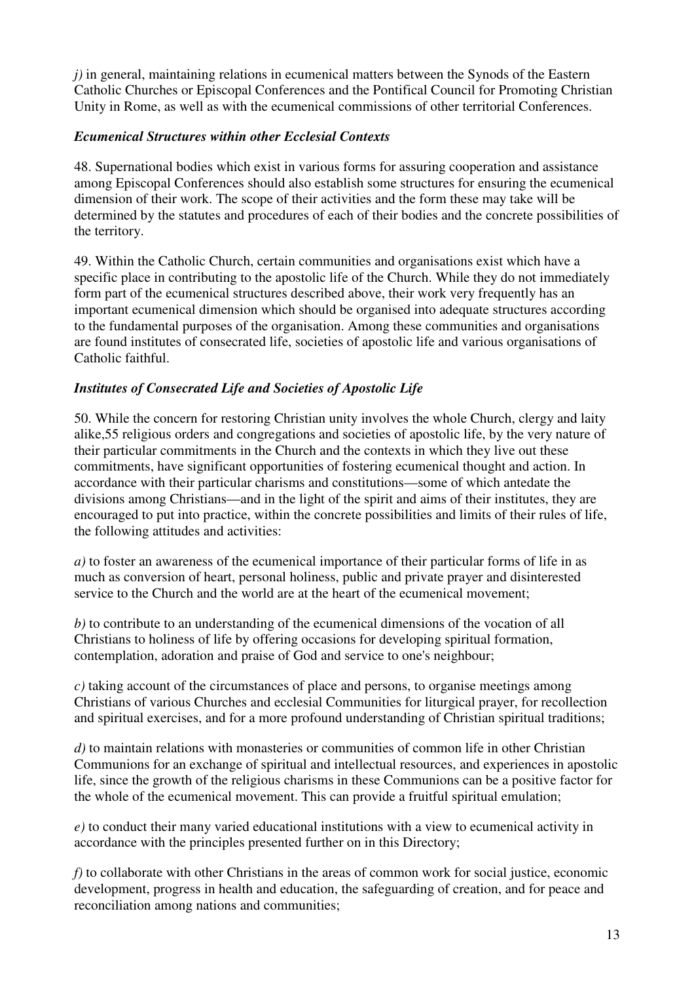*j)* in general, maintaining relations in ecumenical matters between the Synods of the Eastern Catholic Churches or Episcopal Conferences and the Pontifical Council for Promoting Christian Unity in Rome, as well as with the ecumenical commissions of other territorial Conferences.

## *Ecumenical Structures within other Ecclesial Contexts*

48. Supernational bodies which exist in various forms for assuring cooperation and assistance among Episcopal Conferences should also establish some structures for ensuring the ecumenical dimension of their work. The scope of their activities and the form these may take will be determined by the statutes and procedures of each of their bodies and the concrete possibilities of the territory.

49. Within the Catholic Church, certain communities and organisations exist which have a specific place in contributing to the apostolic life of the Church. While they do not immediately form part of the ecumenical structures described above, their work very frequently has an important ecumenical dimension which should be organised into adequate structures according to the fundamental purposes of the organisation. Among these communities and organisations are found institutes of consecrated life, societies of apostolic life and various organisations of Catholic faithful.

# *Institutes of Consecrated Life and Societies of Apostolic Life*

50. While the concern for restoring Christian unity involves the whole Church, clergy and laity alike,55 religious orders and congregations and societies of apostolic life, by the very nature of their particular commitments in the Church and the contexts in which they live out these commitments, have significant opportunities of fostering ecumenical thought and action. In accordance with their particular charisms and constitutions—some of which antedate the divisions among Christians—and in the light of the spirit and aims of their institutes, they are encouraged to put into practice, within the concrete possibilities and limits of their rules of life, the following attitudes and activities:

*a)* to foster an awareness of the ecumenical importance of their particular forms of life in as much as conversion of heart, personal holiness, public and private prayer and disinterested service to the Church and the world are at the heart of the ecumenical movement;

*b)* to contribute to an understanding of the ecumenical dimensions of the vocation of all Christians to holiness of life by offering occasions for developing spiritual formation, contemplation, adoration and praise of God and service to one's neighbour;

*c)* taking account of the circumstances of place and persons, to organise meetings among Christians of various Churches and ecclesial Communities for liturgical prayer, for recollection and spiritual exercises, and for a more profound understanding of Christian spiritual traditions;

*d)* to maintain relations with monasteries or communities of common life in other Christian Communions for an exchange of spiritual and intellectual resources, and experiences in apostolic life, since the growth of the religious charisms in these Communions can be a positive factor for the whole of the ecumenical movement. This can provide a fruitful spiritual emulation;

*e)* to conduct their many varied educational institutions with a view to ecumenical activity in accordance with the principles presented further on in this Directory;

*f)* to collaborate with other Christians in the areas of common work for social justice, economic development, progress in health and education, the safeguarding of creation, and for peace and reconciliation among nations and communities;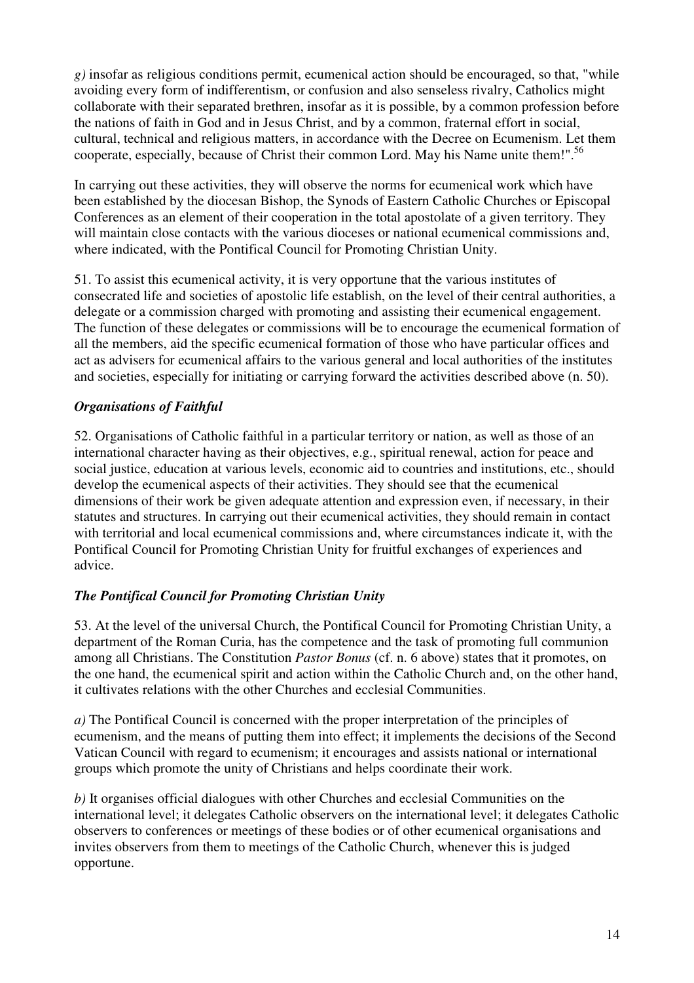*g)* insofar as religious conditions permit, ecumenical action should be encouraged, so that, "while avoiding every form of indifferentism, or confusion and also senseless rivalry, Catholics might collaborate with their separated brethren, insofar as it is possible, by a common profession before the nations of faith in God and in Jesus Christ, and by a common, fraternal effort in social, cultural, technical and religious matters, in accordance with the Decree on Ecumenism. Let them cooperate, especially, because of Christ their common Lord. May his Name unite them!".<sup>56</sup>

In carrying out these activities, they will observe the norms for ecumenical work which have been established by the diocesan Bishop, the Synods of Eastern Catholic Churches or Episcopal Conferences as an element of their cooperation in the total apostolate of a given territory. They will maintain close contacts with the various dioceses or national ecumenical commissions and, where indicated, with the Pontifical Council for Promoting Christian Unity.

51. To assist this ecumenical activity, it is very opportune that the various institutes of consecrated life and societies of apostolic life establish, on the level of their central authorities, a delegate or a commission charged with promoting and assisting their ecumenical engagement. The function of these delegates or commissions will be to encourage the ecumenical formation of all the members, aid the specific ecumenical formation of those who have particular offices and act as advisers for ecumenical affairs to the various general and local authorities of the institutes and societies, especially for initiating or carrying forward the activities described above (n. 50).

# *Organisations of Faithful*

52. Organisations of Catholic faithful in a particular territory or nation, as well as those of an international character having as their objectives, e.g., spiritual renewal, action for peace and social justice, education at various levels, economic aid to countries and institutions, etc., should develop the ecumenical aspects of their activities. They should see that the ecumenical dimensions of their work be given adequate attention and expression even, if necessary, in their statutes and structures. In carrying out their ecumenical activities, they should remain in contact with territorial and local ecumenical commissions and, where circumstances indicate it, with the Pontifical Council for Promoting Christian Unity for fruitful exchanges of experiences and advice.

# *The Pontifical Council for Promoting Christian Unity*

53. At the level of the universal Church, the Pontifical Council for Promoting Christian Unity, a department of the Roman Curia, has the competence and the task of promoting full communion among all Christians. The Constitution *Pastor Bonus* (cf. n. 6 above) states that it promotes, on the one hand, the ecumenical spirit and action within the Catholic Church and, on the other hand, it cultivates relations with the other Churches and ecclesial Communities.

*a)* The Pontifical Council is concerned with the proper interpretation of the principles of ecumenism, and the means of putting them into effect; it implements the decisions of the Second Vatican Council with regard to ecumenism; it encourages and assists national or international groups which promote the unity of Christians and helps coordinate their work.

*b)* It organises official dialogues with other Churches and ecclesial Communities on the international level; it delegates Catholic observers on the international level; it delegates Catholic observers to conferences or meetings of these bodies or of other ecumenical organisations and invites observers from them to meetings of the Catholic Church, whenever this is judged opportune.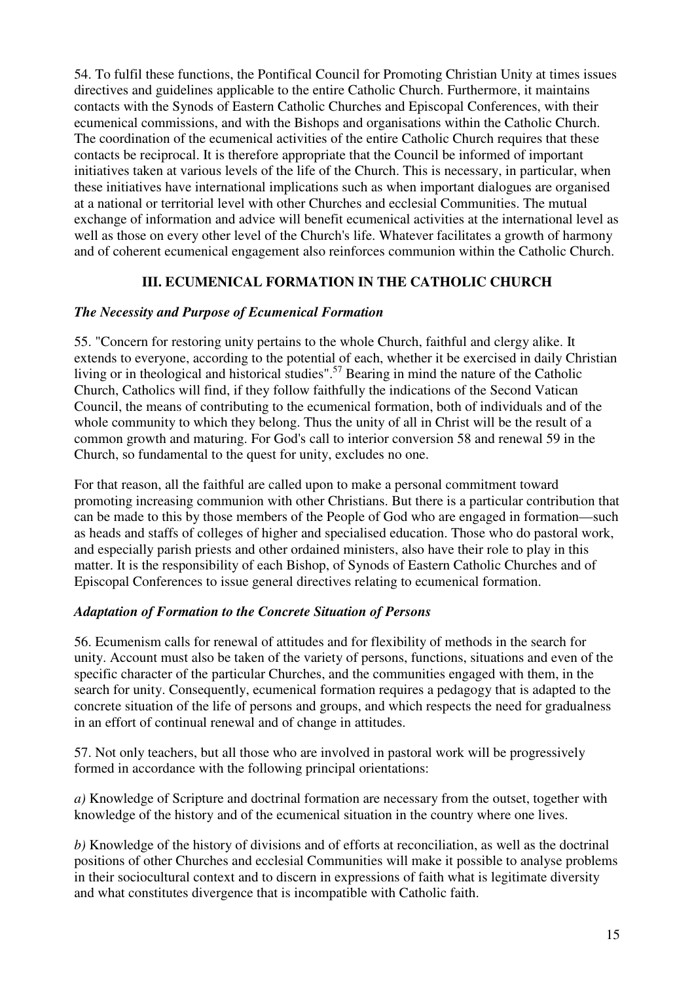54. To fulfil these functions, the Pontifical Council for Promoting Christian Unity at times issues directives and guidelines applicable to the entire Catholic Church. Furthermore, it maintains contacts with the Synods of Eastern Catholic Churches and Episcopal Conferences, with their ecumenical commissions, and with the Bishops and organisations within the Catholic Church. The coordination of the ecumenical activities of the entire Catholic Church requires that these contacts be reciprocal. It is therefore appropriate that the Council be informed of important initiatives taken at various levels of the life of the Church. This is necessary, in particular, when these initiatives have international implications such as when important dialogues are organised at a national or territorial level with other Churches and ecclesial Communities. The mutual exchange of information and advice will benefit ecumenical activities at the international level as well as those on every other level of the Church's life. Whatever facilitates a growth of harmony and of coherent ecumenical engagement also reinforces communion within the Catholic Church.

# **III. ECUMENICAL FORMATION IN THE CATHOLIC CHURCH**

## *The Necessity and Purpose of Ecumenical Formation*

55. "Concern for restoring unity pertains to the whole Church, faithful and clergy alike. It extends to everyone, according to the potential of each, whether it be exercised in daily Christian living or in theological and historical studies".<sup>57</sup> Bearing in mind the nature of the Catholic Church, Catholics will find, if they follow faithfully the indications of the Second Vatican Council, the means of contributing to the ecumenical formation, both of individuals and of the whole community to which they belong. Thus the unity of all in Christ will be the result of a common growth and maturing. For God's call to interior conversion 58 and renewal 59 in the Church, so fundamental to the quest for unity, excludes no one.

For that reason, all the faithful are called upon to make a personal commitment toward promoting increasing communion with other Christians. But there is a particular contribution that can be made to this by those members of the People of God who are engaged in formation—such as heads and staffs of colleges of higher and specialised education. Those who do pastoral work, and especially parish priests and other ordained ministers, also have their role to play in this matter. It is the responsibility of each Bishop, of Synods of Eastern Catholic Churches and of Episcopal Conferences to issue general directives relating to ecumenical formation.

## *Adaptation of Formation to the Concrete Situation of Persons*

56. Ecumenism calls for renewal of attitudes and for flexibility of methods in the search for unity. Account must also be taken of the variety of persons, functions, situations and even of the specific character of the particular Churches, and the communities engaged with them, in the search for unity. Consequently, ecumenical formation requires a pedagogy that is adapted to the concrete situation of the life of persons and groups, and which respects the need for gradualness in an effort of continual renewal and of change in attitudes.

57. Not only teachers, but all those who are involved in pastoral work will be progressively formed in accordance with the following principal orientations:

*a)* Knowledge of Scripture and doctrinal formation are necessary from the outset, together with knowledge of the history and of the ecumenical situation in the country where one lives.

*b)* Knowledge of the history of divisions and of efforts at reconciliation, as well as the doctrinal positions of other Churches and ecclesial Communities will make it possible to analyse problems in their sociocultural context and to discern in expressions of faith what is legitimate diversity and what constitutes divergence that is incompatible with Catholic faith.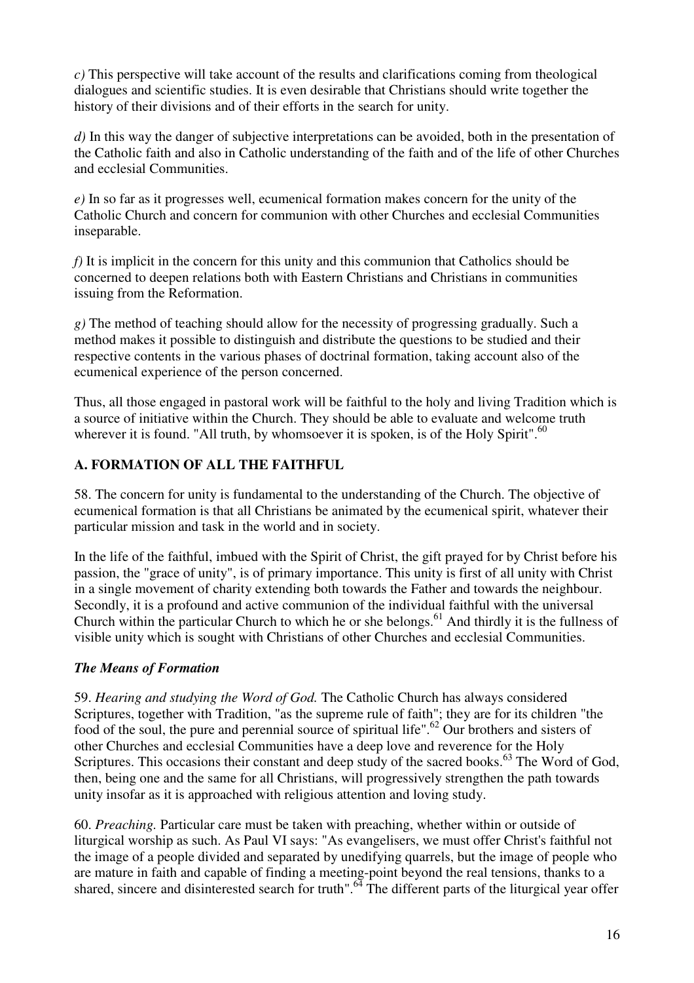*c)* This perspective will take account of the results and clarifications coming from theological dialogues and scientific studies. It is even desirable that Christians should write together the history of their divisions and of their efforts in the search for unity.

*d)* In this way the danger of subjective interpretations can be avoided, both in the presentation of the Catholic faith and also in Catholic understanding of the faith and of the life of other Churches and ecclesial Communities.

*e)* In so far as it progresses well, ecumenical formation makes concern for the unity of the Catholic Church and concern for communion with other Churches and ecclesial Communities inseparable.

*f)* It is implicit in the concern for this unity and this communion that Catholics should be concerned to deepen relations both with Eastern Christians and Christians in communities issuing from the Reformation.

*g)* The method of teaching should allow for the necessity of progressing gradually. Such a method makes it possible to distinguish and distribute the questions to be studied and their respective contents in the various phases of doctrinal formation, taking account also of the ecumenical experience of the person concerned.

Thus, all those engaged in pastoral work will be faithful to the holy and living Tradition which is a source of initiative within the Church. They should be able to evaluate and welcome truth wherever it is found. "All truth, by whomsoever it is spoken, is of the Holy Spirit". $60$ 

# **A. FORMATION OF ALL THE FAITHFUL**

58. The concern for unity is fundamental to the understanding of the Church. The objective of ecumenical formation is that all Christians be animated by the ecumenical spirit, whatever their particular mission and task in the world and in society.

In the life of the faithful, imbued with the Spirit of Christ, the gift prayed for by Christ before his passion, the "grace of unity", is of primary importance. This unity is first of all unity with Christ in a single movement of charity extending both towards the Father and towards the neighbour. Secondly, it is a profound and active communion of the individual faithful with the universal Church within the particular Church to which he or she belongs.<sup>61</sup> And thirdly it is the fullness of visible unity which is sought with Christians of other Churches and ecclesial Communities.

# *The Means of Formation*

59. *Hearing and studying the Word of God.* The Catholic Church has always considered Scriptures, together with Tradition, "as the supreme rule of faith"; they are for its children "the food of the soul, the pure and perennial source of spiritual life".<sup>62</sup> Our brothers and sisters of other Churches and ecclesial Communities have a deep love and reverence for the Holy Scriptures. This occasions their constant and deep study of the sacred books.<sup>63</sup> The Word of God, then, being one and the same for all Christians, will progressively strengthen the path towards unity insofar as it is approached with religious attention and loving study.

60. *Preaching.* Particular care must be taken with preaching, whether within or outside of liturgical worship as such. As Paul VI says: "As evangelisers, we must offer Christ's faithful not the image of a people divided and separated by unedifying quarrels, but the image of people who are mature in faith and capable of finding a meeting-point beyond the real tensions, thanks to a shared, sincere and disinterested search for truth".<sup>64</sup> The different parts of the liturgical year offer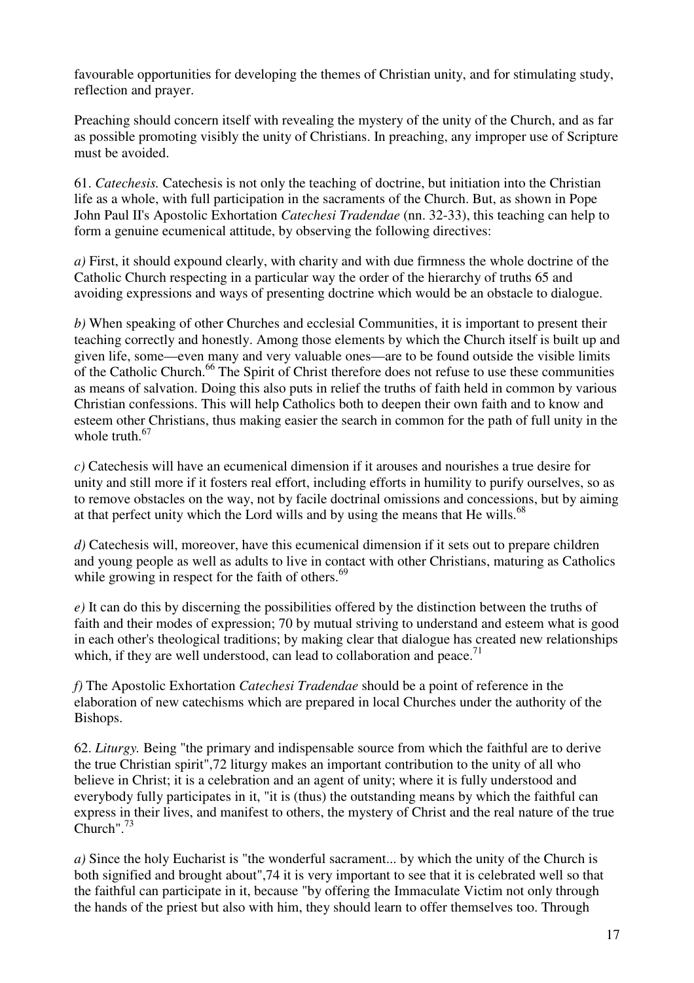favourable opportunities for developing the themes of Christian unity, and for stimulating study, reflection and prayer.

Preaching should concern itself with revealing the mystery of the unity of the Church, and as far as possible promoting visibly the unity of Christians. In preaching, any improper use of Scripture must be avoided.

61. *Catechesis.* Catechesis is not only the teaching of doctrine, but initiation into the Christian life as a whole, with full participation in the sacraments of the Church. But, as shown in Pope John Paul II's Apostolic Exhortation *Catechesi Tradendae* (nn. 32-33), this teaching can help to form a genuine ecumenical attitude, by observing the following directives:

*a)* First, it should expound clearly, with charity and with due firmness the whole doctrine of the Catholic Church respecting in a particular way the order of the hierarchy of truths 65 and avoiding expressions and ways of presenting doctrine which would be an obstacle to dialogue.

*b)* When speaking of other Churches and ecclesial Communities, it is important to present their teaching correctly and honestly. Among those elements by which the Church itself is built up and given life, some—even many and very valuable ones—are to be found outside the visible limits of the Catholic Church.<sup>66</sup> The Spirit of Christ therefore does not refuse to use these communities as means of salvation. Doing this also puts in relief the truths of faith held in common by various Christian confessions. This will help Catholics both to deepen their own faith and to know and esteem other Christians, thus making easier the search in common for the path of full unity in the whole truth. $67$ 

*c)* Catechesis will have an ecumenical dimension if it arouses and nourishes a true desire for unity and still more if it fosters real effort, including efforts in humility to purify ourselves, so as to remove obstacles on the way, not by facile doctrinal omissions and concessions, but by aiming at that perfect unity which the Lord wills and by using the means that He wills.<sup>68</sup>

*d)* Catechesis will, moreover, have this ecumenical dimension if it sets out to prepare children and young people as well as adults to live in contact with other Christians, maturing as Catholics while growing in respect for the faith of others. $69$ 

*e)* It can do this by discerning the possibilities offered by the distinction between the truths of faith and their modes of expression; 70 by mutual striving to understand and esteem what is good in each other's theological traditions; by making clear that dialogue has created new relationships which, if they are well understood, can lead to collaboration and peace.<sup>71</sup>

*f)* The Apostolic Exhortation *Catechesi Tradendae* should be a point of reference in the elaboration of new catechisms which are prepared in local Churches under the authority of the Bishops.

62. *Liturgy.* Being "the primary and indispensable source from which the faithful are to derive the true Christian spirit",72 liturgy makes an important contribution to the unity of all who believe in Christ; it is a celebration and an agent of unity; where it is fully understood and everybody fully participates in it, "it is (thus) the outstanding means by which the faithful can express in their lives, and manifest to others, the mystery of Christ and the real nature of the true  $Church''<sup>73</sup>$ 

*a)* Since the holy Eucharist is "the wonderful sacrament... by which the unity of the Church is both signified and brought about",74 it is very important to see that it is celebrated well so that the faithful can participate in it, because "by offering the Immaculate Victim not only through the hands of the priest but also with him, they should learn to offer themselves too. Through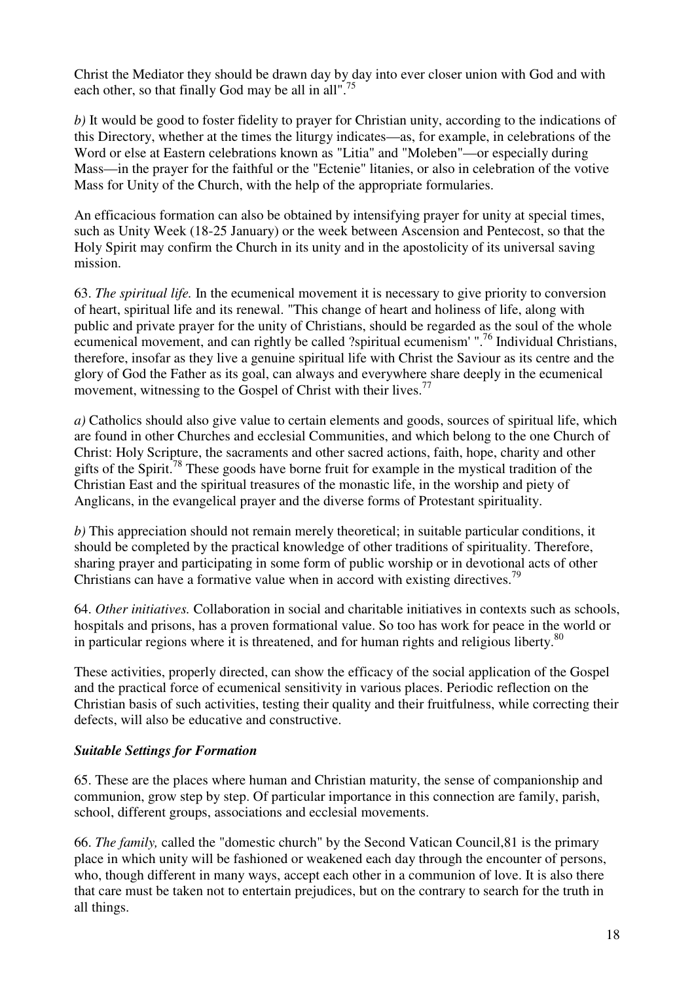Christ the Mediator they should be drawn day by day into ever closer union with God and with each other, so that finally God may be all in all".<sup>75</sup>

*b)* It would be good to foster fidelity to prayer for Christian unity, according to the indications of this Directory, whether at the times the liturgy indicates—as, for example, in celebrations of the Word or else at Eastern celebrations known as "Litia" and "Moleben"—or especially during Mass—in the prayer for the faithful or the "Ectenie" litanies, or also in celebration of the votive Mass for Unity of the Church, with the help of the appropriate formularies.

An efficacious formation can also be obtained by intensifying prayer for unity at special times, such as Unity Week (18-25 January) or the week between Ascension and Pentecost, so that the Holy Spirit may confirm the Church in its unity and in the apostolicity of its universal saving mission.

63. *The spiritual life.* In the ecumenical movement it is necessary to give priority to conversion of heart, spiritual life and its renewal. "This change of heart and holiness of life, along with public and private prayer for the unity of Christians, should be regarded as the soul of the whole ecumenical movement, and can rightly be called ?spiritual ecumenism' ".<sup>76</sup> Individual Christians, therefore, insofar as they live a genuine spiritual life with Christ the Saviour as its centre and the glory of God the Father as its goal, can always and everywhere share deeply in the ecumenical movement, witnessing to the Gospel of Christ with their lives.<sup>77</sup>

*a)* Catholics should also give value to certain elements and goods, sources of spiritual life, which are found in other Churches and ecclesial Communities, and which belong to the one Church of Christ: Holy Scripture, the sacraments and other sacred actions, faith, hope, charity and other gifts of the Spirit.<sup>78</sup> These goods have borne fruit for example in the mystical tradition of the Christian East and the spiritual treasures of the monastic life, in the worship and piety of Anglicans, in the evangelical prayer and the diverse forms of Protestant spirituality.

*b)* This appreciation should not remain merely theoretical; in suitable particular conditions, it should be completed by the practical knowledge of other traditions of spirituality. Therefore, sharing prayer and participating in some form of public worship or in devotional acts of other Christians can have a formative value when in accord with existing directives.<sup>79</sup>

64. *Other initiatives.* Collaboration in social and charitable initiatives in contexts such as schools, hospitals and prisons, has a proven formational value. So too has work for peace in the world or in particular regions where it is threatened, and for human rights and religious liberty. $80$ 

These activities, properly directed, can show the efficacy of the social application of the Gospel and the practical force of ecumenical sensitivity in various places. Periodic reflection on the Christian basis of such activities, testing their quality and their fruitfulness, while correcting their defects, will also be educative and constructive.

## *Suitable Settings for Formation*

65. These are the places where human and Christian maturity, the sense of companionship and communion, grow step by step. Of particular importance in this connection are family, parish, school, different groups, associations and ecclesial movements.

66. *The family,* called the "domestic church" by the Second Vatican Council,81 is the primary place in which unity will be fashioned or weakened each day through the encounter of persons, who, though different in many ways, accept each other in a communion of love. It is also there that care must be taken not to entertain prejudices, but on the contrary to search for the truth in all things.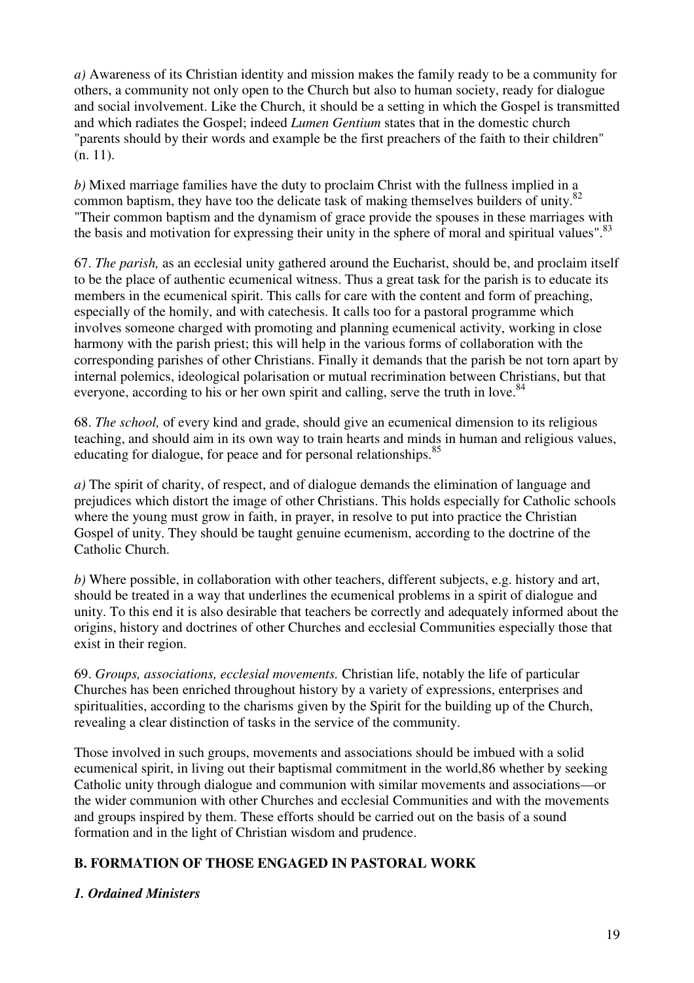*a)* Awareness of its Christian identity and mission makes the family ready to be a community for others, a community not only open to the Church but also to human society, ready for dialogue and social involvement. Like the Church, it should be a setting in which the Gospel is transmitted and which radiates the Gospel; indeed *Lumen Gentium* states that in the domestic church "parents should by their words and example be the first preachers of the faith to their children" (n. 11).

*b)* Mixed marriage families have the duty to proclaim Christ with the fullness implied in a common baptism, they have too the delicate task of making themselves builders of unity.<sup>82</sup> "Their common baptism and the dynamism of grace provide the spouses in these marriages with the basis and motivation for expressing their unity in the sphere of moral and spiritual values".<sup>83</sup>

67. *The parish,* as an ecclesial unity gathered around the Eucharist, should be, and proclaim itself to be the place of authentic ecumenical witness. Thus a great task for the parish is to educate its members in the ecumenical spirit. This calls for care with the content and form of preaching, especially of the homily, and with catechesis. It calls too for a pastoral programme which involves someone charged with promoting and planning ecumenical activity, working in close harmony with the parish priest; this will help in the various forms of collaboration with the corresponding parishes of other Christians. Finally it demands that the parish be not torn apart by internal polemics, ideological polarisation or mutual recrimination between Christians, but that everyone, according to his or her own spirit and calling, serve the truth in love.  $84$ 

68. *The school,* of every kind and grade, should give an ecumenical dimension to its religious teaching, and should aim in its own way to train hearts and minds in human and religious values, educating for dialogue, for peace and for personal relationships.<sup>85</sup>

*a)* The spirit of charity, of respect, and of dialogue demands the elimination of language and prejudices which distort the image of other Christians. This holds especially for Catholic schools where the young must grow in faith, in prayer, in resolve to put into practice the Christian Gospel of unity. They should be taught genuine ecumenism, according to the doctrine of the Catholic Church.

*b)* Where possible, in collaboration with other teachers, different subjects, e.g. history and art, should be treated in a way that underlines the ecumenical problems in a spirit of dialogue and unity. To this end it is also desirable that teachers be correctly and adequately informed about the origins, history and doctrines of other Churches and ecclesial Communities especially those that exist in their region.

69. *Groups, associations, ecclesial movements.* Christian life, notably the life of particular Churches has been enriched throughout history by a variety of expressions, enterprises and spiritualities, according to the charisms given by the Spirit for the building up of the Church, revealing a clear distinction of tasks in the service of the community.

Those involved in such groups, movements and associations should be imbued with a solid ecumenical spirit, in living out their baptismal commitment in the world,86 whether by seeking Catholic unity through dialogue and communion with similar movements and associations—or the wider communion with other Churches and ecclesial Communities and with the movements and groups inspired by them. These efforts should be carried out on the basis of a sound formation and in the light of Christian wisdom and prudence.

# **B. FORMATION OF THOSE ENGAGED IN PASTORAL WORK**

# *1. Ordained Ministers*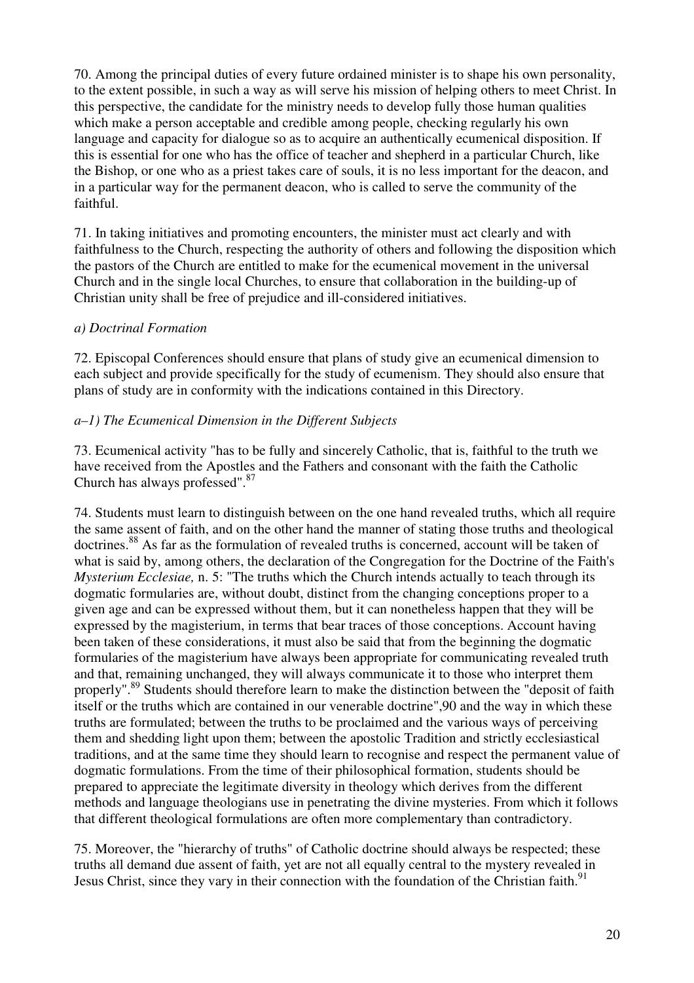70. Among the principal duties of every future ordained minister is to shape his own personality, to the extent possible, in such a way as will serve his mission of helping others to meet Christ. In this perspective, the candidate for the ministry needs to develop fully those human qualities which make a person acceptable and credible among people, checking regularly his own language and capacity for dialogue so as to acquire an authentically ecumenical disposition. If this is essential for one who has the office of teacher and shepherd in a particular Church, like the Bishop, or one who as a priest takes care of souls, it is no less important for the deacon, and in a particular way for the permanent deacon, who is called to serve the community of the faithful.

71. In taking initiatives and promoting encounters, the minister must act clearly and with faithfulness to the Church, respecting the authority of others and following the disposition which the pastors of the Church are entitled to make for the ecumenical movement in the universal Church and in the single local Churches, to ensure that collaboration in the building-up of Christian unity shall be free of prejudice and ill-considered initiatives.

## *a) Doctrinal Formation*

72. Episcopal Conferences should ensure that plans of study give an ecumenical dimension to each subject and provide specifically for the study of ecumenism. They should also ensure that plans of study are in conformity with the indications contained in this Directory.

## *a–1) The Ecumenical Dimension in the Different Subjects*

73. Ecumenical activity "has to be fully and sincerely Catholic, that is, faithful to the truth we have received from the Apostles and the Fathers and consonant with the faith the Catholic Church has always professed".<sup>87</sup>

74. Students must learn to distinguish between on the one hand revealed truths, which all require the same assent of faith, and on the other hand the manner of stating those truths and theological doctrines.<sup>88</sup> As far as the formulation of revealed truths is concerned, account will be taken of what is said by, among others, the declaration of the Congregation for the Doctrine of the Faith's *Mysterium Ecclesiae,* n. 5: "The truths which the Church intends actually to teach through its dogmatic formularies are, without doubt, distinct from the changing conceptions proper to a given age and can be expressed without them, but it can nonetheless happen that they will be expressed by the magisterium, in terms that bear traces of those conceptions. Account having been taken of these considerations, it must also be said that from the beginning the dogmatic formularies of the magisterium have always been appropriate for communicating revealed truth and that, remaining unchanged, they will always communicate it to those who interpret them properly".<sup>89</sup> Students should therefore learn to make the distinction between the "deposit of faith" itself or the truths which are contained in our venerable doctrine",90 and the way in which these truths are formulated; between the truths to be proclaimed and the various ways of perceiving them and shedding light upon them; between the apostolic Tradition and strictly ecclesiastical traditions, and at the same time they should learn to recognise and respect the permanent value of dogmatic formulations. From the time of their philosophical formation, students should be prepared to appreciate the legitimate diversity in theology which derives from the different methods and language theologians use in penetrating the divine mysteries. From which it follows that different theological formulations are often more complementary than contradictory.

75. Moreover, the "hierarchy of truths" of Catholic doctrine should always be respected; these truths all demand due assent of faith, yet are not all equally central to the mystery revealed in Jesus Christ, since they vary in their connection with the foundation of the Christian faith.<sup>91</sup>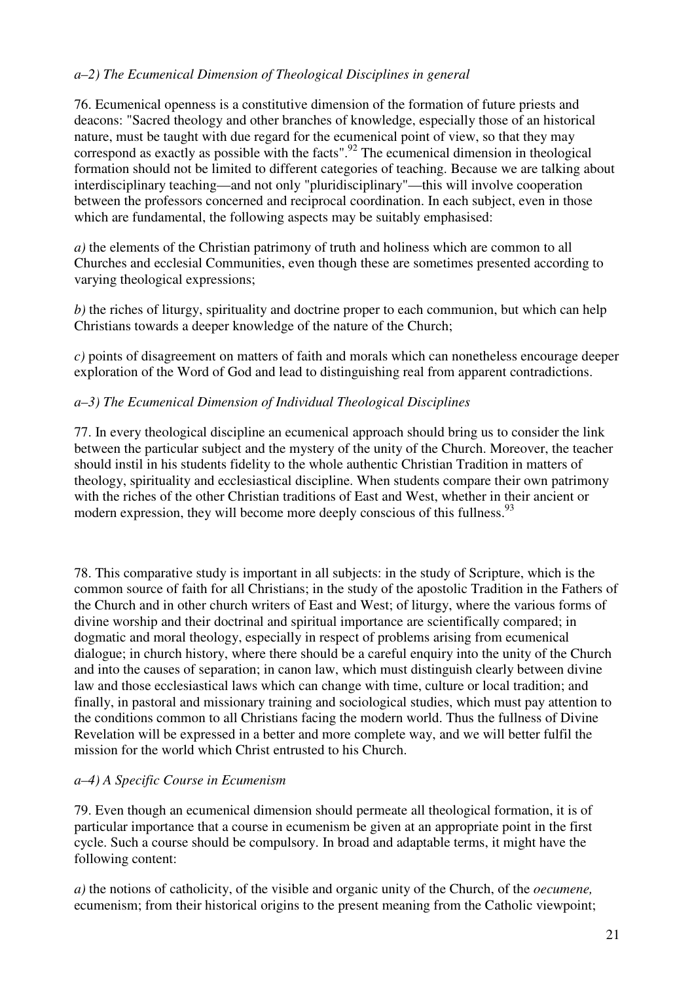## *a–2) The Ecumenical Dimension of Theological Disciplines in general*

76. Ecumenical openness is a constitutive dimension of the formation of future priests and deacons: "Sacred theology and other branches of knowledge, especially those of an historical nature, must be taught with due regard for the ecumenical point of view, so that they may correspond as exactly as possible with the facts". $92$  The ecumenical dimension in theological formation should not be limited to different categories of teaching. Because we are talking about interdisciplinary teaching—and not only "pluridisciplinary"—this will involve cooperation between the professors concerned and reciprocal coordination. In each subject, even in those which are fundamental, the following aspects may be suitably emphasised:

*a)* the elements of the Christian patrimony of truth and holiness which are common to all Churches and ecclesial Communities, even though these are sometimes presented according to varying theological expressions;

*b)* the riches of liturgy, spirituality and doctrine proper to each communion, but which can help Christians towards a deeper knowledge of the nature of the Church;

*c)* points of disagreement on matters of faith and morals which can nonetheless encourage deeper exploration of the Word of God and lead to distinguishing real from apparent contradictions.

#### *a–3) The Ecumenical Dimension of Individual Theological Disciplines*

77. In every theological discipline an ecumenical approach should bring us to consider the link between the particular subject and the mystery of the unity of the Church. Moreover, the teacher should instil in his students fidelity to the whole authentic Christian Tradition in matters of theology, spirituality and ecclesiastical discipline. When students compare their own patrimony with the riches of the other Christian traditions of East and West, whether in their ancient or modern expression, they will become more deeply conscious of this fullness.<sup>93</sup>

78. This comparative study is important in all subjects: in the study of Scripture, which is the common source of faith for all Christians; in the study of the apostolic Tradition in the Fathers of the Church and in other church writers of East and West; of liturgy, where the various forms of divine worship and their doctrinal and spiritual importance are scientifically compared; in dogmatic and moral theology, especially in respect of problems arising from ecumenical dialogue; in church history, where there should be a careful enquiry into the unity of the Church and into the causes of separation; in canon law, which must distinguish clearly between divine law and those ecclesiastical laws which can change with time, culture or local tradition; and finally, in pastoral and missionary training and sociological studies, which must pay attention to the conditions common to all Christians facing the modern world. Thus the fullness of Divine Revelation will be expressed in a better and more complete way, and we will better fulfil the mission for the world which Christ entrusted to his Church.

#### *a–4) A Specific Course in Ecumenism*

79. Even though an ecumenical dimension should permeate all theological formation, it is of particular importance that a course in ecumenism be given at an appropriate point in the first cycle. Such a course should be compulsory. In broad and adaptable terms, it might have the following content:

*a)* the notions of catholicity, of the visible and organic unity of the Church, of the *oecumene,*  ecumenism; from their historical origins to the present meaning from the Catholic viewpoint;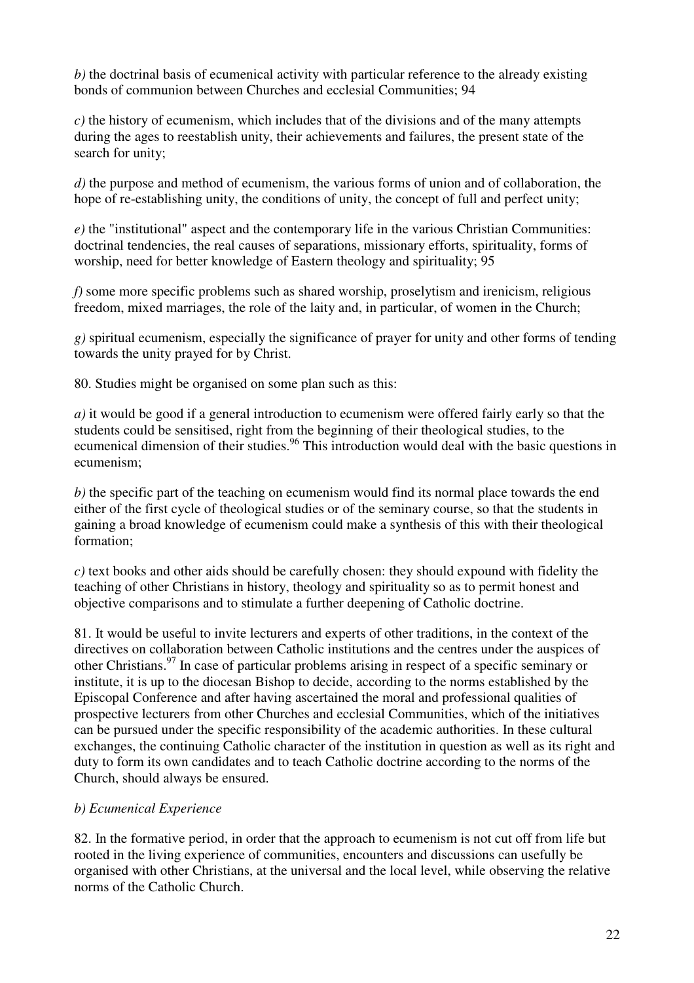*b)* the doctrinal basis of ecumenical activity with particular reference to the already existing bonds of communion between Churches and ecclesial Communities; 94

*c)* the history of ecumenism, which includes that of the divisions and of the many attempts during the ages to reestablish unity, their achievements and failures, the present state of the search for unity;

*d)* the purpose and method of ecumenism, the various forms of union and of collaboration, the hope of re-establishing unity, the conditions of unity, the concept of full and perfect unity;

*e)* the "institutional" aspect and the contemporary life in the various Christian Communities: doctrinal tendencies, the real causes of separations, missionary efforts, spirituality, forms of worship, need for better knowledge of Eastern theology and spirituality; 95

*f)* some more specific problems such as shared worship, proselytism and irenicism, religious freedom, mixed marriages, the role of the laity and, in particular, of women in the Church;

*g)* spiritual ecumenism, especially the significance of prayer for unity and other forms of tending towards the unity prayed for by Christ.

80. Studies might be organised on some plan such as this:

*a)* it would be good if a general introduction to ecumenism were offered fairly early so that the students could be sensitised, right from the beginning of their theological studies, to the ecumenical dimension of their studies.<sup>96</sup> This introduction would deal with the basic questions in ecumenism;

*b)* the specific part of the teaching on ecumenism would find its normal place towards the end either of the first cycle of theological studies or of the seminary course, so that the students in gaining a broad knowledge of ecumenism could make a synthesis of this with their theological formation;

*c)* text books and other aids should be carefully chosen: they should expound with fidelity the teaching of other Christians in history, theology and spirituality so as to permit honest and objective comparisons and to stimulate a further deepening of Catholic doctrine.

81. It would be useful to invite lecturers and experts of other traditions, in the context of the directives on collaboration between Catholic institutions and the centres under the auspices of other Christians.<sup>97</sup> In case of particular problems arising in respect of a specific seminary or institute, it is up to the diocesan Bishop to decide, according to the norms established by the Episcopal Conference and after having ascertained the moral and professional qualities of prospective lecturers from other Churches and ecclesial Communities, which of the initiatives can be pursued under the specific responsibility of the academic authorities. In these cultural exchanges, the continuing Catholic character of the institution in question as well as its right and duty to form its own candidates and to teach Catholic doctrine according to the norms of the Church, should always be ensured.

## *b) Ecumenical Experience*

82. In the formative period, in order that the approach to ecumenism is not cut off from life but rooted in the living experience of communities, encounters and discussions can usefully be organised with other Christians, at the universal and the local level, while observing the relative norms of the Catholic Church.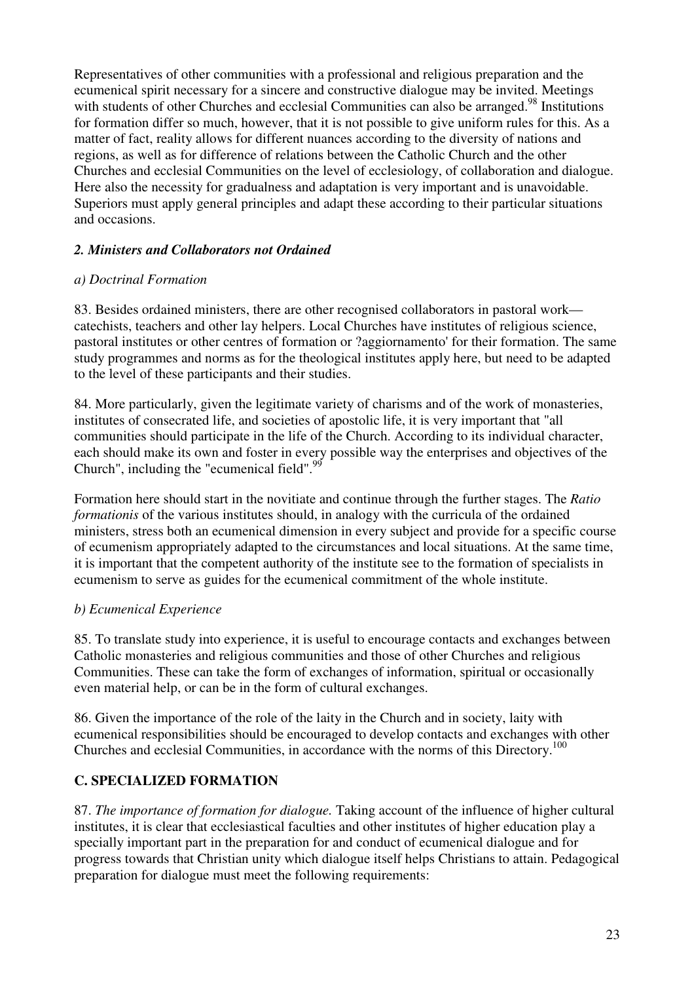Representatives of other communities with a professional and religious preparation and the ecumenical spirit necessary for a sincere and constructive dialogue may be invited. Meetings with students of other Churches and ecclesial Communities can also be arranged.<sup>98</sup> Institutions for formation differ so much, however, that it is not possible to give uniform rules for this. As a matter of fact, reality allows for different nuances according to the diversity of nations and regions, as well as for difference of relations between the Catholic Church and the other Churches and ecclesial Communities on the level of ecclesiology, of collaboration and dialogue. Here also the necessity for gradualness and adaptation is very important and is unavoidable. Superiors must apply general principles and adapt these according to their particular situations and occasions.

## *2. Ministers and Collaborators not Ordained*

#### *a) Doctrinal Formation*

83. Besides ordained ministers, there are other recognised collaborators in pastoral work catechists, teachers and other lay helpers. Local Churches have institutes of religious science, pastoral institutes or other centres of formation or ?aggiornamento' for their formation. The same study programmes and norms as for the theological institutes apply here, but need to be adapted to the level of these participants and their studies.

84. More particularly, given the legitimate variety of charisms and of the work of monasteries, institutes of consecrated life, and societies of apostolic life, it is very important that "all communities should participate in the life of the Church. According to its individual character, each should make its own and foster in every possible way the enterprises and objectives of the Church", including the "ecumenical field".<sup>99</sup>

Formation here should start in the novitiate and continue through the further stages. The *Ratio formationis* of the various institutes should, in analogy with the curricula of the ordained ministers, stress both an ecumenical dimension in every subject and provide for a specific course of ecumenism appropriately adapted to the circumstances and local situations. At the same time, it is important that the competent authority of the institute see to the formation of specialists in ecumenism to serve as guides for the ecumenical commitment of the whole institute.

## *b) Ecumenical Experience*

85. To translate study into experience, it is useful to encourage contacts and exchanges between Catholic monasteries and religious communities and those of other Churches and religious Communities. These can take the form of exchanges of information, spiritual or occasionally even material help, or can be in the form of cultural exchanges.

86. Given the importance of the role of the laity in the Church and in society, laity with ecumenical responsibilities should be encouraged to develop contacts and exchanges with other Churches and ecclesial Communities, in accordance with the norms of this Directory.<sup>100</sup>

## **C. SPECIALIZED FORMATION**

87. *The importance of formation for dialogue.* Taking account of the influence of higher cultural institutes, it is clear that ecclesiastical faculties and other institutes of higher education play a specially important part in the preparation for and conduct of ecumenical dialogue and for progress towards that Christian unity which dialogue itself helps Christians to attain. Pedagogical preparation for dialogue must meet the following requirements: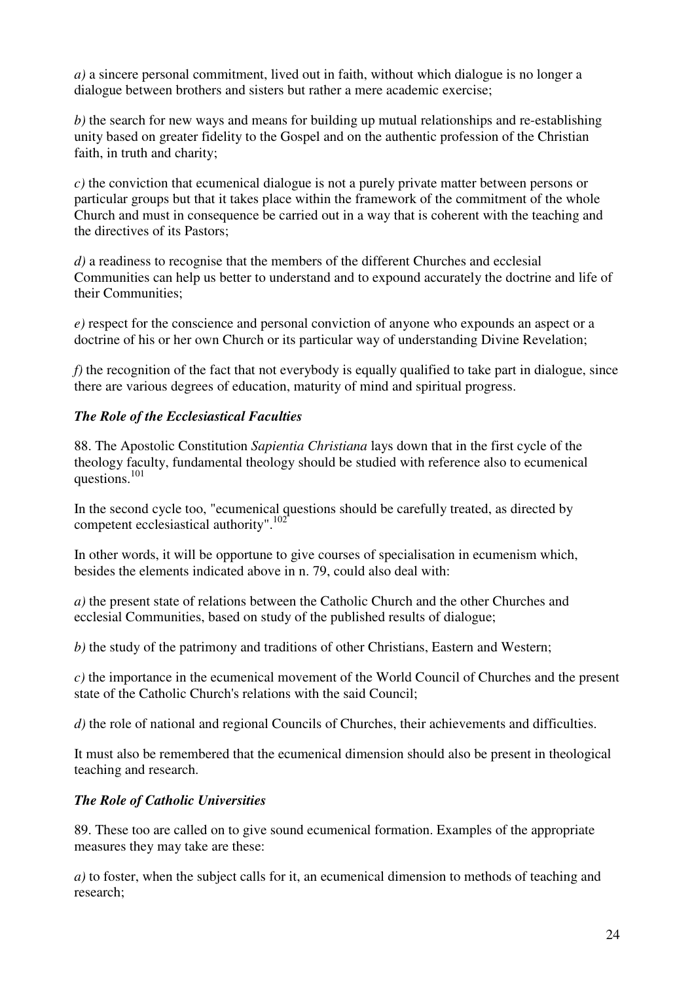*a)* a sincere personal commitment, lived out in faith, without which dialogue is no longer a dialogue between brothers and sisters but rather a mere academic exercise;

*b)* the search for new ways and means for building up mutual relationships and re-establishing unity based on greater fidelity to the Gospel and on the authentic profession of the Christian faith, in truth and charity;

*c)* the conviction that ecumenical dialogue is not a purely private matter between persons or particular groups but that it takes place within the framework of the commitment of the whole Church and must in consequence be carried out in a way that is coherent with the teaching and the directives of its Pastors;

*d)* a readiness to recognise that the members of the different Churches and ecclesial Communities can help us better to understand and to expound accurately the doctrine and life of their Communities;

*e)* respect for the conscience and personal conviction of anyone who expounds an aspect or a doctrine of his or her own Church or its particular way of understanding Divine Revelation;

*f)* the recognition of the fact that not everybody is equally qualified to take part in dialogue, since there are various degrees of education, maturity of mind and spiritual progress.

## *The Role of the Ecclesiastical Faculties*

88. The Apostolic Constitution *Sapientia Christiana* lays down that in the first cycle of the theology faculty, fundamental theology should be studied with reference also to ecumenical questions. $^{101}$ 

In the second cycle too, "ecumenical questions should be carefully treated, as directed by competent ecclesiastical authority".<sup>102</sup>

In other words, it will be opportune to give courses of specialisation in ecumenism which, besides the elements indicated above in n. 79, could also deal with:

*a)* the present state of relations between the Catholic Church and the other Churches and ecclesial Communities, based on study of the published results of dialogue;

*b)* the study of the patrimony and traditions of other Christians, Eastern and Western;

*c)* the importance in the ecumenical movement of the World Council of Churches and the present state of the Catholic Church's relations with the said Council;

*d)* the role of national and regional Councils of Churches, their achievements and difficulties.

It must also be remembered that the ecumenical dimension should also be present in theological teaching and research.

## *The Role of Catholic Universities*

89. These too are called on to give sound ecumenical formation. Examples of the appropriate measures they may take are these:

*a)* to foster, when the subject calls for it, an ecumenical dimension to methods of teaching and research;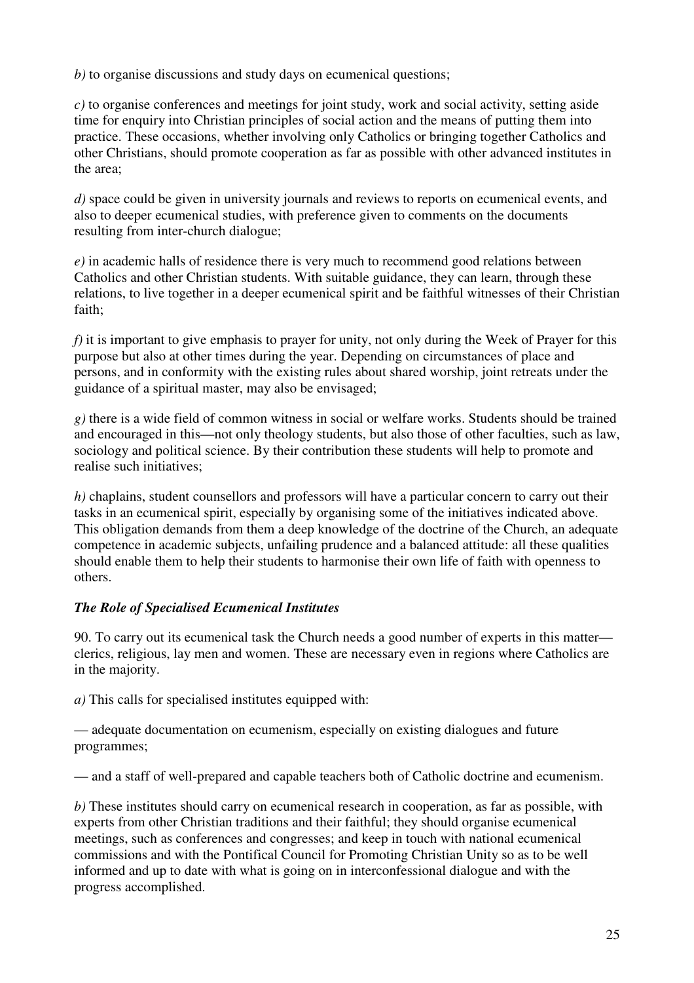*b)* to organise discussions and study days on ecumenical questions;

*c)* to organise conferences and meetings for joint study, work and social activity, setting aside time for enquiry into Christian principles of social action and the means of putting them into practice. These occasions, whether involving only Catholics or bringing together Catholics and other Christians, should promote cooperation as far as possible with other advanced institutes in the area;

*d)* space could be given in university journals and reviews to reports on ecumenical events, and also to deeper ecumenical studies, with preference given to comments on the documents resulting from inter-church dialogue;

*e)* in academic halls of residence there is very much to recommend good relations between Catholics and other Christian students. With suitable guidance, they can learn, through these relations, to live together in a deeper ecumenical spirit and be faithful witnesses of their Christian faith;

*f*) it is important to give emphasis to prayer for unity, not only during the Week of Prayer for this purpose but also at other times during the year. Depending on circumstances of place and persons, and in conformity with the existing rules about shared worship, joint retreats under the guidance of a spiritual master, may also be envisaged;

*g)* there is a wide field of common witness in social or welfare works. Students should be trained and encouraged in this—not only theology students, but also those of other faculties, such as law, sociology and political science. By their contribution these students will help to promote and realise such initiatives;

*h)* chaplains, student counsellors and professors will have a particular concern to carry out their tasks in an ecumenical spirit, especially by organising some of the initiatives indicated above. This obligation demands from them a deep knowledge of the doctrine of the Church, an adequate competence in academic subjects, unfailing prudence and a balanced attitude: all these qualities should enable them to help their students to harmonise their own life of faith with openness to others.

# *The Role of Specialised Ecumenical Institutes*

90. To carry out its ecumenical task the Church needs a good number of experts in this matter clerics, religious, lay men and women. These are necessary even in regions where Catholics are in the majority.

*a)* This calls for specialised institutes equipped with:

— adequate documentation on ecumenism, especially on existing dialogues and future programmes;

— and a staff of well-prepared and capable teachers both of Catholic doctrine and ecumenism.

*b)* These institutes should carry on ecumenical research in cooperation, as far as possible, with experts from other Christian traditions and their faithful; they should organise ecumenical meetings, such as conferences and congresses; and keep in touch with national ecumenical commissions and with the Pontifical Council for Promoting Christian Unity so as to be well informed and up to date with what is going on in interconfessional dialogue and with the progress accomplished.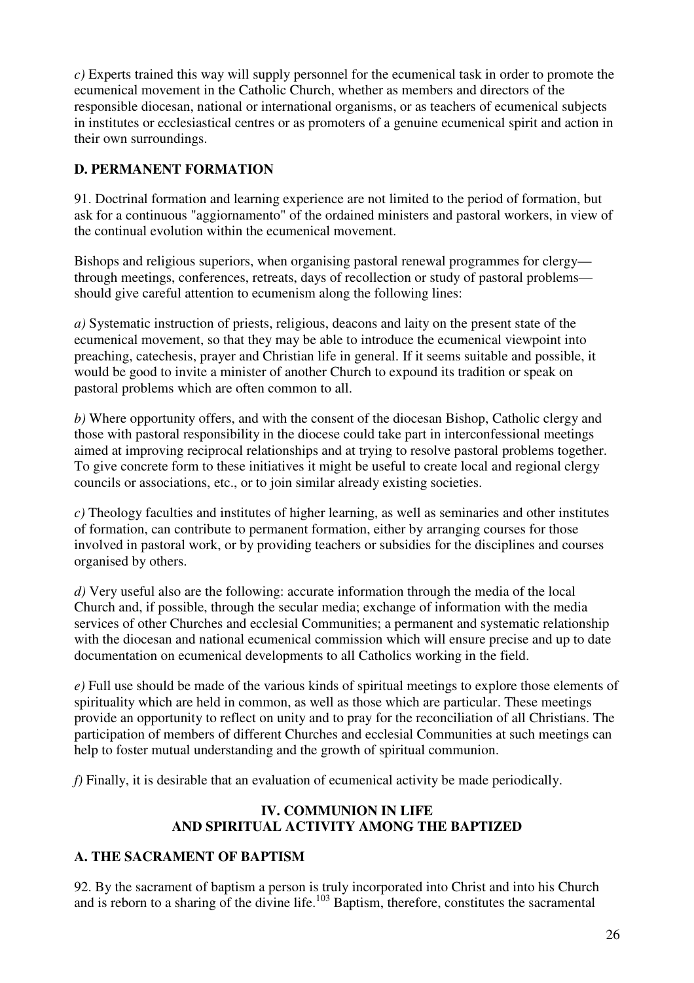*c)* Experts trained this way will supply personnel for the ecumenical task in order to promote the ecumenical movement in the Catholic Church, whether as members and directors of the responsible diocesan, national or international organisms, or as teachers of ecumenical subjects in institutes or ecclesiastical centres or as promoters of a genuine ecumenical spirit and action in their own surroundings.

# **D. PERMANENT FORMATION**

91. Doctrinal formation and learning experience are not limited to the period of formation, but ask for a continuous "aggiornamento" of the ordained ministers and pastoral workers, in view of the continual evolution within the ecumenical movement.

Bishops and religious superiors, when organising pastoral renewal programmes for clergy through meetings, conferences, retreats, days of recollection or study of pastoral problems should give careful attention to ecumenism along the following lines:

*a)* Systematic instruction of priests, religious, deacons and laity on the present state of the ecumenical movement, so that they may be able to introduce the ecumenical viewpoint into preaching, catechesis, prayer and Christian life in general. If it seems suitable and possible, it would be good to invite a minister of another Church to expound its tradition or speak on pastoral problems which are often common to all.

*b)* Where opportunity offers, and with the consent of the diocesan Bishop, Catholic clergy and those with pastoral responsibility in the diocese could take part in interconfessional meetings aimed at improving reciprocal relationships and at trying to resolve pastoral problems together. To give concrete form to these initiatives it might be useful to create local and regional clergy councils or associations, etc., or to join similar already existing societies.

*c)* Theology faculties and institutes of higher learning, as well as seminaries and other institutes of formation, can contribute to permanent formation, either by arranging courses for those involved in pastoral work, or by providing teachers or subsidies for the disciplines and courses organised by others.

*d)* Very useful also are the following: accurate information through the media of the local Church and, if possible, through the secular media; exchange of information with the media services of other Churches and ecclesial Communities; a permanent and systematic relationship with the diocesan and national ecumenical commission which will ensure precise and up to date documentation on ecumenical developments to all Catholics working in the field.

*e)* Full use should be made of the various kinds of spiritual meetings to explore those elements of spirituality which are held in common, as well as those which are particular. These meetings provide an opportunity to reflect on unity and to pray for the reconciliation of all Christians. The participation of members of different Churches and ecclesial Communities at such meetings can help to foster mutual understanding and the growth of spiritual communion.

*f)* Finally, it is desirable that an evaluation of ecumenical activity be made periodically.

# **IV. COMMUNION IN LIFE AND SPIRITUAL ACTIVITY AMONG THE BAPTIZED**

# **A. THE SACRAMENT OF BAPTISM**

92. By the sacrament of baptism a person is truly incorporated into Christ and into his Church and is reborn to a sharing of the divine life.<sup>103</sup> Baptism, therefore, constitutes the sacramental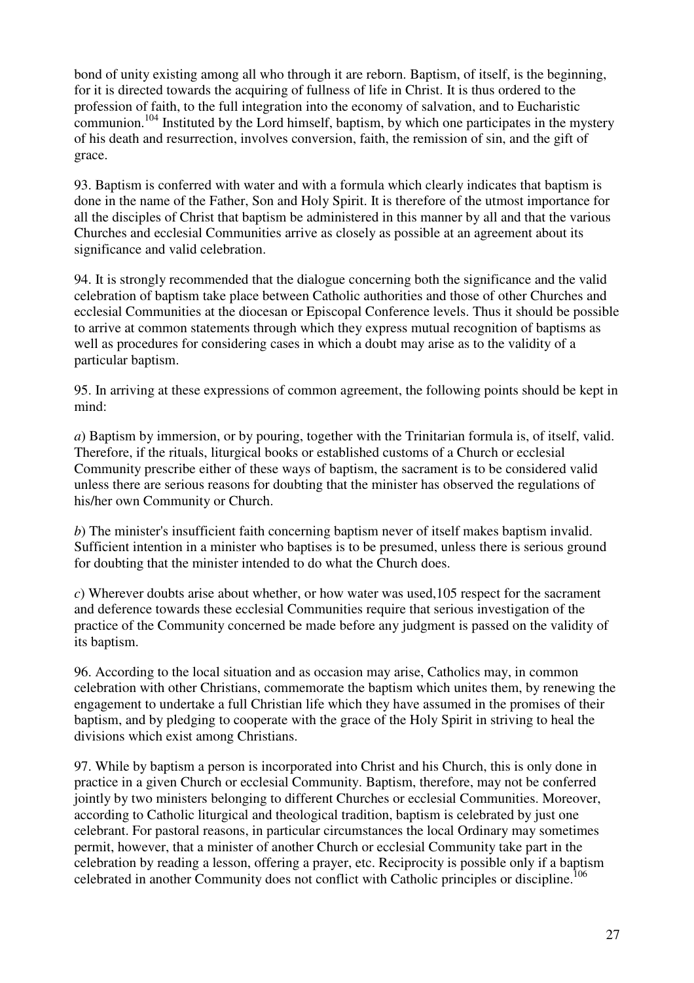bond of unity existing among all who through it are reborn. Baptism, of itself, is the beginning, for it is directed towards the acquiring of fullness of life in Christ. It is thus ordered to the profession of faith, to the full integration into the economy of salvation, and to Eucharistic communion.<sup>104</sup> Instituted by the Lord himself, baptism, by which one participates in the mystery of his death and resurrection, involves conversion, faith, the remission of sin, and the gift of grace.

93. Baptism is conferred with water and with a formula which clearly indicates that baptism is done in the name of the Father, Son and Holy Spirit. It is therefore of the utmost importance for all the disciples of Christ that baptism be administered in this manner by all and that the various Churches and ecclesial Communities arrive as closely as possible at an agreement about its significance and valid celebration.

94. It is strongly recommended that the dialogue concerning both the significance and the valid celebration of baptism take place between Catholic authorities and those of other Churches and ecclesial Communities at the diocesan or Episcopal Conference levels. Thus it should be possible to arrive at common statements through which they express mutual recognition of baptisms as well as procedures for considering cases in which a doubt may arise as to the validity of a particular baptism.

95. In arriving at these expressions of common agreement, the following points should be kept in mind:

*a*) Baptism by immersion, or by pouring, together with the Trinitarian formula is, of itself, valid. Therefore, if the rituals, liturgical books or established customs of a Church or ecclesial Community prescribe either of these ways of baptism, the sacrament is to be considered valid unless there are serious reasons for doubting that the minister has observed the regulations of his/her own Community or Church.

*b*) The minister's insufficient faith concerning baptism never of itself makes baptism invalid. Sufficient intention in a minister who baptises is to be presumed, unless there is serious ground for doubting that the minister intended to do what the Church does.

*c*) Wherever doubts arise about whether, or how water was used,105 respect for the sacrament and deference towards these ecclesial Communities require that serious investigation of the practice of the Community concerned be made before any judgment is passed on the validity of its baptism.

96. According to the local situation and as occasion may arise, Catholics may, in common celebration with other Christians, commemorate the baptism which unites them, by renewing the engagement to undertake a full Christian life which they have assumed in the promises of their baptism, and by pledging to cooperate with the grace of the Holy Spirit in striving to heal the divisions which exist among Christians.

97. While by baptism a person is incorporated into Christ and his Church, this is only done in practice in a given Church or ecclesial Community. Baptism, therefore, may not be conferred jointly by two ministers belonging to different Churches or ecclesial Communities. Moreover, according to Catholic liturgical and theological tradition, baptism is celebrated by just one celebrant. For pastoral reasons, in particular circumstances the local Ordinary may sometimes permit, however, that a minister of another Church or ecclesial Community take part in the celebration by reading a lesson, offering a prayer, etc. Reciprocity is possible only if a baptism celebrated in another Community does not conflict with Catholic principles or discipline.<sup>106</sup>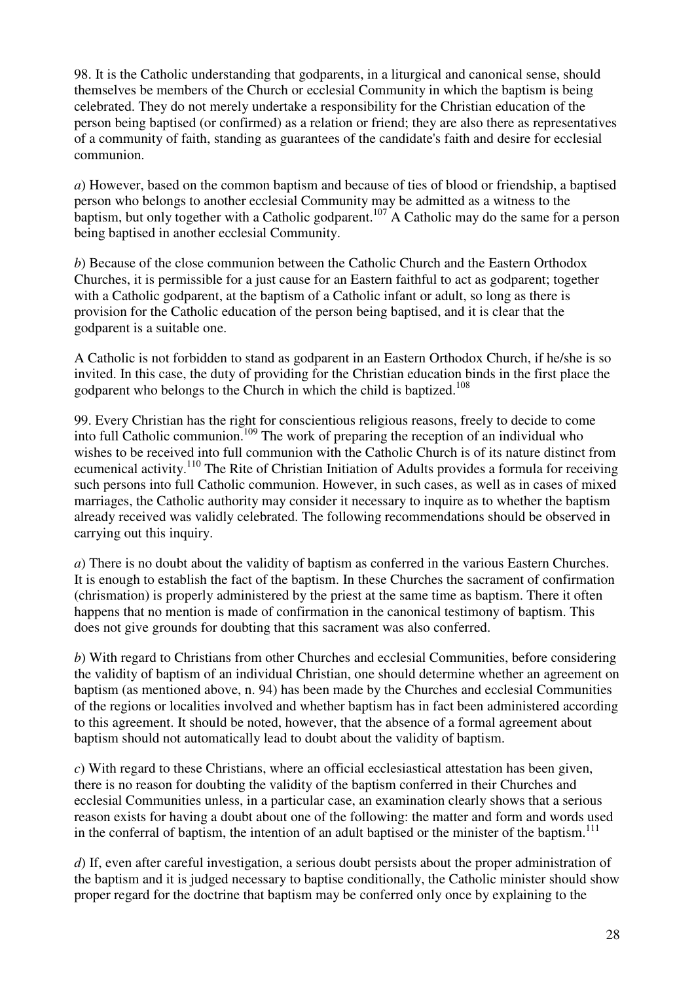98. It is the Catholic understanding that godparents, in a liturgical and canonical sense, should themselves be members of the Church or ecclesial Community in which the baptism is being celebrated. They do not merely undertake a responsibility for the Christian education of the person being baptised (or confirmed) as a relation or friend; they are also there as representatives of a community of faith, standing as guarantees of the candidate's faith and desire for ecclesial communion.

*a*) However, based on the common baptism and because of ties of blood or friendship, a baptised person who belongs to another ecclesial Community may be admitted as a witness to the baptism, but only together with a Catholic godparent.<sup>107</sup> A Catholic may do the same for a person being baptised in another ecclesial Community.

*b*) Because of the close communion between the Catholic Church and the Eastern Orthodox Churches, it is permissible for a just cause for an Eastern faithful to act as godparent; together with a Catholic godparent, at the baptism of a Catholic infant or adult, so long as there is provision for the Catholic education of the person being baptised, and it is clear that the godparent is a suitable one.

A Catholic is not forbidden to stand as godparent in an Eastern Orthodox Church, if he/she is so invited. In this case, the duty of providing for the Christian education binds in the first place the godparent who belongs to the Church in which the child is baptized.<sup>108</sup>

99. Every Christian has the right for conscientious religious reasons, freely to decide to come into full Catholic communion.<sup>109</sup> The work of preparing the reception of an individual who wishes to be received into full communion with the Catholic Church is of its nature distinct from ecumenical activity.<sup>110</sup> The Rite of Christian Initiation of Adults provides a formula for receiving such persons into full Catholic communion. However, in such cases, as well as in cases of mixed marriages, the Catholic authority may consider it necessary to inquire as to whether the baptism already received was validly celebrated. The following recommendations should be observed in carrying out this inquiry.

*a*) There is no doubt about the validity of baptism as conferred in the various Eastern Churches. It is enough to establish the fact of the baptism. In these Churches the sacrament of confirmation (chrismation) is properly administered by the priest at the same time as baptism. There it often happens that no mention is made of confirmation in the canonical testimony of baptism. This does not give grounds for doubting that this sacrament was also conferred.

*b*) With regard to Christians from other Churches and ecclesial Communities, before considering the validity of baptism of an individual Christian, one should determine whether an agreement on baptism (as mentioned above, n. 94) has been made by the Churches and ecclesial Communities of the regions or localities involved and whether baptism has in fact been administered according to this agreement. It should be noted, however, that the absence of a formal agreement about baptism should not automatically lead to doubt about the validity of baptism.

*c*) With regard to these Christians, where an official ecclesiastical attestation has been given, there is no reason for doubting the validity of the baptism conferred in their Churches and ecclesial Communities unless, in a particular case, an examination clearly shows that a serious reason exists for having a doubt about one of the following: the matter and form and words used in the conferral of baptism, the intention of an adult baptised or the minister of the baptism. $111$ 

*d*) If, even after careful investigation, a serious doubt persists about the proper administration of the baptism and it is judged necessary to baptise conditionally, the Catholic minister should show proper regard for the doctrine that baptism may be conferred only once by explaining to the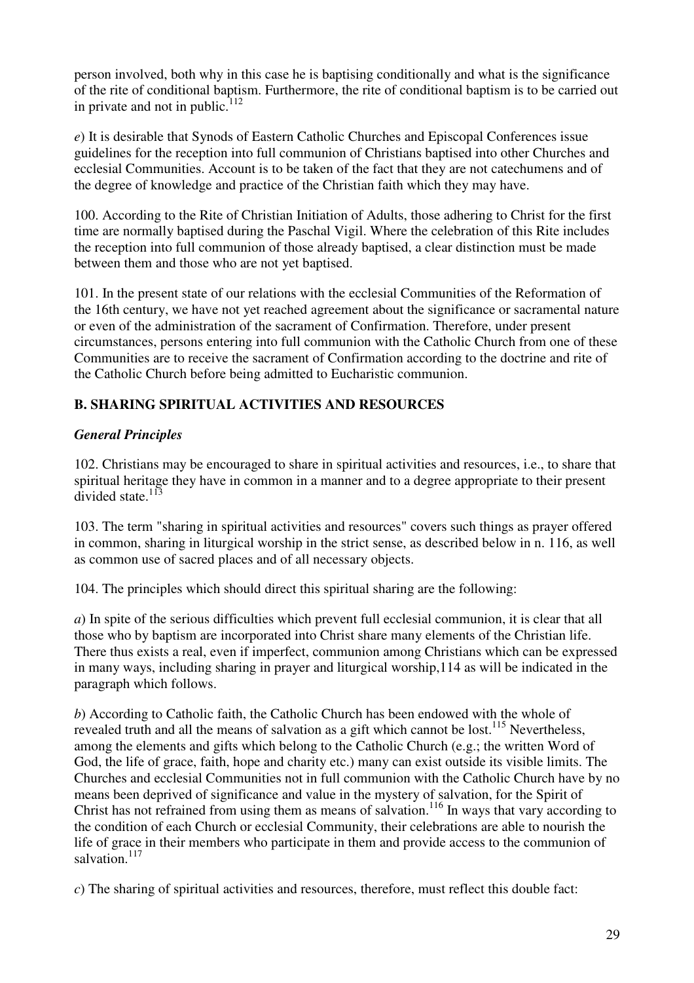person involved, both why in this case he is baptising conditionally and what is the significance of the rite of conditional baptism. Furthermore, the rite of conditional baptism is to be carried out in private and not in public. $112$ 

*e*) It is desirable that Synods of Eastern Catholic Churches and Episcopal Conferences issue guidelines for the reception into full communion of Christians baptised into other Churches and ecclesial Communities. Account is to be taken of the fact that they are not catechumens and of the degree of knowledge and practice of the Christian faith which they may have.

100. According to the Rite of Christian Initiation of Adults, those adhering to Christ for the first time are normally baptised during the Paschal Vigil. Where the celebration of this Rite includes the reception into full communion of those already baptised, a clear distinction must be made between them and those who are not yet baptised.

101. In the present state of our relations with the ecclesial Communities of the Reformation of the 16th century, we have not yet reached agreement about the significance or sacramental nature or even of the administration of the sacrament of Confirmation. Therefore, under present circumstances, persons entering into full communion with the Catholic Church from one of these Communities are to receive the sacrament of Confirmation according to the doctrine and rite of the Catholic Church before being admitted to Eucharistic communion.

# **B. SHARING SPIRITUAL ACTIVITIES AND RESOURCES**

## *General Principles*

102. Christians may be encouraged to share in spiritual activities and resources, i.e., to share that spiritual heritage they have in common in a manner and to a degree appropriate to their present divided state.<sup>113</sup>

103. The term "sharing in spiritual activities and resources" covers such things as prayer offered in common, sharing in liturgical worship in the strict sense, as described below in n. 116, as well as common use of sacred places and of all necessary objects.

104. The principles which should direct this spiritual sharing are the following:

*a*) In spite of the serious difficulties which prevent full ecclesial communion, it is clear that all those who by baptism are incorporated into Christ share many elements of the Christian life. There thus exists a real, even if imperfect, communion among Christians which can be expressed in many ways, including sharing in prayer and liturgical worship,114 as will be indicated in the paragraph which follows.

*b*) According to Catholic faith, the Catholic Church has been endowed with the whole of revealed truth and all the means of salvation as a gift which cannot be lost.<sup>115</sup> Nevertheless, among the elements and gifts which belong to the Catholic Church (e.g.; the written Word of God, the life of grace, faith, hope and charity etc.) many can exist outside its visible limits. The Churches and ecclesial Communities not in full communion with the Catholic Church have by no means been deprived of significance and value in the mystery of salvation, for the Spirit of Christ has not refrained from using them as means of salvation.<sup>116</sup> In ways that vary according to the condition of each Church or ecclesial Community, their celebrations are able to nourish the life of grace in their members who participate in them and provide access to the communion of salvation<sup>117</sup>

*c*) The sharing of spiritual activities and resources, therefore, must reflect this double fact: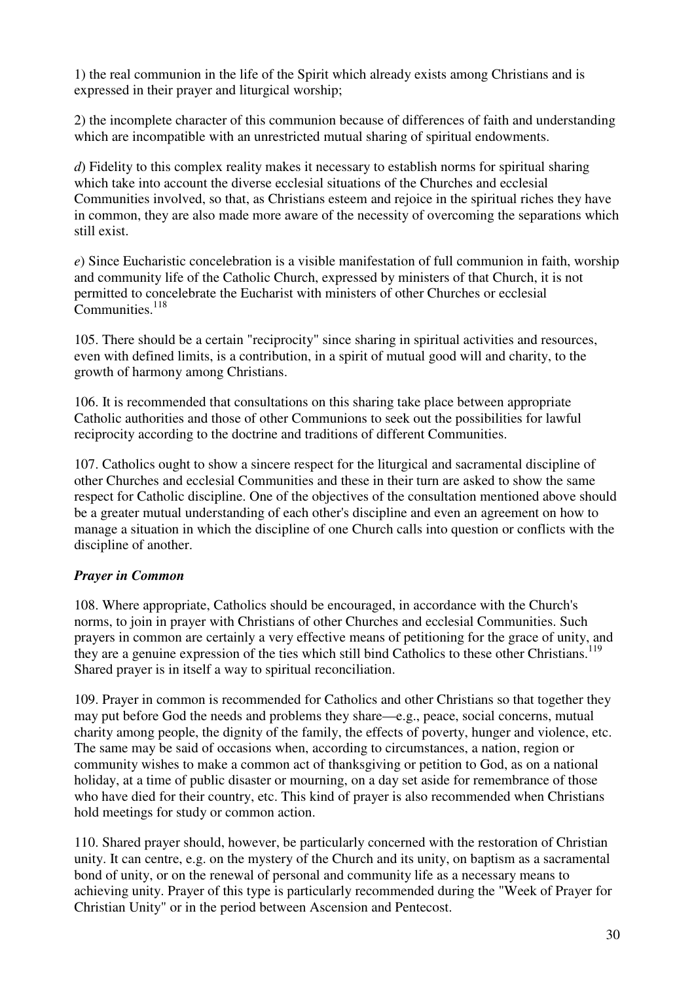1) the real communion in the life of the Spirit which already exists among Christians and is expressed in their prayer and liturgical worship;

2) the incomplete character of this communion because of differences of faith and understanding which are incompatible with an unrestricted mutual sharing of spiritual endowments.

*d*) Fidelity to this complex reality makes it necessary to establish norms for spiritual sharing which take into account the diverse ecclesial situations of the Churches and ecclesial Communities involved, so that, as Christians esteem and rejoice in the spiritual riches they have in common, they are also made more aware of the necessity of overcoming the separations which still exist.

*e*) Since Eucharistic concelebration is a visible manifestation of full communion in faith, worship and community life of the Catholic Church, expressed by ministers of that Church, it is not permitted to concelebrate the Eucharist with ministers of other Churches or ecclesial Communities. $118$ 

105. There should be a certain "reciprocity" since sharing in spiritual activities and resources, even with defined limits, is a contribution, in a spirit of mutual good will and charity, to the growth of harmony among Christians.

106. It is recommended that consultations on this sharing take place between appropriate Catholic authorities and those of other Communions to seek out the possibilities for lawful reciprocity according to the doctrine and traditions of different Communities.

107. Catholics ought to show a sincere respect for the liturgical and sacramental discipline of other Churches and ecclesial Communities and these in their turn are asked to show the same respect for Catholic discipline. One of the objectives of the consultation mentioned above should be a greater mutual understanding of each other's discipline and even an agreement on how to manage a situation in which the discipline of one Church calls into question or conflicts with the discipline of another.

# *Prayer in Common*

108. Where appropriate, Catholics should be encouraged, in accordance with the Church's norms, to join in prayer with Christians of other Churches and ecclesial Communities. Such prayers in common are certainly a very effective means of petitioning for the grace of unity, and they are a genuine expression of the ties which still bind Catholics to these other Christians.<sup>119</sup> Shared prayer is in itself a way to spiritual reconciliation.

109. Prayer in common is recommended for Catholics and other Christians so that together they may put before God the needs and problems they share—e.g., peace, social concerns, mutual charity among people, the dignity of the family, the effects of poverty, hunger and violence, etc. The same may be said of occasions when, according to circumstances, a nation, region or community wishes to make a common act of thanksgiving or petition to God, as on a national holiday, at a time of public disaster or mourning, on a day set aside for remembrance of those who have died for their country, etc. This kind of prayer is also recommended when Christians hold meetings for study or common action.

110. Shared prayer should, however, be particularly concerned with the restoration of Christian unity. It can centre, e.g. on the mystery of the Church and its unity, on baptism as a sacramental bond of unity, or on the renewal of personal and community life as a necessary means to achieving unity. Prayer of this type is particularly recommended during the "Week of Prayer for Christian Unity" or in the period between Ascension and Pentecost.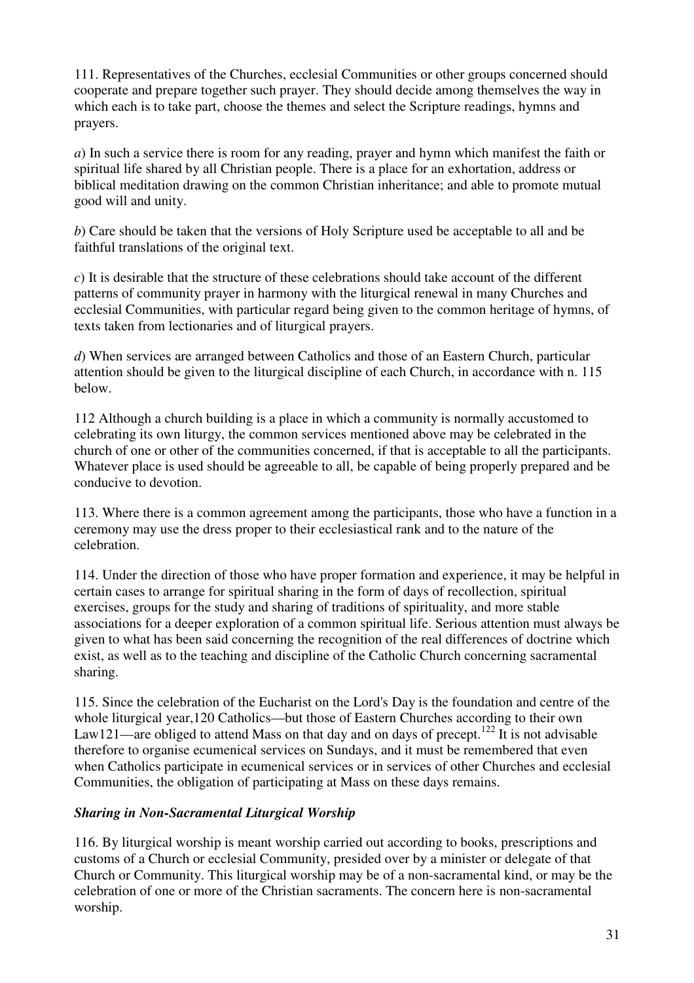111. Representatives of the Churches, ecclesial Communities or other groups concerned should cooperate and prepare together such prayer. They should decide among themselves the way in which each is to take part, choose the themes and select the Scripture readings, hymns and prayers.

*a*) In such a service there is room for any reading, prayer and hymn which manifest the faith or spiritual life shared by all Christian people. There is a place for an exhortation, address or biblical meditation drawing on the common Christian inheritance; and able to promote mutual good will and unity.

*b*) Care should be taken that the versions of Holy Scripture used be acceptable to all and be faithful translations of the original text.

*c*) It is desirable that the structure of these celebrations should take account of the different patterns of community prayer in harmony with the liturgical renewal in many Churches and ecclesial Communities, with particular regard being given to the common heritage of hymns, of texts taken from lectionaries and of liturgical prayers.

*d*) When services are arranged between Catholics and those of an Eastern Church, particular attention should be given to the liturgical discipline of each Church, in accordance with n. 115 below.

112 Although a church building is a place in which a community is normally accustomed to celebrating its own liturgy, the common services mentioned above may be celebrated in the church of one or other of the communities concerned, if that is acceptable to all the participants. Whatever place is used should be agreeable to all, be capable of being properly prepared and be conducive to devotion.

113. Where there is a common agreement among the participants, those who have a function in a ceremony may use the dress proper to their ecclesiastical rank and to the nature of the celebration.

114. Under the direction of those who have proper formation and experience, it may be helpful in certain cases to arrange for spiritual sharing in the form of days of recollection, spiritual exercises, groups for the study and sharing of traditions of spirituality, and more stable associations for a deeper exploration of a common spiritual life. Serious attention must always be given to what has been said concerning the recognition of the real differences of doctrine which exist, as well as to the teaching and discipline of the Catholic Church concerning sacramental sharing.

115. Since the celebration of the Eucharist on the Lord's Day is the foundation and centre of the whole liturgical year,120 Catholics—but those of Eastern Churches according to their own Law121—are obliged to attend Mass on that day and on days of precept.<sup>122</sup> It is not advisable therefore to organise ecumenical services on Sundays, and it must be remembered that even when Catholics participate in ecumenical services or in services of other Churches and ecclesial Communities, the obligation of participating at Mass on these days remains.

## *Sharing in Non-Sacramental Liturgical Worship*

116. By liturgical worship is meant worship carried out according to books, prescriptions and customs of a Church or ecclesial Community, presided over by a minister or delegate of that Church or Community. This liturgical worship may be of a non-sacramental kind, or may be the celebration of one or more of the Christian sacraments. The concern here is non-sacramental worship.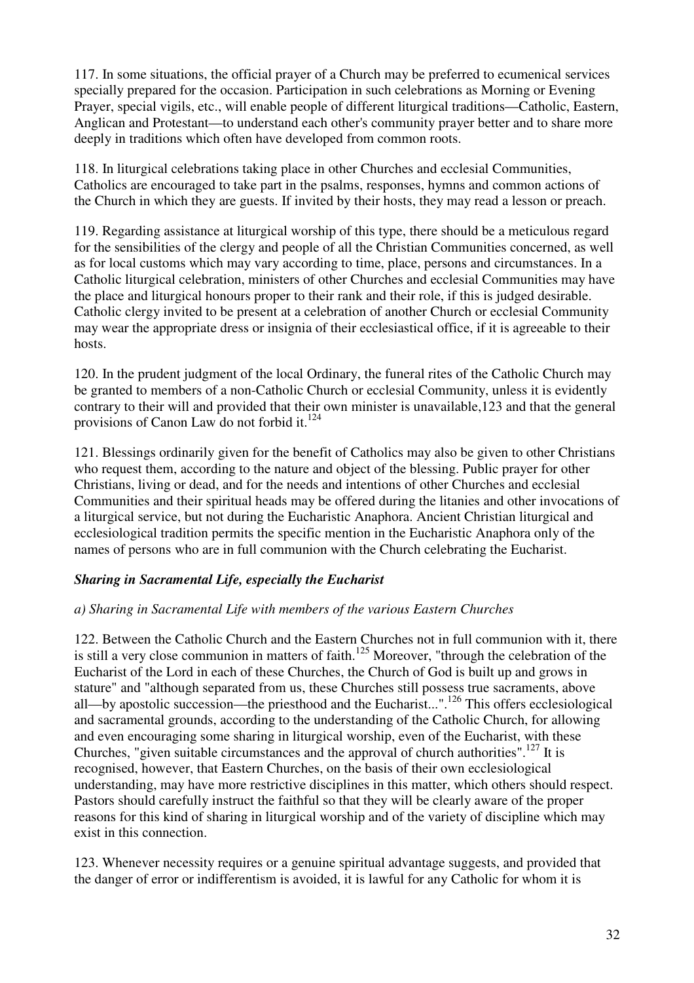117. In some situations, the official prayer of a Church may be preferred to ecumenical services specially prepared for the occasion. Participation in such celebrations as Morning or Evening Prayer, special vigils, etc., will enable people of different liturgical traditions—Catholic, Eastern, Anglican and Protestant—to understand each other's community prayer better and to share more deeply in traditions which often have developed from common roots.

118. In liturgical celebrations taking place in other Churches and ecclesial Communities, Catholics are encouraged to take part in the psalms, responses, hymns and common actions of the Church in which they are guests. If invited by their hosts, they may read a lesson or preach.

119. Regarding assistance at liturgical worship of this type, there should be a meticulous regard for the sensibilities of the clergy and people of all the Christian Communities concerned, as well as for local customs which may vary according to time, place, persons and circumstances. In a Catholic liturgical celebration, ministers of other Churches and ecclesial Communities may have the place and liturgical honours proper to their rank and their role, if this is judged desirable. Catholic clergy invited to be present at a celebration of another Church or ecclesial Community may wear the appropriate dress or insignia of their ecclesiastical office, if it is agreeable to their hosts.

120. In the prudent judgment of the local Ordinary, the funeral rites of the Catholic Church may be granted to members of a non-Catholic Church or ecclesial Community, unless it is evidently contrary to their will and provided that their own minister is unavailable,123 and that the general provisions of Canon Law do not forbid it.<sup>124</sup>

121. Blessings ordinarily given for the benefit of Catholics may also be given to other Christians who request them, according to the nature and object of the blessing. Public prayer for other Christians, living or dead, and for the needs and intentions of other Churches and ecclesial Communities and their spiritual heads may be offered during the litanies and other invocations of a liturgical service, but not during the Eucharistic Anaphora. Ancient Christian liturgical and ecclesiological tradition permits the specific mention in the Eucharistic Anaphora only of the names of persons who are in full communion with the Church celebrating the Eucharist.

## *Sharing in Sacramental Life, especially the Eucharist*

## *a) Sharing in Sacramental Life with members of the various Eastern Churches*

122. Between the Catholic Church and the Eastern Churches not in full communion with it, there is still a very close communion in matters of faith.<sup>125</sup> Moreover, "through the celebration of the Eucharist of the Lord in each of these Churches, the Church of God is built up and grows in stature" and "although separated from us, these Churches still possess true sacraments, above all—by apostolic succession—the priesthood and the Eucharist...".<sup>126</sup> This offers ecclesiological and sacramental grounds, according to the understanding of the Catholic Church, for allowing and even encouraging some sharing in liturgical worship, even of the Eucharist, with these Churches, "given suitable circumstances and the approval of church authorities".<sup>127</sup> It is recognised, however, that Eastern Churches, on the basis of their own ecclesiological understanding, may have more restrictive disciplines in this matter, which others should respect. Pastors should carefully instruct the faithful so that they will be clearly aware of the proper reasons for this kind of sharing in liturgical worship and of the variety of discipline which may exist in this connection.

123. Whenever necessity requires or a genuine spiritual advantage suggests, and provided that the danger of error or indifferentism is avoided, it is lawful for any Catholic for whom it is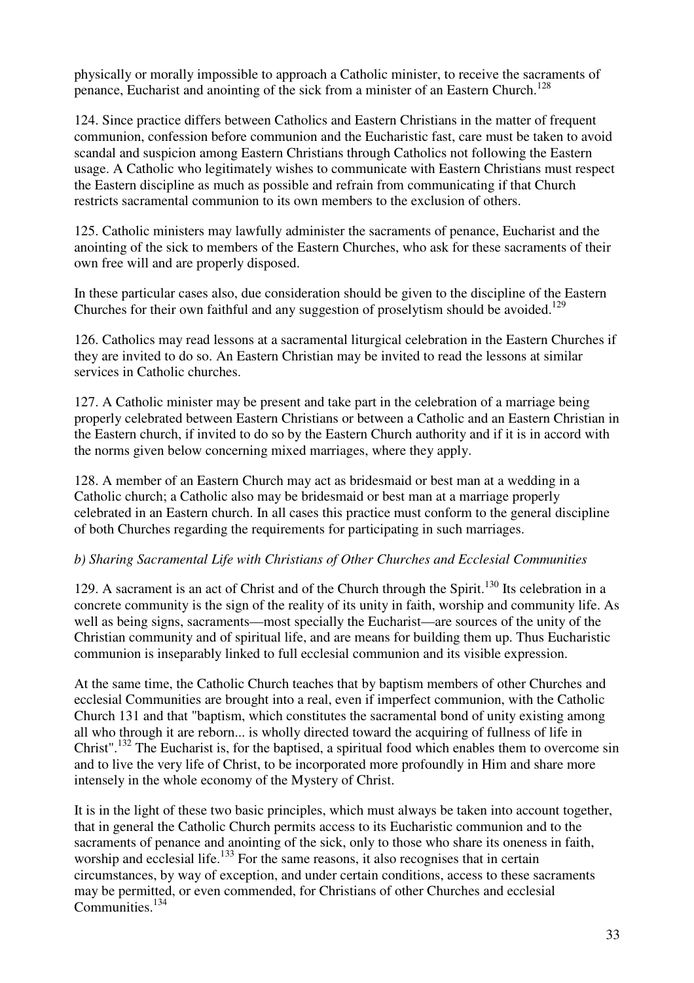physically or morally impossible to approach a Catholic minister, to receive the sacraments of penance, Eucharist and anointing of the sick from a minister of an Eastern Church.<sup>128</sup>

124. Since practice differs between Catholics and Eastern Christians in the matter of frequent communion, confession before communion and the Eucharistic fast, care must be taken to avoid scandal and suspicion among Eastern Christians through Catholics not following the Eastern usage. A Catholic who legitimately wishes to communicate with Eastern Christians must respect the Eastern discipline as much as possible and refrain from communicating if that Church restricts sacramental communion to its own members to the exclusion of others.

125. Catholic ministers may lawfully administer the sacraments of penance, Eucharist and the anointing of the sick to members of the Eastern Churches, who ask for these sacraments of their own free will and are properly disposed.

In these particular cases also, due consideration should be given to the discipline of the Eastern Churches for their own faithful and any suggestion of proselytism should be avoided.<sup>129</sup>

126. Catholics may read lessons at a sacramental liturgical celebration in the Eastern Churches if they are invited to do so. An Eastern Christian may be invited to read the lessons at similar services in Catholic churches.

127. A Catholic minister may be present and take part in the celebration of a marriage being properly celebrated between Eastern Christians or between a Catholic and an Eastern Christian in the Eastern church, if invited to do so by the Eastern Church authority and if it is in accord with the norms given below concerning mixed marriages, where they apply.

128. A member of an Eastern Church may act as bridesmaid or best man at a wedding in a Catholic church; a Catholic also may be bridesmaid or best man at a marriage properly celebrated in an Eastern church. In all cases this practice must conform to the general discipline of both Churches regarding the requirements for participating in such marriages.

## *b) Sharing Sacramental Life with Christians of Other Churches and Ecclesial Communities*

129. A sacrament is an act of Christ and of the Church through the Spirit.<sup>130</sup> Its celebration in a concrete community is the sign of the reality of its unity in faith, worship and community life. As well as being signs, sacraments—most specially the Eucharist—are sources of the unity of the Christian community and of spiritual life, and are means for building them up. Thus Eucharistic communion is inseparably linked to full ecclesial communion and its visible expression.

At the same time, the Catholic Church teaches that by baptism members of other Churches and ecclesial Communities are brought into a real, even if imperfect communion, with the Catholic Church 131 and that "baptism, which constitutes the sacramental bond of unity existing among all who through it are reborn... is wholly directed toward the acquiring of fullness of life in Christ".<sup>132</sup> The Eucharist is, for the baptised, a spiritual food which enables them to overcome sin and to live the very life of Christ, to be incorporated more profoundly in Him and share more intensely in the whole economy of the Mystery of Christ.

It is in the light of these two basic principles, which must always be taken into account together, that in general the Catholic Church permits access to its Eucharistic communion and to the sacraments of penance and anointing of the sick, only to those who share its oneness in faith, worship and ecclesial life.<sup>133</sup> For the same reasons, it also recognises that in certain circumstances, by way of exception, and under certain conditions, access to these sacraments may be permitted, or even commended, for Christians of other Churches and ecclesial Communities.<sup>134</sup>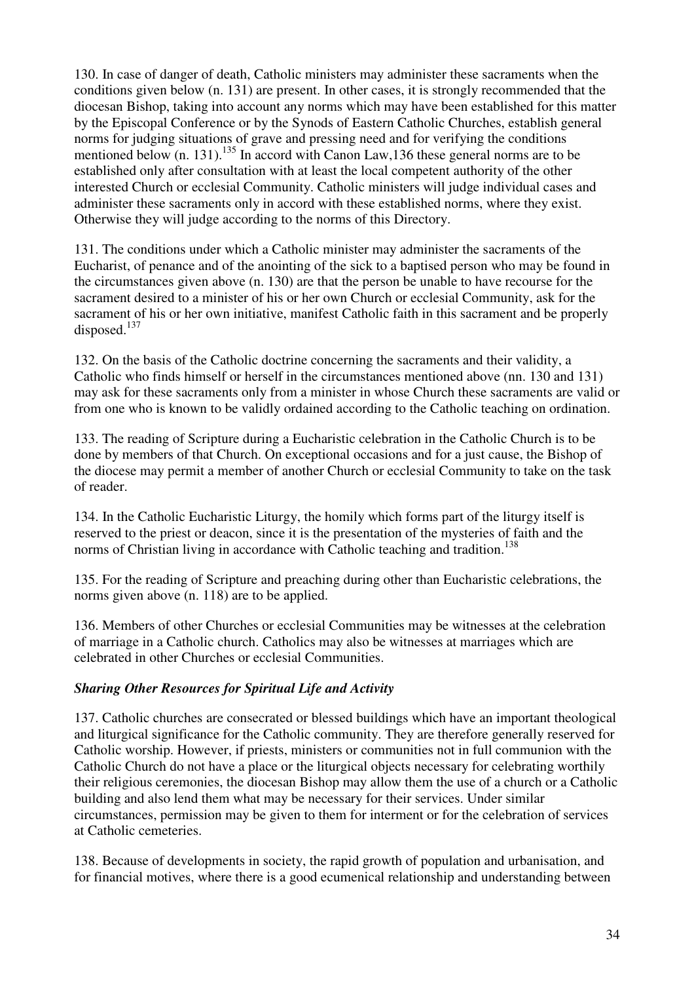130. In case of danger of death, Catholic ministers may administer these sacraments when the conditions given below (n. 131) are present. In other cases, it is strongly recommended that the diocesan Bishop, taking into account any norms which may have been established for this matter by the Episcopal Conference or by the Synods of Eastern Catholic Churches, establish general norms for judging situations of grave and pressing need and for verifying the conditions mentioned below (n. 131).<sup>135</sup> In accord with Canon Law,136 these general norms are to be established only after consultation with at least the local competent authority of the other interested Church or ecclesial Community. Catholic ministers will judge individual cases and administer these sacraments only in accord with these established norms, where they exist. Otherwise they will judge according to the norms of this Directory.

131. The conditions under which a Catholic minister may administer the sacraments of the Eucharist, of penance and of the anointing of the sick to a baptised person who may be found in the circumstances given above (n. 130) are that the person be unable to have recourse for the sacrament desired to a minister of his or her own Church or ecclesial Community, ask for the sacrament of his or her own initiative, manifest Catholic faith in this sacrament and be properly disposed. $137$ 

132. On the basis of the Catholic doctrine concerning the sacraments and their validity, a Catholic who finds himself or herself in the circumstances mentioned above (nn. 130 and 131) may ask for these sacraments only from a minister in whose Church these sacraments are valid or from one who is known to be validly ordained according to the Catholic teaching on ordination.

133. The reading of Scripture during a Eucharistic celebration in the Catholic Church is to be done by members of that Church. On exceptional occasions and for a just cause, the Bishop of the diocese may permit a member of another Church or ecclesial Community to take on the task of reader.

134. In the Catholic Eucharistic Liturgy, the homily which forms part of the liturgy itself is reserved to the priest or deacon, since it is the presentation of the mysteries of faith and the norms of Christian living in accordance with Catholic teaching and tradition.<sup>138</sup>

135. For the reading of Scripture and preaching during other than Eucharistic celebrations, the norms given above (n. 118) are to be applied.

136. Members of other Churches or ecclesial Communities may be witnesses at the celebration of marriage in a Catholic church. Catholics may also be witnesses at marriages which are celebrated in other Churches or ecclesial Communities.

# *Sharing Other Resources for Spiritual Life and Activity*

137. Catholic churches are consecrated or blessed buildings which have an important theological and liturgical significance for the Catholic community. They are therefore generally reserved for Catholic worship. However, if priests, ministers or communities not in full communion with the Catholic Church do not have a place or the liturgical objects necessary for celebrating worthily their religious ceremonies, the diocesan Bishop may allow them the use of a church or a Catholic building and also lend them what may be necessary for their services. Under similar circumstances, permission may be given to them for interment or for the celebration of services at Catholic cemeteries.

138. Because of developments in society, the rapid growth of population and urbanisation, and for financial motives, where there is a good ecumenical relationship and understanding between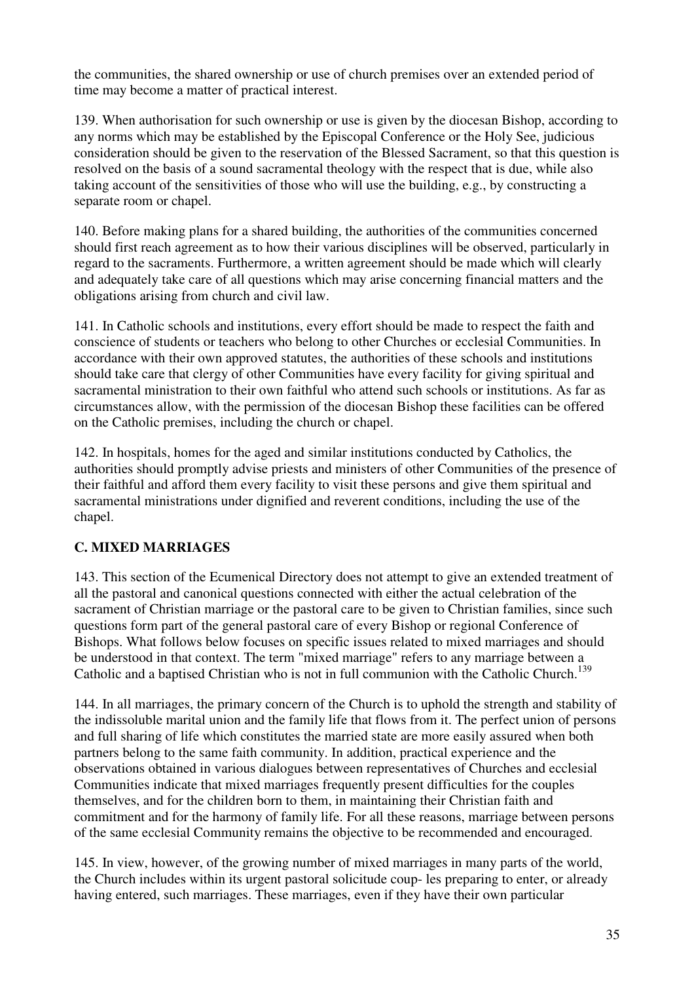the communities, the shared ownership or use of church premises over an extended period of time may become a matter of practical interest.

139. When authorisation for such ownership or use is given by the diocesan Bishop, according to any norms which may be established by the Episcopal Conference or the Holy See, judicious consideration should be given to the reservation of the Blessed Sacrament, so that this question is resolved on the basis of a sound sacramental theology with the respect that is due, while also taking account of the sensitivities of those who will use the building, e.g., by constructing a separate room or chapel.

140. Before making plans for a shared building, the authorities of the communities concerned should first reach agreement as to how their various disciplines will be observed, particularly in regard to the sacraments. Furthermore, a written agreement should be made which will clearly and adequately take care of all questions which may arise concerning financial matters and the obligations arising from church and civil law.

141. In Catholic schools and institutions, every effort should be made to respect the faith and conscience of students or teachers who belong to other Churches or ecclesial Communities. In accordance with their own approved statutes, the authorities of these schools and institutions should take care that clergy of other Communities have every facility for giving spiritual and sacramental ministration to their own faithful who attend such schools or institutions. As far as circumstances allow, with the permission of the diocesan Bishop these facilities can be offered on the Catholic premises, including the church or chapel.

142. In hospitals, homes for the aged and similar institutions conducted by Catholics, the authorities should promptly advise priests and ministers of other Communities of the presence of their faithful and afford them every facility to visit these persons and give them spiritual and sacramental ministrations under dignified and reverent conditions, including the use of the chapel.

# **C. MIXED MARRIAGES**

143. This section of the Ecumenical Directory does not attempt to give an extended treatment of all the pastoral and canonical questions connected with either the actual celebration of the sacrament of Christian marriage or the pastoral care to be given to Christian families, since such questions form part of the general pastoral care of every Bishop or regional Conference of Bishops. What follows below focuses on specific issues related to mixed marriages and should be understood in that context. The term "mixed marriage" refers to any marriage between a Catholic and a baptised Christian who is not in full communion with the Catholic Church.<sup>139</sup>

144. In all marriages, the primary concern of the Church is to uphold the strength and stability of the indissoluble marital union and the family life that flows from it. The perfect union of persons and full sharing of life which constitutes the married state are more easily assured when both partners belong to the same faith community. In addition, practical experience and the observations obtained in various dialogues between representatives of Churches and ecclesial Communities indicate that mixed marriages frequently present difficulties for the couples themselves, and for the children born to them, in maintaining their Christian faith and commitment and for the harmony of family life. For all these reasons, marriage between persons of the same ecclesial Community remains the objective to be recommended and encouraged.

145. In view, however, of the growing number of mixed marriages in many parts of the world, the Church includes within its urgent pastoral solicitude coup- les preparing to enter, or already having entered, such marriages. These marriages, even if they have their own particular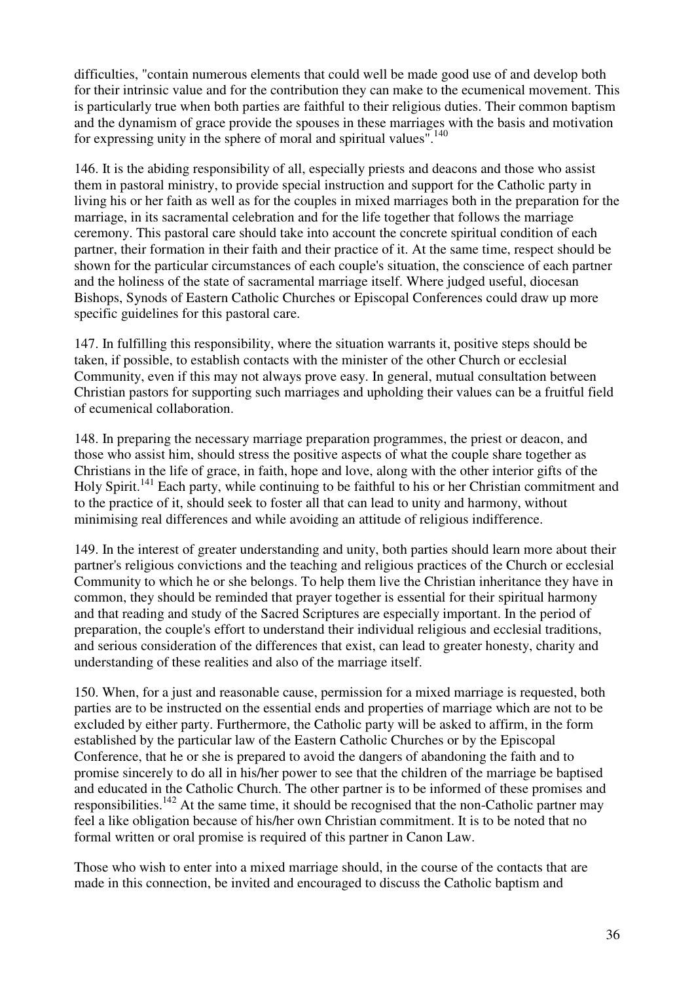difficulties, "contain numerous elements that could well be made good use of and develop both for their intrinsic value and for the contribution they can make to the ecumenical movement. This is particularly true when both parties are faithful to their religious duties. Their common baptism and the dynamism of grace provide the spouses in these marriages with the basis and motivation for expressing unity in the sphere of moral and spiritual values".<sup>140</sup>

146. It is the abiding responsibility of all, especially priests and deacons and those who assist them in pastoral ministry, to provide special instruction and support for the Catholic party in living his or her faith as well as for the couples in mixed marriages both in the preparation for the marriage, in its sacramental celebration and for the life together that follows the marriage ceremony. This pastoral care should take into account the concrete spiritual condition of each partner, their formation in their faith and their practice of it. At the same time, respect should be shown for the particular circumstances of each couple's situation, the conscience of each partner and the holiness of the state of sacramental marriage itself. Where judged useful, diocesan Bishops, Synods of Eastern Catholic Churches or Episcopal Conferences could draw up more specific guidelines for this pastoral care.

147. In fulfilling this responsibility, where the situation warrants it, positive steps should be taken, if possible, to establish contacts with the minister of the other Church or ecclesial Community, even if this may not always prove easy. In general, mutual consultation between Christian pastors for supporting such marriages and upholding their values can be a fruitful field of ecumenical collaboration.

148. In preparing the necessary marriage preparation programmes, the priest or deacon, and those who assist him, should stress the positive aspects of what the couple share together as Christians in the life of grace, in faith, hope and love, along with the other interior gifts of the Holy Spirit.<sup>141</sup> Each party, while continuing to be faithful to his or her Christian commitment and to the practice of it, should seek to foster all that can lead to unity and harmony, without minimising real differences and while avoiding an attitude of religious indifference.

149. In the interest of greater understanding and unity, both parties should learn more about their partner's religious convictions and the teaching and religious practices of the Church or ecclesial Community to which he or she belongs. To help them live the Christian inheritance they have in common, they should be reminded that prayer together is essential for their spiritual harmony and that reading and study of the Sacred Scriptures are especially important. In the period of preparation, the couple's effort to understand their individual religious and ecclesial traditions, and serious consideration of the differences that exist, can lead to greater honesty, charity and understanding of these realities and also of the marriage itself.

150. When, for a just and reasonable cause, permission for a mixed marriage is requested, both parties are to be instructed on the essential ends and properties of marriage which are not to be excluded by either party. Furthermore, the Catholic party will be asked to affirm, in the form established by the particular law of the Eastern Catholic Churches or by the Episcopal Conference, that he or she is prepared to avoid the dangers of abandoning the faith and to promise sincerely to do all in his/her power to see that the children of the marriage be baptised and educated in the Catholic Church. The other partner is to be informed of these promises and responsibilities.<sup>142</sup> At the same time, it should be recognised that the non-Catholic partner may feel a like obligation because of his/her own Christian commitment. It is to be noted that no formal written or oral promise is required of this partner in Canon Law.

Those who wish to enter into a mixed marriage should, in the course of the contacts that are made in this connection, be invited and encouraged to discuss the Catholic baptism and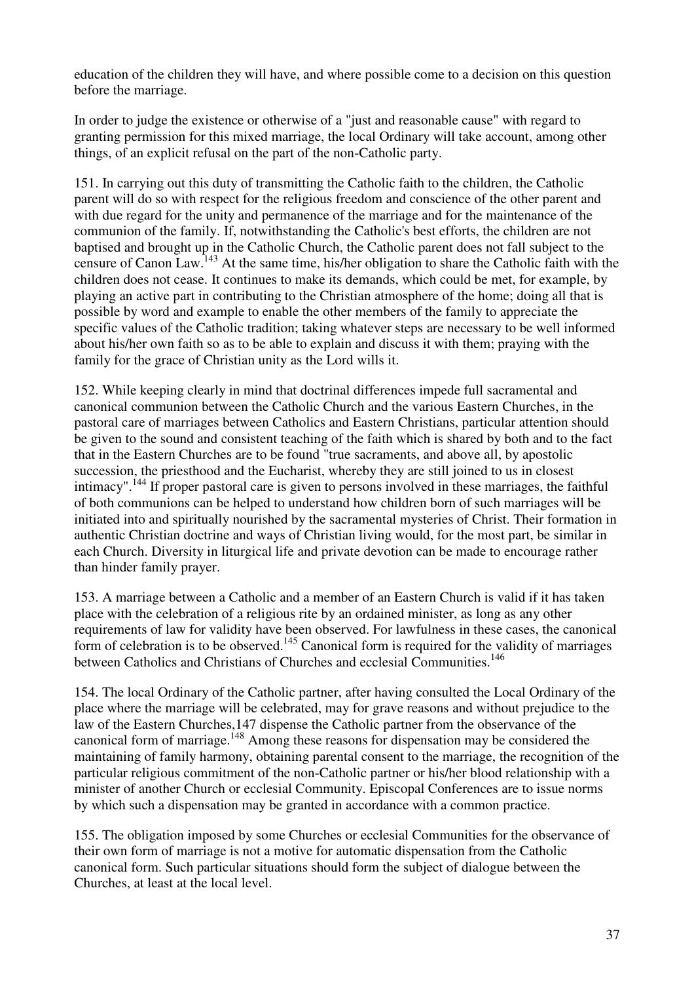education of the children they will have, and where possible come to a decision on this question before the marriage.

In order to judge the existence or otherwise of a "just and reasonable cause" with regard to granting permission for this mixed marriage, the local Ordinary will take account, among other things, of an explicit refusal on the part of the non-Catholic party.

151. In carrying out this duty of transmitting the Catholic faith to the children, the Catholic parent will do so with respect for the religious freedom and conscience of the other parent and with due regard for the unity and permanence of the marriage and for the maintenance of the communion of the family. If, notwithstanding the Catholic's best efforts, the children are not baptised and brought up in the Catholic Church, the Catholic parent does not fall subject to the censure of Canon Law.<sup>143</sup> At the same time, his/her obligation to share the Catholic faith with the children does not cease. It continues to make its demands, which could be met, for example, by playing an active part in contributing to the Christian atmosphere of the home; doing all that is possible by word and example to enable the other members of the family to appreciate the specific values of the Catholic tradition; taking whatever steps are necessary to be well informed about his/her own faith so as to be able to explain and discuss it with them; praying with the family for the grace of Christian unity as the Lord wills it.

152. While keeping clearly in mind that doctrinal differences impede full sacramental and canonical communion between the Catholic Church and the various Eastern Churches, in the pastoral care of marriages between Catholics and Eastern Christians, particular attention should be given to the sound and consistent teaching of the faith which is shared by both and to the fact that in the Eastern Churches are to be found "true sacraments, and above all, by apostolic succession, the priesthood and the Eucharist, whereby they are still joined to us in closest intimacy".<sup>144</sup> If proper pastoral care is given to persons involved in these marriages, the faithful of both communions can be helped to understand how children born of such marriages will be initiated into and spiritually nourished by the sacramental mysteries of Christ. Their formation in authentic Christian doctrine and ways of Christian living would, for the most part, be similar in each Church. Diversity in liturgical life and private devotion can be made to encourage rather than hinder family prayer.

153. A marriage between a Catholic and a member of an Eastern Church is valid if it has taken place with the celebration of a religious rite by an ordained minister, as long as any other requirements of law for validity have been observed. For lawfulness in these cases, the canonical form of celebration is to be observed.<sup>145</sup> Canonical form is required for the validity of marriages between Catholics and Christians of Churches and ecclesial Communities.<sup>146</sup>

154. The local Ordinary of the Catholic partner, after having consulted the Local Ordinary of the place where the marriage will be celebrated, may for grave reasons and without prejudice to the law of the Eastern Churches,147 dispense the Catholic partner from the observance of the canonical form of marriage.<sup>148</sup> Among these reasons for dispensation may be considered the maintaining of family harmony, obtaining parental consent to the marriage, the recognition of the particular religious commitment of the non-Catholic partner or his/her blood relationship with a minister of another Church or ecclesial Community. Episcopal Conferences are to issue norms by which such a dispensation may be granted in accordance with a common practice.

155. The obligation imposed by some Churches or ecclesial Communities for the observance of their own form of marriage is not a motive for automatic dispensation from the Catholic canonical form. Such particular situations should form the subject of dialogue between the Churches, at least at the local level.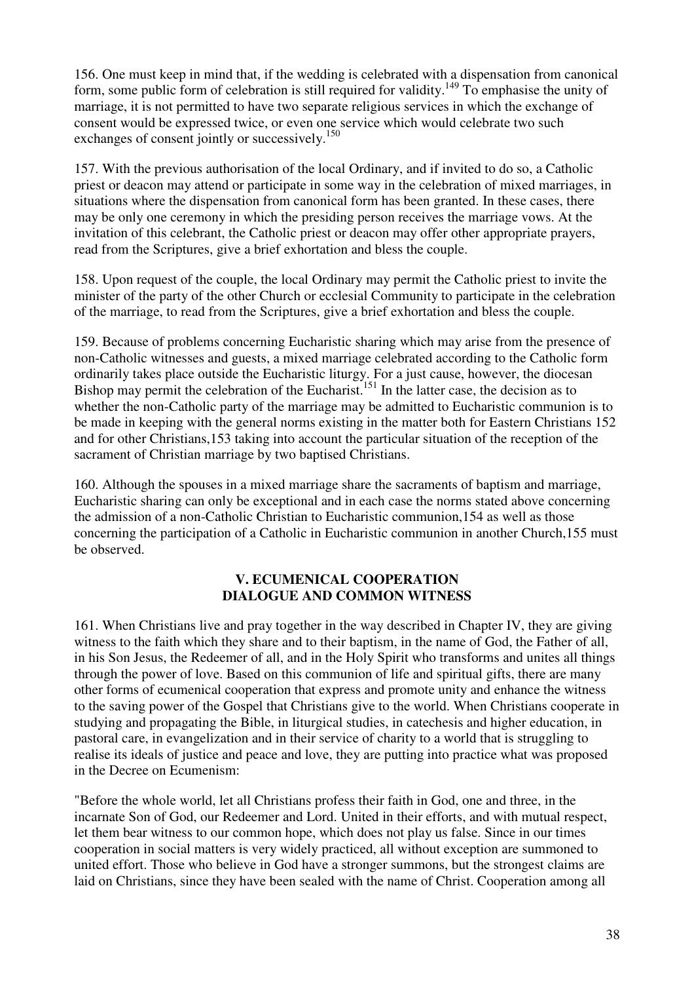156. One must keep in mind that, if the wedding is celebrated with a dispensation from canonical form, some public form of celebration is still required for validity.<sup>149</sup> To emphasise the unity of marriage, it is not permitted to have two separate religious services in which the exchange of consent would be expressed twice, or even one service which would celebrate two such exchanges of consent jointly or successively.<sup>150</sup>

157. With the previous authorisation of the local Ordinary, and if invited to do so, a Catholic priest or deacon may attend or participate in some way in the celebration of mixed marriages, in situations where the dispensation from canonical form has been granted. In these cases, there may be only one ceremony in which the presiding person receives the marriage vows. At the invitation of this celebrant, the Catholic priest or deacon may offer other appropriate prayers, read from the Scriptures, give a brief exhortation and bless the couple.

158. Upon request of the couple, the local Ordinary may permit the Catholic priest to invite the minister of the party of the other Church or ecclesial Community to participate in the celebration of the marriage, to read from the Scriptures, give a brief exhortation and bless the couple.

159. Because of problems concerning Eucharistic sharing which may arise from the presence of non-Catholic witnesses and guests, a mixed marriage celebrated according to the Catholic form ordinarily takes place outside the Eucharistic liturgy. For a just cause, however, the diocesan Bishop may permit the celebration of the Eucharist.<sup>151</sup> In the latter case, the decision as to whether the non-Catholic party of the marriage may be admitted to Eucharistic communion is to be made in keeping with the general norms existing in the matter both for Eastern Christians 152 and for other Christians,153 taking into account the particular situation of the reception of the sacrament of Christian marriage by two baptised Christians.

160. Although the spouses in a mixed marriage share the sacraments of baptism and marriage, Eucharistic sharing can only be exceptional and in each case the norms stated above concerning the admission of a non-Catholic Christian to Eucharistic communion,154 as well as those concerning the participation of a Catholic in Eucharistic communion in another Church,155 must be observed.

## **V. ECUMENICAL COOPERATION DIALOGUE AND COMMON WITNESS**

161. When Christians live and pray together in the way described in Chapter IV, they are giving witness to the faith which they share and to their baptism, in the name of God, the Father of all, in his Son Jesus, the Redeemer of all, and in the Holy Spirit who transforms and unites all things through the power of love. Based on this communion of life and spiritual gifts, there are many other forms of ecumenical cooperation that express and promote unity and enhance the witness to the saving power of the Gospel that Christians give to the world. When Christians cooperate in studying and propagating the Bible, in liturgical studies, in catechesis and higher education, in pastoral care, in evangelization and in their service of charity to a world that is struggling to realise its ideals of justice and peace and love, they are putting into practice what was proposed in the Decree on Ecumenism:

"Before the whole world, let all Christians profess their faith in God, one and three, in the incarnate Son of God, our Redeemer and Lord. United in their efforts, and with mutual respect, let them bear witness to our common hope, which does not play us false. Since in our times cooperation in social matters is very widely practiced, all without exception are summoned to united effort. Those who believe in God have a stronger summons, but the strongest claims are laid on Christians, since they have been sealed with the name of Christ. Cooperation among all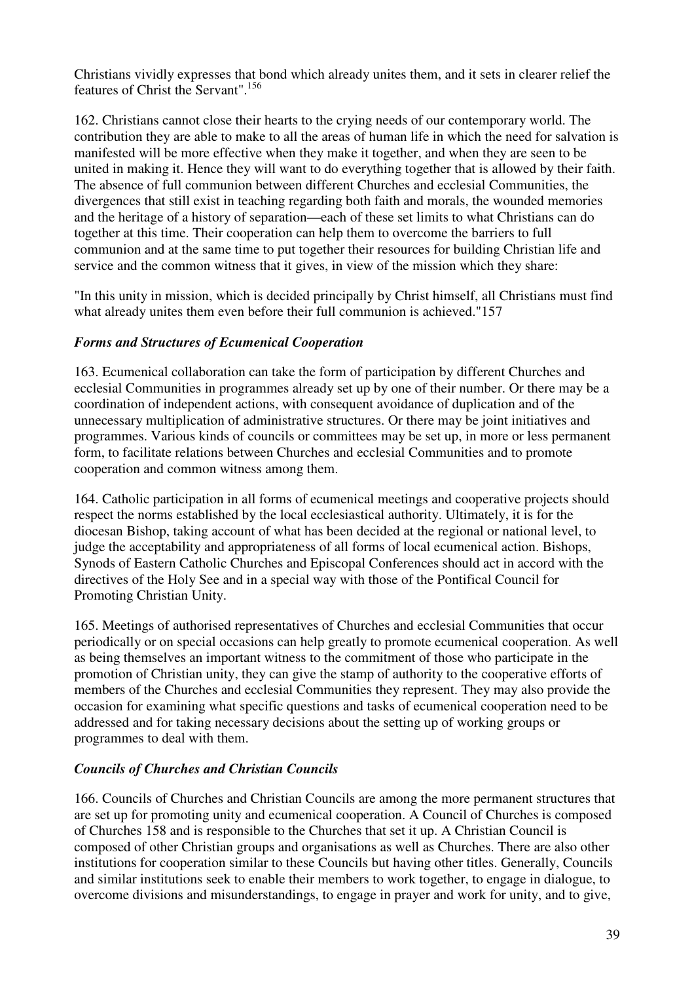Christians vividly expresses that bond which already unites them, and it sets in clearer relief the features of Christ the Servant".<sup>156</sup>

162. Christians cannot close their hearts to the crying needs of our contemporary world. The contribution they are able to make to all the areas of human life in which the need for salvation is manifested will be more effective when they make it together, and when they are seen to be united in making it. Hence they will want to do everything together that is allowed by their faith. The absence of full communion between different Churches and ecclesial Communities, the divergences that still exist in teaching regarding both faith and morals, the wounded memories and the heritage of a history of separation—each of these set limits to what Christians can do together at this time. Their cooperation can help them to overcome the barriers to full communion and at the same time to put together their resources for building Christian life and service and the common witness that it gives, in view of the mission which they share:

"In this unity in mission, which is decided principally by Christ himself, all Christians must find what already unites them even before their full communion is achieved."157

## *Forms and Structures of Ecumenical Cooperation*

163. Ecumenical collaboration can take the form of participation by different Churches and ecclesial Communities in programmes already set up by one of their number. Or there may be a coordination of independent actions, with consequent avoidance of duplication and of the unnecessary multiplication of administrative structures. Or there may be joint initiatives and programmes. Various kinds of councils or committees may be set up, in more or less permanent form, to facilitate relations between Churches and ecclesial Communities and to promote cooperation and common witness among them.

164. Catholic participation in all forms of ecumenical meetings and cooperative projects should respect the norms established by the local ecclesiastical authority. Ultimately, it is for the diocesan Bishop, taking account of what has been decided at the regional or national level, to judge the acceptability and appropriateness of all forms of local ecumenical action. Bishops, Synods of Eastern Catholic Churches and Episcopal Conferences should act in accord with the directives of the Holy See and in a special way with those of the Pontifical Council for Promoting Christian Unity.

165. Meetings of authorised representatives of Churches and ecclesial Communities that occur periodically or on special occasions can help greatly to promote ecumenical cooperation. As well as being themselves an important witness to the commitment of those who participate in the promotion of Christian unity, they can give the stamp of authority to the cooperative efforts of members of the Churches and ecclesial Communities they represent. They may also provide the occasion for examining what specific questions and tasks of ecumenical cooperation need to be addressed and for taking necessary decisions about the setting up of working groups or programmes to deal with them.

# *Councils of Churches and Christian Councils*

166. Councils of Churches and Christian Councils are among the more permanent structures that are set up for promoting unity and ecumenical cooperation. A Council of Churches is composed of Churches 158 and is responsible to the Churches that set it up. A Christian Council is composed of other Christian groups and organisations as well as Churches. There are also other institutions for cooperation similar to these Councils but having other titles. Generally, Councils and similar institutions seek to enable their members to work together, to engage in dialogue, to overcome divisions and misunderstandings, to engage in prayer and work for unity, and to give,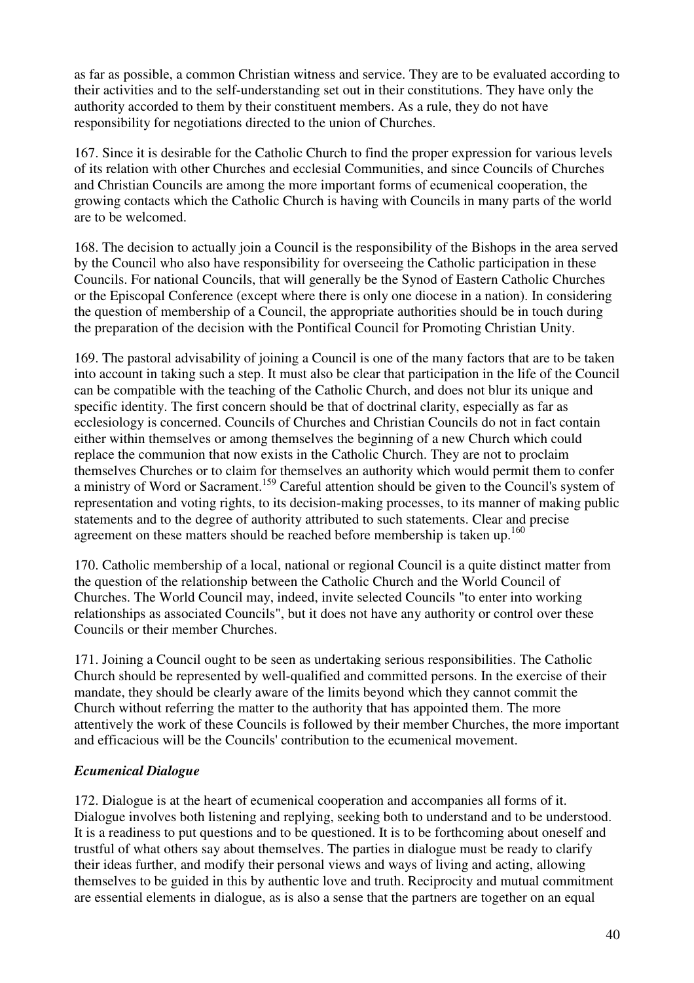as far as possible, a common Christian witness and service. They are to be evaluated according to their activities and to the self-understanding set out in their constitutions. They have only the authority accorded to them by their constituent members. As a rule, they do not have responsibility for negotiations directed to the union of Churches.

167. Since it is desirable for the Catholic Church to find the proper expression for various levels of its relation with other Churches and ecclesial Communities, and since Councils of Churches and Christian Councils are among the more important forms of ecumenical cooperation, the growing contacts which the Catholic Church is having with Councils in many parts of the world are to be welcomed.

168. The decision to actually join a Council is the responsibility of the Bishops in the area served by the Council who also have responsibility for overseeing the Catholic participation in these Councils. For national Councils, that will generally be the Synod of Eastern Catholic Churches or the Episcopal Conference (except where there is only one diocese in a nation). In considering the question of membership of a Council, the appropriate authorities should be in touch during the preparation of the decision with the Pontifical Council for Promoting Christian Unity.

169. The pastoral advisability of joining a Council is one of the many factors that are to be taken into account in taking such a step. It must also be clear that participation in the life of the Council can be compatible with the teaching of the Catholic Church, and does not blur its unique and specific identity. The first concern should be that of doctrinal clarity, especially as far as ecclesiology is concerned. Councils of Churches and Christian Councils do not in fact contain either within themselves or among themselves the beginning of a new Church which could replace the communion that now exists in the Catholic Church. They are not to proclaim themselves Churches or to claim for themselves an authority which would permit them to confer a ministry of Word or Sacrament.<sup>159</sup> Careful attention should be given to the Council's system of representation and voting rights, to its decision-making processes, to its manner of making public statements and to the degree of authority attributed to such statements. Clear and precise agreement on these matters should be reached before membership is taken up.<sup>160</sup>

170. Catholic membership of a local, national or regional Council is a quite distinct matter from the question of the relationship between the Catholic Church and the World Council of Churches. The World Council may, indeed, invite selected Councils "to enter into working relationships as associated Councils", but it does not have any authority or control over these Councils or their member Churches.

171. Joining a Council ought to be seen as undertaking serious responsibilities. The Catholic Church should be represented by well-qualified and committed persons. In the exercise of their mandate, they should be clearly aware of the limits beyond which they cannot commit the Church without referring the matter to the authority that has appointed them. The more attentively the work of these Councils is followed by their member Churches, the more important and efficacious will be the Councils' contribution to the ecumenical movement.

# *Ecumenical Dialogue*

172. Dialogue is at the heart of ecumenical cooperation and accompanies all forms of it. Dialogue involves both listening and replying, seeking both to understand and to be understood. It is a readiness to put questions and to be questioned. It is to be forthcoming about oneself and trustful of what others say about themselves. The parties in dialogue must be ready to clarify their ideas further, and modify their personal views and ways of living and acting, allowing themselves to be guided in this by authentic love and truth. Reciprocity and mutual commitment are essential elements in dialogue, as is also a sense that the partners are together on an equal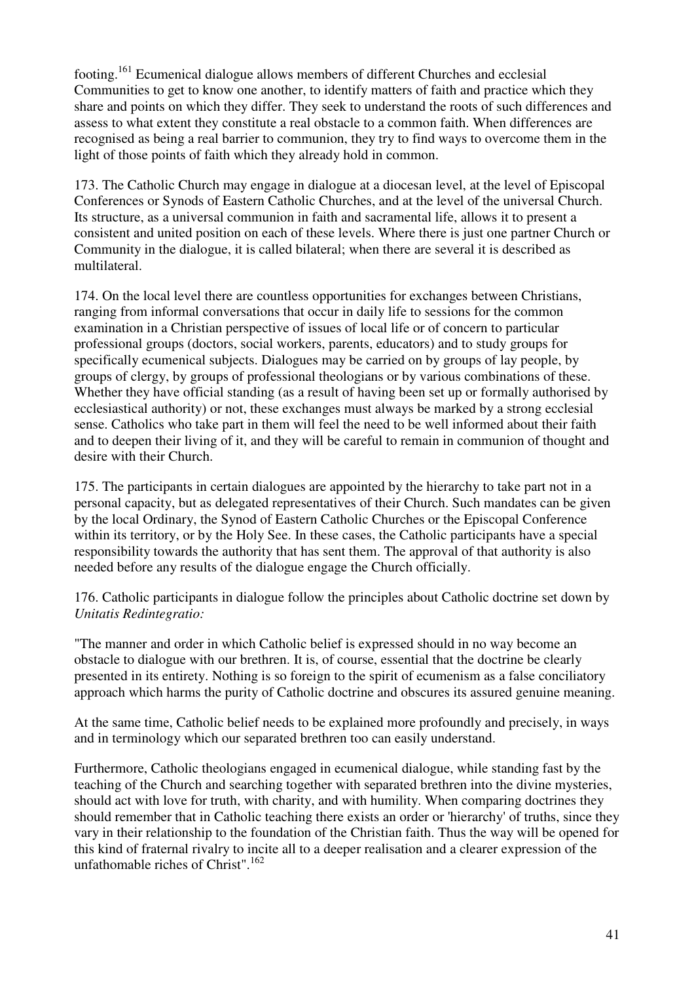footing.<sup>161</sup> Ecumenical dialogue allows members of different Churches and ecclesial Communities to get to know one another, to identify matters of faith and practice which they share and points on which they differ. They seek to understand the roots of such differences and assess to what extent they constitute a real obstacle to a common faith. When differences are recognised as being a real barrier to communion, they try to find ways to overcome them in the light of those points of faith which they already hold in common.

173. The Catholic Church may engage in dialogue at a diocesan level, at the level of Episcopal Conferences or Synods of Eastern Catholic Churches, and at the level of the universal Church. Its structure, as a universal communion in faith and sacramental life, allows it to present a consistent and united position on each of these levels. Where there is just one partner Church or Community in the dialogue, it is called bilateral; when there are several it is described as multilateral.

174. On the local level there are countless opportunities for exchanges between Christians, ranging from informal conversations that occur in daily life to sessions for the common examination in a Christian perspective of issues of local life or of concern to particular professional groups (doctors, social workers, parents, educators) and to study groups for specifically ecumenical subjects. Dialogues may be carried on by groups of lay people, by groups of clergy, by groups of professional theologians or by various combinations of these. Whether they have official standing (as a result of having been set up or formally authorised by ecclesiastical authority) or not, these exchanges must always be marked by a strong ecclesial sense. Catholics who take part in them will feel the need to be well informed about their faith and to deepen their living of it, and they will be careful to remain in communion of thought and desire with their Church.

175. The participants in certain dialogues are appointed by the hierarchy to take part not in a personal capacity, but as delegated representatives of their Church. Such mandates can be given by the local Ordinary, the Synod of Eastern Catholic Churches or the Episcopal Conference within its territory, or by the Holy See. In these cases, the Catholic participants have a special responsibility towards the authority that has sent them. The approval of that authority is also needed before any results of the dialogue engage the Church officially.

176. Catholic participants in dialogue follow the principles about Catholic doctrine set down by *Unitatis Redintegratio:*

"The manner and order in which Catholic belief is expressed should in no way become an obstacle to dialogue with our brethren. It is, of course, essential that the doctrine be clearly presented in its entirety. Nothing is so foreign to the spirit of ecumenism as a false conciliatory approach which harms the purity of Catholic doctrine and obscures its assured genuine meaning.

At the same time, Catholic belief needs to be explained more profoundly and precisely, in ways and in terminology which our separated brethren too can easily understand.

Furthermore, Catholic theologians engaged in ecumenical dialogue, while standing fast by the teaching of the Church and searching together with separated brethren into the divine mysteries, should act with love for truth, with charity, and with humility. When comparing doctrines they should remember that in Catholic teaching there exists an order or 'hierarchy' of truths, since they vary in their relationship to the foundation of the Christian faith. Thus the way will be opened for this kind of fraternal rivalry to incite all to a deeper realisation and a clearer expression of the unfathomable riches of Christ". $162$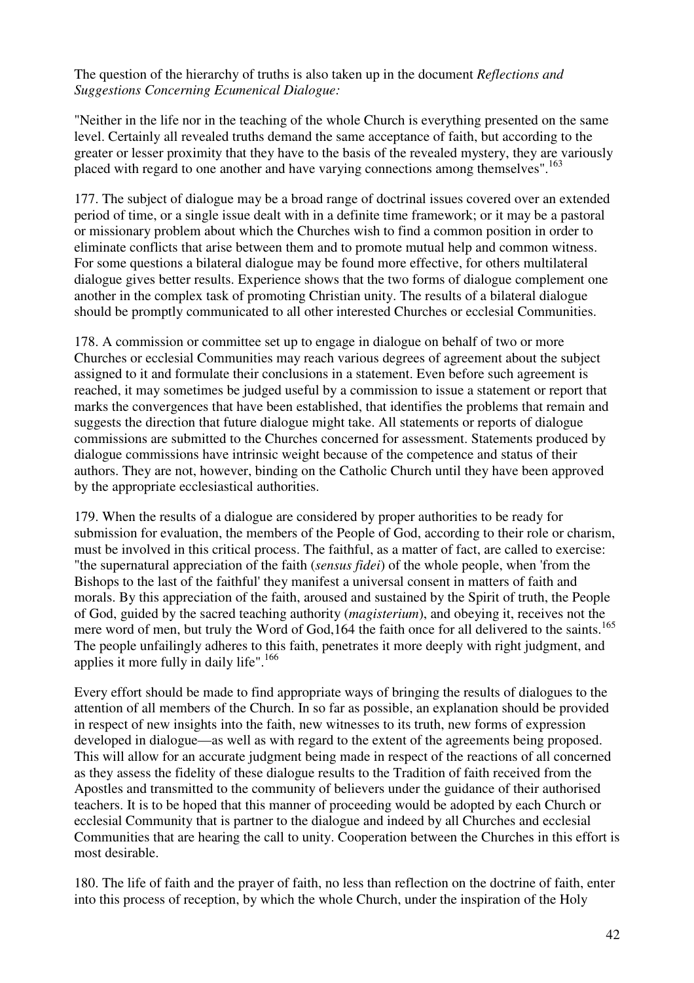The question of the hierarchy of truths is also taken up in the document *Reflections and Suggestions Concerning Ecumenical Dialogue:*

"Neither in the life nor in the teaching of the whole Church is everything presented on the same level. Certainly all revealed truths demand the same acceptance of faith, but according to the greater or lesser proximity that they have to the basis of the revealed mystery, they are variously placed with regard to one another and have varying connections among themselves".<sup>163</sup>

177. The subject of dialogue may be a broad range of doctrinal issues covered over an extended period of time, or a single issue dealt with in a definite time framework; or it may be a pastoral or missionary problem about which the Churches wish to find a common position in order to eliminate conflicts that arise between them and to promote mutual help and common witness. For some questions a bilateral dialogue may be found more effective, for others multilateral dialogue gives better results. Experience shows that the two forms of dialogue complement one another in the complex task of promoting Christian unity. The results of a bilateral dialogue should be promptly communicated to all other interested Churches or ecclesial Communities.

178. A commission or committee set up to engage in dialogue on behalf of two or more Churches or ecclesial Communities may reach various degrees of agreement about the subject assigned to it and formulate their conclusions in a statement. Even before such agreement is reached, it may sometimes be judged useful by a commission to issue a statement or report that marks the convergences that have been established, that identifies the problems that remain and suggests the direction that future dialogue might take. All statements or reports of dialogue commissions are submitted to the Churches concerned for assessment. Statements produced by dialogue commissions have intrinsic weight because of the competence and status of their authors. They are not, however, binding on the Catholic Church until they have been approved by the appropriate ecclesiastical authorities.

179. When the results of a dialogue are considered by proper authorities to be ready for submission for evaluation, the members of the People of God, according to their role or charism, must be involved in this critical process. The faithful, as a matter of fact, are called to exercise: "the supernatural appreciation of the faith (*sensus fidei*) of the whole people, when 'from the Bishops to the last of the faithful' they manifest a universal consent in matters of faith and morals. By this appreciation of the faith, aroused and sustained by the Spirit of truth, the People of God, guided by the sacred teaching authority (*magisterium*), and obeying it, receives not the mere word of men, but truly the Word of God,164 the faith once for all delivered to the saints.<sup>165</sup> The people unfailingly adheres to this faith, penetrates it more deeply with right judgment, and applies it more fully in daily life".<sup>166</sup>

Every effort should be made to find appropriate ways of bringing the results of dialogues to the attention of all members of the Church. In so far as possible, an explanation should be provided in respect of new insights into the faith, new witnesses to its truth, new forms of expression developed in dialogue—as well as with regard to the extent of the agreements being proposed. This will allow for an accurate judgment being made in respect of the reactions of all concerned as they assess the fidelity of these dialogue results to the Tradition of faith received from the Apostles and transmitted to the community of believers under the guidance of their authorised teachers. It is to be hoped that this manner of proceeding would be adopted by each Church or ecclesial Community that is partner to the dialogue and indeed by all Churches and ecclesial Communities that are hearing the call to unity. Cooperation between the Churches in this effort is most desirable.

180. The life of faith and the prayer of faith, no less than reflection on the doctrine of faith, enter into this process of reception, by which the whole Church, under the inspiration of the Holy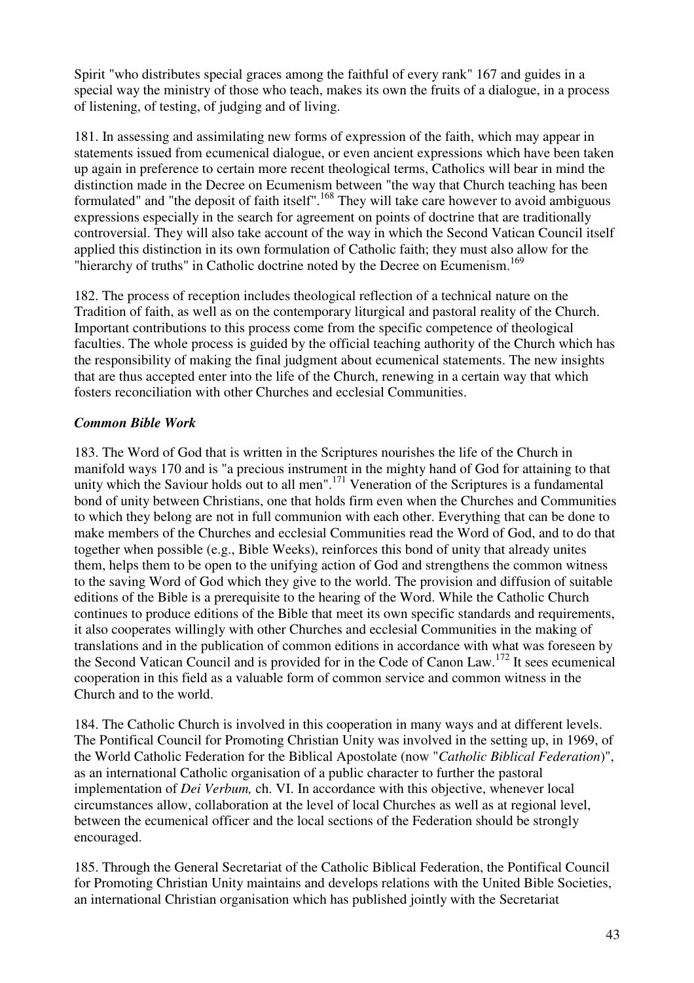Spirit "who distributes special graces among the faithful of every rank" 167 and guides in a special way the ministry of those who teach, makes its own the fruits of a dialogue, in a process of listening, of testing, of judging and of living.

181. In assessing and assimilating new forms of expression of the faith, which may appear in statements issued from ecumenical dialogue, or even ancient expressions which have been taken up again in preference to certain more recent theological terms, Catholics will bear in mind the distinction made in the Decree on Ecumenism between "the way that Church teaching has been formulated" and "the deposit of faith itself".<sup>168</sup> They will take care however to avoid ambiguous expressions especially in the search for agreement on points of doctrine that are traditionally controversial. They will also take account of the way in which the Second Vatican Council itself applied this distinction in its own formulation of Catholic faith; they must also allow for the "hierarchy of truths" in Catholic doctrine noted by the Decree on Ecumenism.<sup>169</sup>

182. The process of reception includes theological reflection of a technical nature on the Tradition of faith, as well as on the contemporary liturgical and pastoral reality of the Church. Important contributions to this process come from the specific competence of theological faculties. The whole process is guided by the official teaching authority of the Church which has the responsibility of making the final judgment about ecumenical statements. The new insights that are thus accepted enter into the life of the Church, renewing in a certain way that which fosters reconciliation with other Churches and ecclesial Communities.

## *Common Bible Work*

183. The Word of God that is written in the Scriptures nourishes the life of the Church in manifold ways 170 and is "a precious instrument in the mighty hand of God for attaining to that unity which the Saviour holds out to all men".<sup>171</sup> Veneration of the Scriptures is a fundamental bond of unity between Christians, one that holds firm even when the Churches and Communities to which they belong are not in full communion with each other. Everything that can be done to make members of the Churches and ecclesial Communities read the Word of God, and to do that together when possible (e.g., Bible Weeks), reinforces this bond of unity that already unites them, helps them to be open to the unifying action of God and strengthens the common witness to the saving Word of God which they give to the world. The provision and diffusion of suitable editions of the Bible is a prerequisite to the hearing of the Word. While the Catholic Church continues to produce editions of the Bible that meet its own specific standards and requirements, it also cooperates willingly with other Churches and ecclesial Communities in the making of translations and in the publication of common editions in accordance with what was foreseen by the Second Vatican Council and is provided for in the Code of Canon Law.<sup>172</sup> It sees ecumenical cooperation in this field as a valuable form of common service and common witness in the Church and to the world.

184. The Catholic Church is involved in this cooperation in many ways and at different levels. The Pontifical Council for Promoting Christian Unity was involved in the setting up, in 1969, of the World Catholic Federation for the Biblical Apostolate (now "*Catholic Biblical Federation*)", as an international Catholic organisation of a public character to further the pastoral implementation of *Dei Verbum,* ch. VI. In accordance with this objective, whenever local circumstances allow, collaboration at the level of local Churches as well as at regional level, between the ecumenical officer and the local sections of the Federation should be strongly encouraged.

185. Through the General Secretariat of the Catholic Biblical Federation, the Pontifical Council for Promoting Christian Unity maintains and develops relations with the United Bible Societies, an international Christian organisation which has published jointly with the Secretariat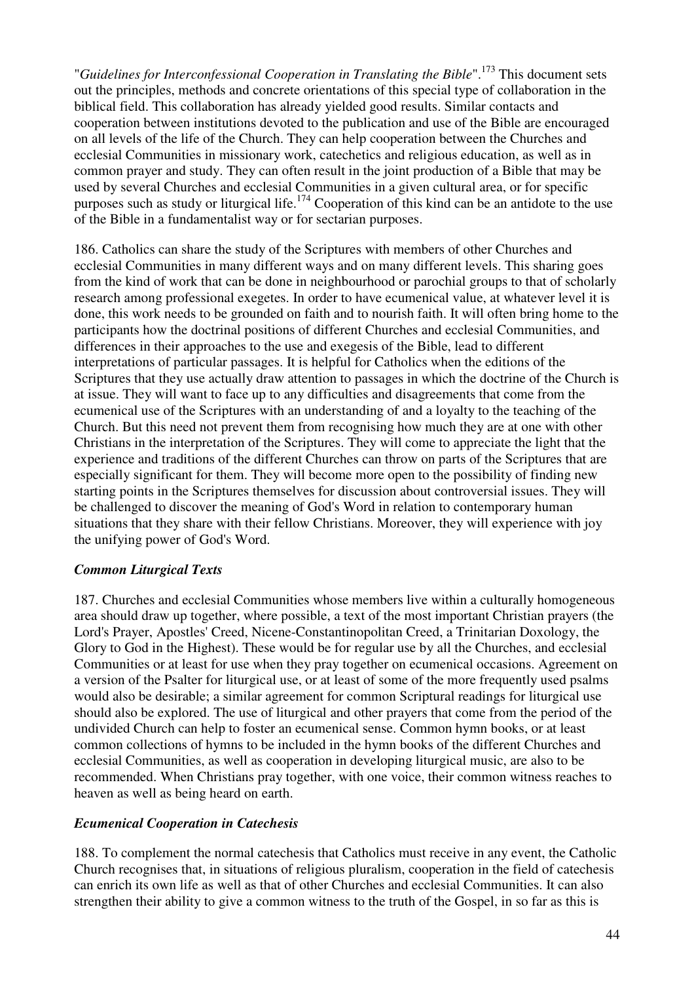"*Guidelines for Interconfessional Cooperation in Translating the Bible*".<sup>173</sup> This document sets out the principles, methods and concrete orientations of this special type of collaboration in the biblical field. This collaboration has already yielded good results. Similar contacts and cooperation between institutions devoted to the publication and use of the Bible are encouraged on all levels of the life of the Church. They can help cooperation between the Churches and ecclesial Communities in missionary work, catechetics and religious education, as well as in common prayer and study. They can often result in the joint production of a Bible that may be used by several Churches and ecclesial Communities in a given cultural area, or for specific purposes such as study or liturgical life.<sup>174</sup> Cooperation of this kind can be an antidote to the use of the Bible in a fundamentalist way or for sectarian purposes.

186. Catholics can share the study of the Scriptures with members of other Churches and ecclesial Communities in many different ways and on many different levels. This sharing goes from the kind of work that can be done in neighbourhood or parochial groups to that of scholarly research among professional exegetes. In order to have ecumenical value, at whatever level it is done, this work needs to be grounded on faith and to nourish faith. It will often bring home to the participants how the doctrinal positions of different Churches and ecclesial Communities, and differences in their approaches to the use and exegesis of the Bible, lead to different interpretations of particular passages. It is helpful for Catholics when the editions of the Scriptures that they use actually draw attention to passages in which the doctrine of the Church is at issue. They will want to face up to any difficulties and disagreements that come from the ecumenical use of the Scriptures with an understanding of and a loyalty to the teaching of the Church. But this need not prevent them from recognising how much they are at one with other Christians in the interpretation of the Scriptures. They will come to appreciate the light that the experience and traditions of the different Churches can throw on parts of the Scriptures that are especially significant for them. They will become more open to the possibility of finding new starting points in the Scriptures themselves for discussion about controversial issues. They will be challenged to discover the meaning of God's Word in relation to contemporary human situations that they share with their fellow Christians. Moreover, they will experience with joy the unifying power of God's Word.

# *Common Liturgical Texts*

187. Churches and ecclesial Communities whose members live within a culturally homogeneous area should draw up together, where possible, a text of the most important Christian prayers (the Lord's Prayer, Apostles' Creed, Nicene-Constantinopolitan Creed, a Trinitarian Doxology, the Glory to God in the Highest). These would be for regular use by all the Churches, and ecclesial Communities or at least for use when they pray together on ecumenical occasions. Agreement on a version of the Psalter for liturgical use, or at least of some of the more frequently used psalms would also be desirable; a similar agreement for common Scriptural readings for liturgical use should also be explored. The use of liturgical and other prayers that come from the period of the undivided Church can help to foster an ecumenical sense. Common hymn books, or at least common collections of hymns to be included in the hymn books of the different Churches and ecclesial Communities, as well as cooperation in developing liturgical music, are also to be recommended. When Christians pray together, with one voice, their common witness reaches to heaven as well as being heard on earth.

## *Ecumenical Cooperation in Catechesis*

188. To complement the normal catechesis that Catholics must receive in any event, the Catholic Church recognises that, in situations of religious pluralism, cooperation in the field of catechesis can enrich its own life as well as that of other Churches and ecclesial Communities. It can also strengthen their ability to give a common witness to the truth of the Gospel, in so far as this is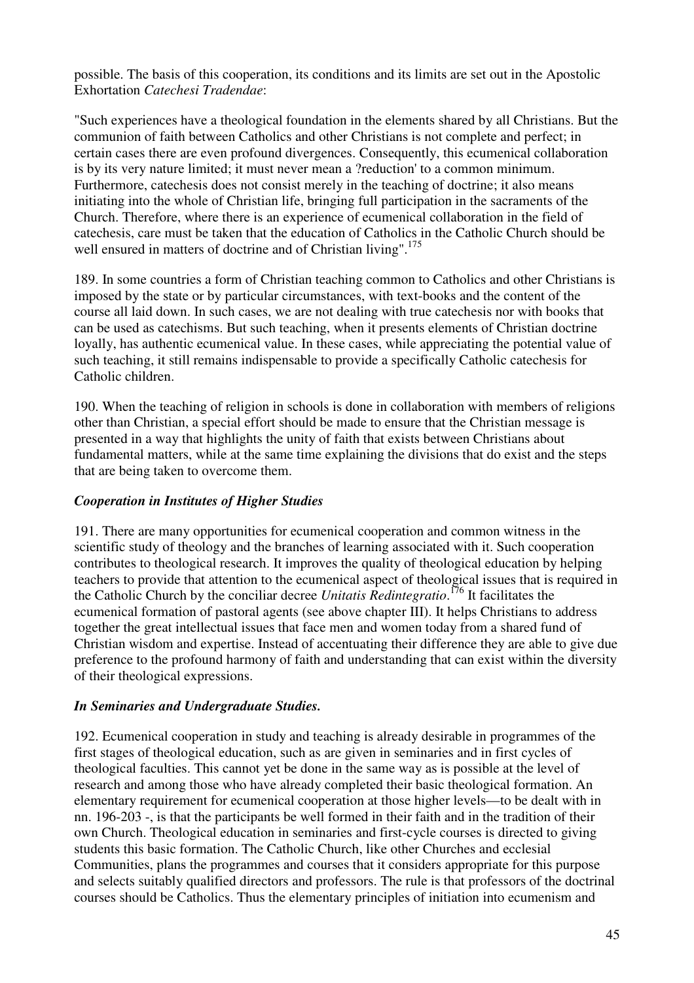possible. The basis of this cooperation, its conditions and its limits are set out in the Apostolic Exhortation *Catechesi Tradendae*:

"Such experiences have a theological foundation in the elements shared by all Christians. But the communion of faith between Catholics and other Christians is not complete and perfect; in certain cases there are even profound divergences. Consequently, this ecumenical collaboration is by its very nature limited; it must never mean a ?reduction' to a common minimum. Furthermore, catechesis does not consist merely in the teaching of doctrine; it also means initiating into the whole of Christian life, bringing full participation in the sacraments of the Church. Therefore, where there is an experience of ecumenical collaboration in the field of catechesis, care must be taken that the education of Catholics in the Catholic Church should be well ensured in matters of doctrine and of Christian living".<sup>175</sup>

189. In some countries a form of Christian teaching common to Catholics and other Christians is imposed by the state or by particular circumstances, with text-books and the content of the course all laid down. In such cases, we are not dealing with true catechesis nor with books that can be used as catechisms. But such teaching, when it presents elements of Christian doctrine loyally, has authentic ecumenical value. In these cases, while appreciating the potential value of such teaching, it still remains indispensable to provide a specifically Catholic catechesis for Catholic children.

190. When the teaching of religion in schools is done in collaboration with members of religions other than Christian, a special effort should be made to ensure that the Christian message is presented in a way that highlights the unity of faith that exists between Christians about fundamental matters, while at the same time explaining the divisions that do exist and the steps that are being taken to overcome them.

## *Cooperation in Institutes of Higher Studies*

191. There are many opportunities for ecumenical cooperation and common witness in the scientific study of theology and the branches of learning associated with it. Such cooperation contributes to theological research. It improves the quality of theological education by helping teachers to provide that attention to the ecumenical aspect of theological issues that is required in the Catholic Church by the conciliar decree *Unitatis Redintegratio*. <sup>176</sup> It facilitates the ecumenical formation of pastoral agents (see above chapter III). It helps Christians to address together the great intellectual issues that face men and women today from a shared fund of Christian wisdom and expertise. Instead of accentuating their difference they are able to give due preference to the profound harmony of faith and understanding that can exist within the diversity of their theological expressions.

#### *In Seminaries and Undergraduate Studies.*

192. Ecumenical cooperation in study and teaching is already desirable in programmes of the first stages of theological education, such as are given in seminaries and in first cycles of theological faculties. This cannot yet be done in the same way as is possible at the level of research and among those who have already completed their basic theological formation. An elementary requirement for ecumenical cooperation at those higher levels—to be dealt with in nn. 196-203 -, is that the participants be well formed in their faith and in the tradition of their own Church. Theological education in seminaries and first-cycle courses is directed to giving students this basic formation. The Catholic Church, like other Churches and ecclesial Communities, plans the programmes and courses that it considers appropriate for this purpose and selects suitably qualified directors and professors. The rule is that professors of the doctrinal courses should be Catholics. Thus the elementary principles of initiation into ecumenism and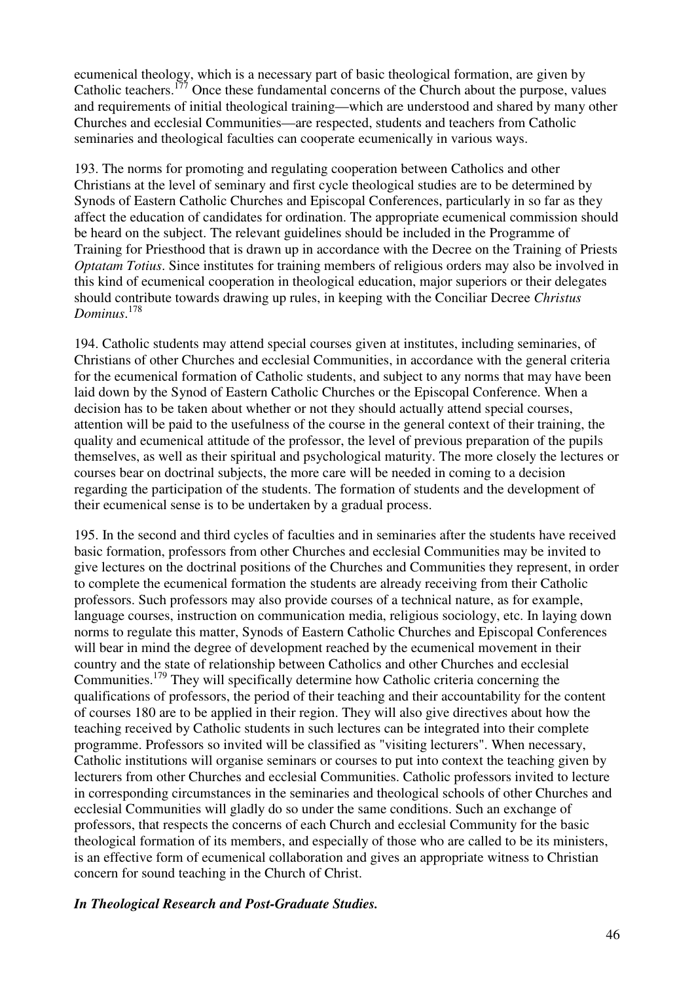ecumenical theology, which is a necessary part of basic theological formation, are given by Catholic teachers.<sup>177</sup> Once these fundamental concerns of the Church about the purpose, values and requirements of initial theological training—which are understood and shared by many other Churches and ecclesial Communities—are respected, students and teachers from Catholic seminaries and theological faculties can cooperate ecumenically in various ways.

193. The norms for promoting and regulating cooperation between Catholics and other Christians at the level of seminary and first cycle theological studies are to be determined by Synods of Eastern Catholic Churches and Episcopal Conferences, particularly in so far as they affect the education of candidates for ordination. The appropriate ecumenical commission should be heard on the subject. The relevant guidelines should be included in the Programme of Training for Priesthood that is drawn up in accordance with the Decree on the Training of Priests *Optatam Totius*. Since institutes for training members of religious orders may also be involved in this kind of ecumenical cooperation in theological education, major superiors or their delegates should contribute towards drawing up rules, in keeping with the Conciliar Decree *Christus Dominus*. 178

194. Catholic students may attend special courses given at institutes, including seminaries, of Christians of other Churches and ecclesial Communities, in accordance with the general criteria for the ecumenical formation of Catholic students, and subject to any norms that may have been laid down by the Synod of Eastern Catholic Churches or the Episcopal Conference. When a decision has to be taken about whether or not they should actually attend special courses, attention will be paid to the usefulness of the course in the general context of their training, the quality and ecumenical attitude of the professor, the level of previous preparation of the pupils themselves, as well as their spiritual and psychological maturity. The more closely the lectures or courses bear on doctrinal subjects, the more care will be needed in coming to a decision regarding the participation of the students. The formation of students and the development of their ecumenical sense is to be undertaken by a gradual process.

195. In the second and third cycles of faculties and in seminaries after the students have received basic formation, professors from other Churches and ecclesial Communities may be invited to give lectures on the doctrinal positions of the Churches and Communities they represent, in order to complete the ecumenical formation the students are already receiving from their Catholic professors. Such professors may also provide courses of a technical nature, as for example, language courses, instruction on communication media, religious sociology, etc. In laying down norms to regulate this matter, Synods of Eastern Catholic Churches and Episcopal Conferences will bear in mind the degree of development reached by the ecumenical movement in their country and the state of relationship between Catholics and other Churches and ecclesial Communities.<sup>179</sup> They will specifically determine how Catholic criteria concerning the qualifications of professors, the period of their teaching and their accountability for the content of courses 180 are to be applied in their region. They will also give directives about how the teaching received by Catholic students in such lectures can be integrated into their complete programme. Professors so invited will be classified as "visiting lecturers". When necessary, Catholic institutions will organise seminars or courses to put into context the teaching given by lecturers from other Churches and ecclesial Communities. Catholic professors invited to lecture in corresponding circumstances in the seminaries and theological schools of other Churches and ecclesial Communities will gladly do so under the same conditions. Such an exchange of professors, that respects the concerns of each Church and ecclesial Community for the basic theological formation of its members, and especially of those who are called to be its ministers, is an effective form of ecumenical collaboration and gives an appropriate witness to Christian concern for sound teaching in the Church of Christ.

## *In Theological Research and Post-Graduate Studies.*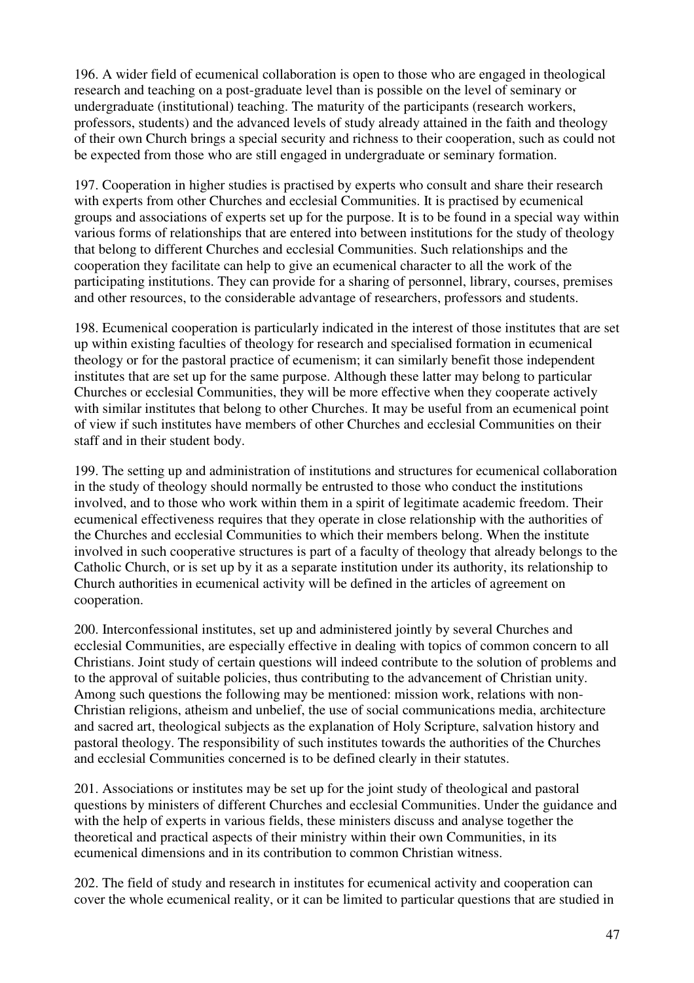196. A wider field of ecumenical collaboration is open to those who are engaged in theological research and teaching on a post-graduate level than is possible on the level of seminary or undergraduate (institutional) teaching. The maturity of the participants (research workers, professors, students) and the advanced levels of study already attained in the faith and theology of their own Church brings a special security and richness to their cooperation, such as could not be expected from those who are still engaged in undergraduate or seminary formation.

197. Cooperation in higher studies is practised by experts who consult and share their research with experts from other Churches and ecclesial Communities. It is practised by ecumenical groups and associations of experts set up for the purpose. It is to be found in a special way within various forms of relationships that are entered into between institutions for the study of theology that belong to different Churches and ecclesial Communities. Such relationships and the cooperation they facilitate can help to give an ecumenical character to all the work of the participating institutions. They can provide for a sharing of personnel, library, courses, premises and other resources, to the considerable advantage of researchers, professors and students.

198. Ecumenical cooperation is particularly indicated in the interest of those institutes that are set up within existing faculties of theology for research and specialised formation in ecumenical theology or for the pastoral practice of ecumenism; it can similarly benefit those independent institutes that are set up for the same purpose. Although these latter may belong to particular Churches or ecclesial Communities, they will be more effective when they cooperate actively with similar institutes that belong to other Churches. It may be useful from an ecumenical point of view if such institutes have members of other Churches and ecclesial Communities on their staff and in their student body.

199. The setting up and administration of institutions and structures for ecumenical collaboration in the study of theology should normally be entrusted to those who conduct the institutions involved, and to those who work within them in a spirit of legitimate academic freedom. Their ecumenical effectiveness requires that they operate in close relationship with the authorities of the Churches and ecclesial Communities to which their members belong. When the institute involved in such cooperative structures is part of a faculty of theology that already belongs to the Catholic Church, or is set up by it as a separate institution under its authority, its relationship to Church authorities in ecumenical activity will be defined in the articles of agreement on cooperation.

200. Interconfessional institutes, set up and administered jointly by several Churches and ecclesial Communities, are especially effective in dealing with topics of common concern to all Christians. Joint study of certain questions will indeed contribute to the solution of problems and to the approval of suitable policies, thus contributing to the advancement of Christian unity. Among such questions the following may be mentioned: mission work, relations with non-Christian religions, atheism and unbelief, the use of social communications media, architecture and sacred art, theological subjects as the explanation of Holy Scripture, salvation history and pastoral theology. The responsibility of such institutes towards the authorities of the Churches and ecclesial Communities concerned is to be defined clearly in their statutes.

201. Associations or institutes may be set up for the joint study of theological and pastoral questions by ministers of different Churches and ecclesial Communities. Under the guidance and with the help of experts in various fields, these ministers discuss and analyse together the theoretical and practical aspects of their ministry within their own Communities, in its ecumenical dimensions and in its contribution to common Christian witness.

202. The field of study and research in institutes for ecumenical activity and cooperation can cover the whole ecumenical reality, or it can be limited to particular questions that are studied in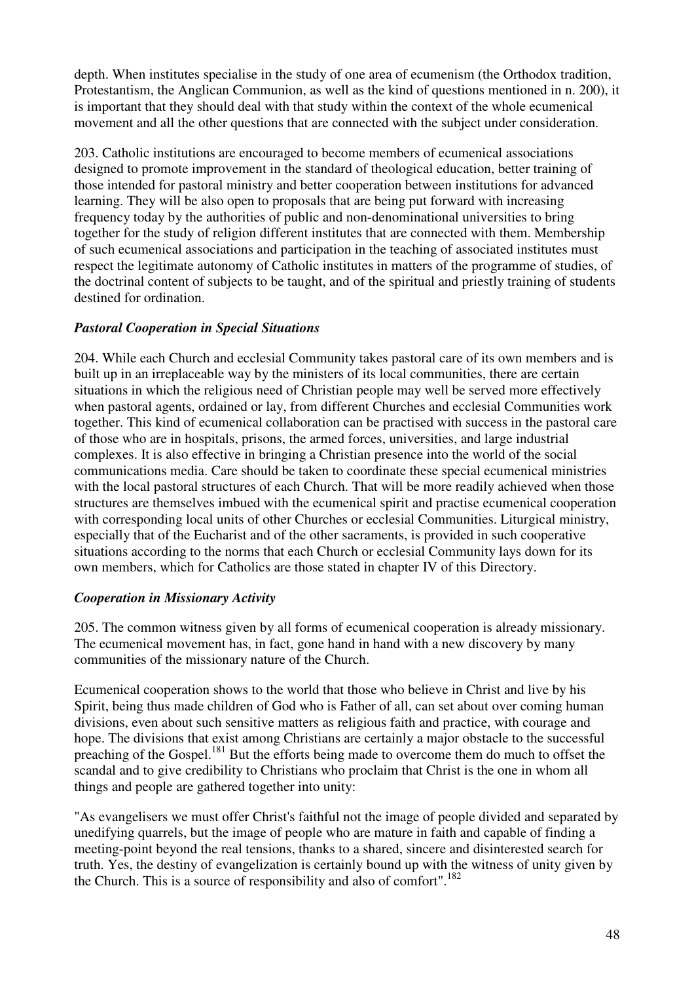depth. When institutes specialise in the study of one area of ecumenism (the Orthodox tradition, Protestantism, the Anglican Communion, as well as the kind of questions mentioned in n. 200), it is important that they should deal with that study within the context of the whole ecumenical movement and all the other questions that are connected with the subject under consideration.

203. Catholic institutions are encouraged to become members of ecumenical associations designed to promote improvement in the standard of theological education, better training of those intended for pastoral ministry and better cooperation between institutions for advanced learning. They will be also open to proposals that are being put forward with increasing frequency today by the authorities of public and non-denominational universities to bring together for the study of religion different institutes that are connected with them. Membership of such ecumenical associations and participation in the teaching of associated institutes must respect the legitimate autonomy of Catholic institutes in matters of the programme of studies, of the doctrinal content of subjects to be taught, and of the spiritual and priestly training of students destined for ordination.

# *Pastoral Cooperation in Special Situations*

204. While each Church and ecclesial Community takes pastoral care of its own members and is built up in an irreplaceable way by the ministers of its local communities, there are certain situations in which the religious need of Christian people may well be served more effectively when pastoral agents, ordained or lay, from different Churches and ecclesial Communities work together. This kind of ecumenical collaboration can be practised with success in the pastoral care of those who are in hospitals, prisons, the armed forces, universities, and large industrial complexes. It is also effective in bringing a Christian presence into the world of the social communications media. Care should be taken to coordinate these special ecumenical ministries with the local pastoral structures of each Church. That will be more readily achieved when those structures are themselves imbued with the ecumenical spirit and practise ecumenical cooperation with corresponding local units of other Churches or ecclesial Communities. Liturgical ministry, especially that of the Eucharist and of the other sacraments, is provided in such cooperative situations according to the norms that each Church or ecclesial Community lays down for its own members, which for Catholics are those stated in chapter IV of this Directory.

## *Cooperation in Missionary Activity*

205. The common witness given by all forms of ecumenical cooperation is already missionary. The ecumenical movement has, in fact, gone hand in hand with a new discovery by many communities of the missionary nature of the Church.

Ecumenical cooperation shows to the world that those who believe in Christ and live by his Spirit, being thus made children of God who is Father of all, can set about over coming human divisions, even about such sensitive matters as religious faith and practice, with courage and hope. The divisions that exist among Christians are certainly a major obstacle to the successful preaching of the Gospel.<sup>181</sup> But the efforts being made to overcome them do much to offset the scandal and to give credibility to Christians who proclaim that Christ is the one in whom all things and people are gathered together into unity:

"As evangelisers we must offer Christ's faithful not the image of people divided and separated by unedifying quarrels, but the image of people who are mature in faith and capable of finding a meeting-point beyond the real tensions, thanks to a shared, sincere and disinterested search for truth. Yes, the destiny of evangelization is certainly bound up with the witness of unity given by the Church. This is a source of responsibility and also of comfort".<sup>182</sup>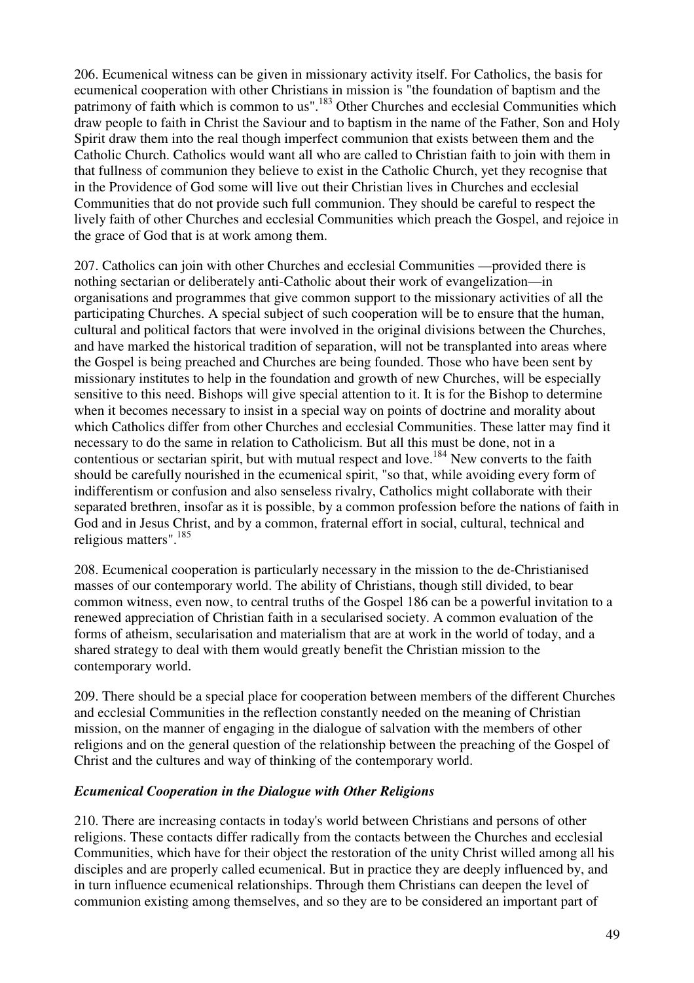206. Ecumenical witness can be given in missionary activity itself. For Catholics, the basis for ecumenical cooperation with other Christians in mission is "the foundation of baptism and the patrimony of faith which is common to us".<sup>183</sup> Other Churches and ecclesial Communities which draw people to faith in Christ the Saviour and to baptism in the name of the Father, Son and Holy Spirit draw them into the real though imperfect communion that exists between them and the Catholic Church. Catholics would want all who are called to Christian faith to join with them in that fullness of communion they believe to exist in the Catholic Church, yet they recognise that in the Providence of God some will live out their Christian lives in Churches and ecclesial Communities that do not provide such full communion. They should be careful to respect the lively faith of other Churches and ecclesial Communities which preach the Gospel, and rejoice in the grace of God that is at work among them.

207. Catholics can join with other Churches and ecclesial Communities —provided there is nothing sectarian or deliberately anti-Catholic about their work of evangelization—in organisations and programmes that give common support to the missionary activities of all the participating Churches. A special subject of such cooperation will be to ensure that the human, cultural and political factors that were involved in the original divisions between the Churches, and have marked the historical tradition of separation, will not be transplanted into areas where the Gospel is being preached and Churches are being founded. Those who have been sent by missionary institutes to help in the foundation and growth of new Churches, will be especially sensitive to this need. Bishops will give special attention to it. It is for the Bishop to determine when it becomes necessary to insist in a special way on points of doctrine and morality about which Catholics differ from other Churches and ecclesial Communities. These latter may find it necessary to do the same in relation to Catholicism. But all this must be done, not in a contentious or sectarian spirit, but with mutual respect and love.<sup>184</sup> New converts to the faith should be carefully nourished in the ecumenical spirit, "so that, while avoiding every form of indifferentism or confusion and also senseless rivalry, Catholics might collaborate with their separated brethren, insofar as it is possible, by a common profession before the nations of faith in God and in Jesus Christ, and by a common, fraternal effort in social, cultural, technical and religious matters".<sup>185</sup>

208. Ecumenical cooperation is particularly necessary in the mission to the de-Christianised masses of our contemporary world. The ability of Christians, though still divided, to bear common witness, even now, to central truths of the Gospel 186 can be a powerful invitation to a renewed appreciation of Christian faith in a secularised society. A common evaluation of the forms of atheism, secularisation and materialism that are at work in the world of today, and a shared strategy to deal with them would greatly benefit the Christian mission to the contemporary world.

209. There should be a special place for cooperation between members of the different Churches and ecclesial Communities in the reflection constantly needed on the meaning of Christian mission, on the manner of engaging in the dialogue of salvation with the members of other religions and on the general question of the relationship between the preaching of the Gospel of Christ and the cultures and way of thinking of the contemporary world.

## *Ecumenical Cooperation in the Dialogue with Other Religions*

210. There are increasing contacts in today's world between Christians and persons of other religions. These contacts differ radically from the contacts between the Churches and ecclesial Communities, which have for their object the restoration of the unity Christ willed among all his disciples and are properly called ecumenical. But in practice they are deeply influenced by, and in turn influence ecumenical relationships. Through them Christians can deepen the level of communion existing among themselves, and so they are to be considered an important part of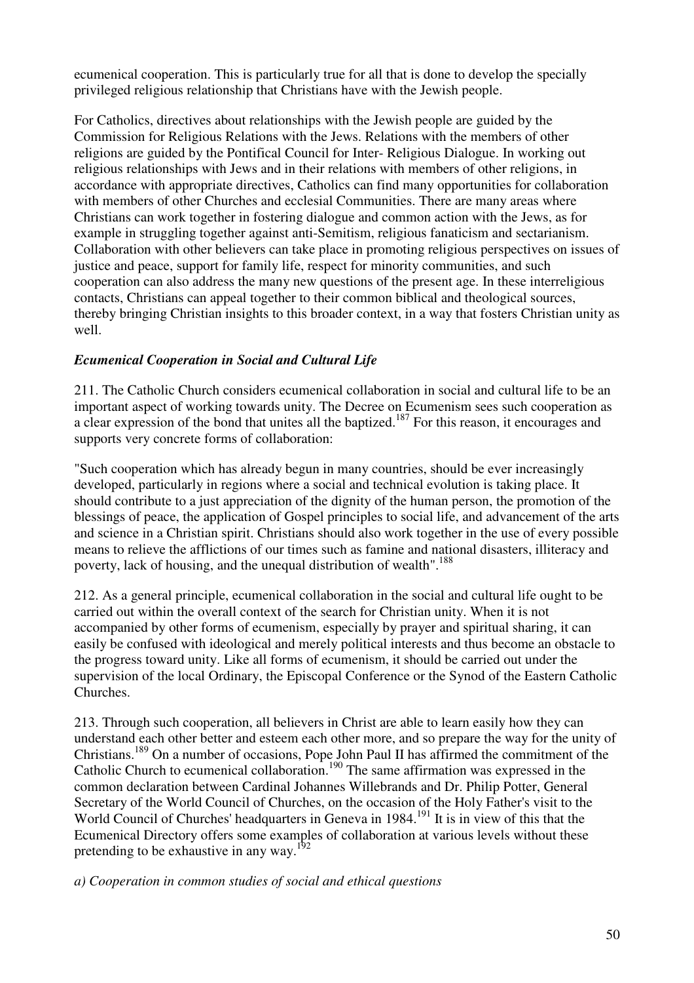ecumenical cooperation. This is particularly true for all that is done to develop the specially privileged religious relationship that Christians have with the Jewish people.

For Catholics, directives about relationships with the Jewish people are guided by the Commission for Religious Relations with the Jews. Relations with the members of other religions are guided by the Pontifical Council for Inter- Religious Dialogue. In working out religious relationships with Jews and in their relations with members of other religions, in accordance with appropriate directives, Catholics can find many opportunities for collaboration with members of other Churches and ecclesial Communities. There are many areas where Christians can work together in fostering dialogue and common action with the Jews, as for example in struggling together against anti-Semitism, religious fanaticism and sectarianism. Collaboration with other believers can take place in promoting religious perspectives on issues of justice and peace, support for family life, respect for minority communities, and such cooperation can also address the many new questions of the present age. In these interreligious contacts, Christians can appeal together to their common biblical and theological sources, thereby bringing Christian insights to this broader context, in a way that fosters Christian unity as well.

## *Ecumenical Cooperation in Social and Cultural Life*

211. The Catholic Church considers ecumenical collaboration in social and cultural life to be an important aspect of working towards unity. The Decree on Ecumenism sees such cooperation as a clear expression of the bond that unites all the baptized.<sup>187</sup> For this reason, it encourages and supports very concrete forms of collaboration:

"Such cooperation which has already begun in many countries, should be ever increasingly developed, particularly in regions where a social and technical evolution is taking place. It should contribute to a just appreciation of the dignity of the human person, the promotion of the blessings of peace, the application of Gospel principles to social life, and advancement of the arts and science in a Christian spirit. Christians should also work together in the use of every possible means to relieve the afflictions of our times such as famine and national disasters, illiteracy and poverty, lack of housing, and the unequal distribution of wealth".<sup>188</sup>

212. As a general principle, ecumenical collaboration in the social and cultural life ought to be carried out within the overall context of the search for Christian unity. When it is not accompanied by other forms of ecumenism, especially by prayer and spiritual sharing, it can easily be confused with ideological and merely political interests and thus become an obstacle to the progress toward unity. Like all forms of ecumenism, it should be carried out under the supervision of the local Ordinary, the Episcopal Conference or the Synod of the Eastern Catholic Churches.

213. Through such cooperation, all believers in Christ are able to learn easily how they can understand each other better and esteem each other more, and so prepare the way for the unity of Christians.<sup>189</sup> On a number of occasions, Pope John Paul II has affirmed the commitment of the Catholic Church to ecumenical collaboration.<sup>190</sup> The same affirmation was expressed in the common declaration between Cardinal Johannes Willebrands and Dr. Philip Potter, General Secretary of the World Council of Churches, on the occasion of the Holy Father's visit to the World Council of Churches' headquarters in Geneva in 1984.<sup>191</sup> It is in view of this that the Ecumenical Directory offers some examples of collaboration at various levels without these pretending to be exhaustive in any way.<sup>192</sup>

#### *a) Cooperation in common studies of social and ethical questions*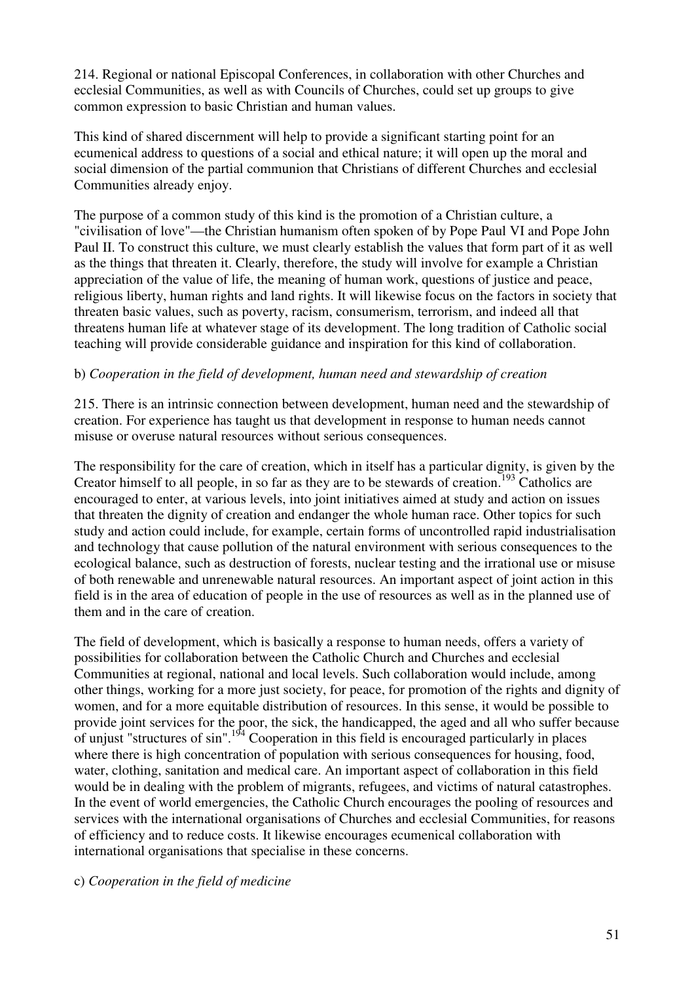214. Regional or national Episcopal Conferences, in collaboration with other Churches and ecclesial Communities, as well as with Councils of Churches, could set up groups to give common expression to basic Christian and human values.

This kind of shared discernment will help to provide a significant starting point for an ecumenical address to questions of a social and ethical nature; it will open up the moral and social dimension of the partial communion that Christians of different Churches and ecclesial Communities already enjoy.

The purpose of a common study of this kind is the promotion of a Christian culture, a "civilisation of love"—the Christian humanism often spoken of by Pope Paul VI and Pope John Paul II. To construct this culture, we must clearly establish the values that form part of it as well as the things that threaten it. Clearly, therefore, the study will involve for example a Christian appreciation of the value of life, the meaning of human work, questions of justice and peace, religious liberty, human rights and land rights. It will likewise focus on the factors in society that threaten basic values, such as poverty, racism, consumerism, terrorism, and indeed all that threatens human life at whatever stage of its development. The long tradition of Catholic social teaching will provide considerable guidance and inspiration for this kind of collaboration.

#### b) *Cooperation in the field of development, human need and stewardship of creation*

215. There is an intrinsic connection between development, human need and the stewardship of creation. For experience has taught us that development in response to human needs cannot misuse or overuse natural resources without serious consequences.

The responsibility for the care of creation, which in itself has a particular dignity, is given by the Creator himself to all people, in so far as they are to be stewards of creation.<sup>193</sup> Catholics are encouraged to enter, at various levels, into joint initiatives aimed at study and action on issues that threaten the dignity of creation and endanger the whole human race. Other topics for such study and action could include, for example, certain forms of uncontrolled rapid industrialisation and technology that cause pollution of the natural environment with serious consequences to the ecological balance, such as destruction of forests, nuclear testing and the irrational use or misuse of both renewable and unrenewable natural resources. An important aspect of joint action in this field is in the area of education of people in the use of resources as well as in the planned use of them and in the care of creation.

The field of development, which is basically a response to human needs, offers a variety of possibilities for collaboration between the Catholic Church and Churches and ecclesial Communities at regional, national and local levels. Such collaboration would include, among other things, working for a more just society, for peace, for promotion of the rights and dignity of women, and for a more equitable distribution of resources. In this sense, it would be possible to provide joint services for the poor, the sick, the handicapped, the aged and all who suffer because of unjust "structures of sin".<sup>194</sup> Cooperation in this field is encouraged particularly in places where there is high concentration of population with serious consequences for housing, food, water, clothing, sanitation and medical care. An important aspect of collaboration in this field would be in dealing with the problem of migrants, refugees, and victims of natural catastrophes. In the event of world emergencies, the Catholic Church encourages the pooling of resources and services with the international organisations of Churches and ecclesial Communities, for reasons of efficiency and to reduce costs. It likewise encourages ecumenical collaboration with international organisations that specialise in these concerns.

#### c) *Cooperation in the field of medicine*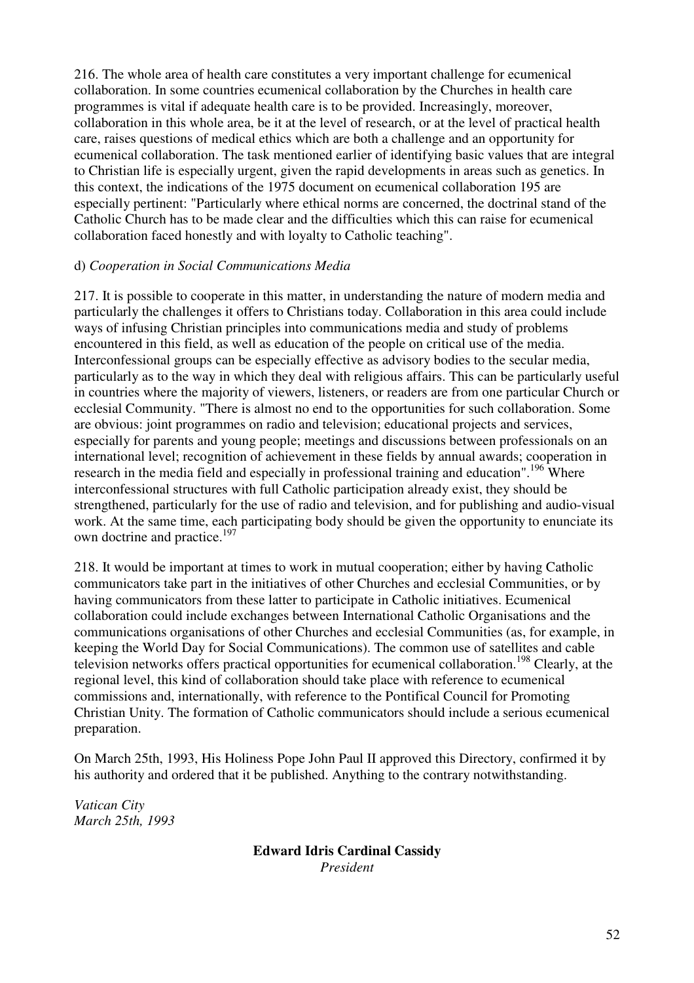216. The whole area of health care constitutes a very important challenge for ecumenical collaboration. In some countries ecumenical collaboration by the Churches in health care programmes is vital if adequate health care is to be provided. Increasingly, moreover, collaboration in this whole area, be it at the level of research, or at the level of practical health care, raises questions of medical ethics which are both a challenge and an opportunity for ecumenical collaboration. The task mentioned earlier of identifying basic values that are integral to Christian life is especially urgent, given the rapid developments in areas such as genetics. In this context, the indications of the 1975 document on ecumenical collaboration 195 are especially pertinent: "Particularly where ethical norms are concerned, the doctrinal stand of the Catholic Church has to be made clear and the difficulties which this can raise for ecumenical collaboration faced honestly and with loyalty to Catholic teaching".

#### d) *Cooperation in Social Communications Media*

217. It is possible to cooperate in this matter, in understanding the nature of modern media and particularly the challenges it offers to Christians today. Collaboration in this area could include ways of infusing Christian principles into communications media and study of problems encountered in this field, as well as education of the people on critical use of the media. Interconfessional groups can be especially effective as advisory bodies to the secular media, particularly as to the way in which they deal with religious affairs. This can be particularly useful in countries where the majority of viewers, listeners, or readers are from one particular Church or ecclesial Community. "There is almost no end to the opportunities for such collaboration. Some are obvious: joint programmes on radio and television; educational projects and services, especially for parents and young people; meetings and discussions between professionals on an international level; recognition of achievement in these fields by annual awards; cooperation in research in the media field and especially in professional training and education".<sup>196</sup> Where interconfessional structures with full Catholic participation already exist, they should be strengthened, particularly for the use of radio and television, and for publishing and audio-visual work. At the same time, each participating body should be given the opportunity to enunciate its own doctrine and practice.<sup>197</sup>

218. It would be important at times to work in mutual cooperation; either by having Catholic communicators take part in the initiatives of other Churches and ecclesial Communities, or by having communicators from these latter to participate in Catholic initiatives. Ecumenical collaboration could include exchanges between International Catholic Organisations and the communications organisations of other Churches and ecclesial Communities (as, for example, in keeping the World Day for Social Communications). The common use of satellites and cable television networks offers practical opportunities for ecumenical collaboration.<sup>198</sup> Clearly, at the regional level, this kind of collaboration should take place with reference to ecumenical commissions and, internationally, with reference to the Pontifical Council for Promoting Christian Unity. The formation of Catholic communicators should include a serious ecumenical preparation.

On March 25th, 1993, His Holiness Pope John Paul II approved this Directory, confirmed it by his authority and ordered that it be published. Anything to the contrary notwithstanding.

*Vatican City March 25th, 1993* 

#### **Edward Idris Cardinal Cassidy** *President*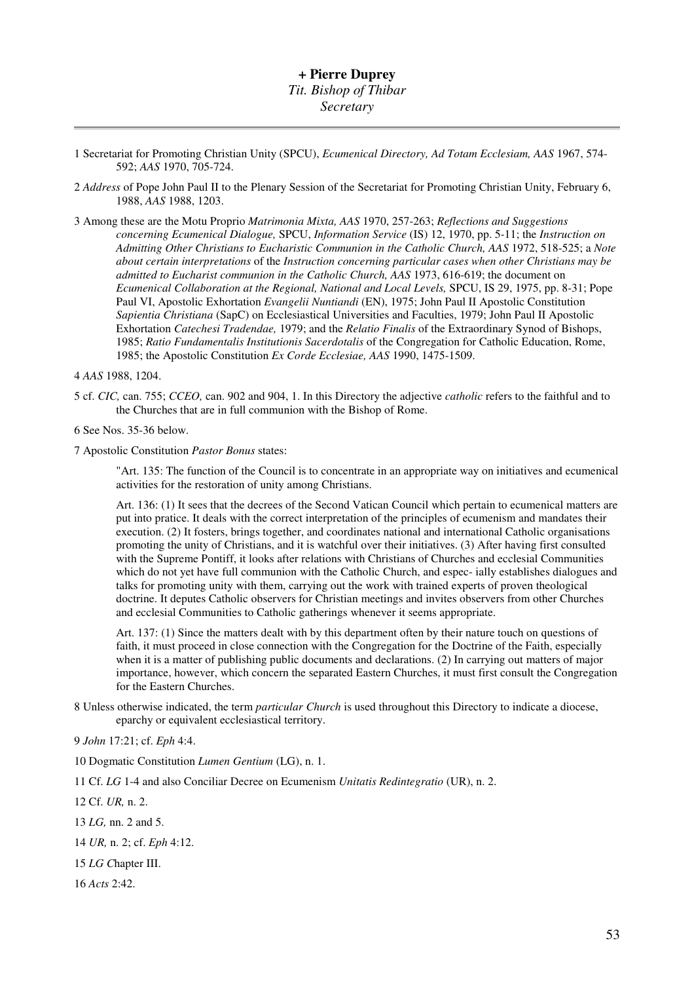- 1 Secretariat for Promoting Christian Unity (SPCU), *Ecumenical Directory, Ad Totam Ecclesiam, AAS* 1967, 574- 592; *AAS* 1970, 705-724.
- 2 *Address* of Pope John Paul II to the Plenary Session of the Secretariat for Promoting Christian Unity, February 6, 1988, *AAS* 1988, 1203.
- 3 Among these are the Motu Proprio *Matrimonia Mixta, AAS* 1970, 257-263; *Reflections and Suggestions concerning Ecumenical Dialogue,* SPCU, *Information Service* (IS) 12, 1970, pp. 5-11; the *Instruction on Admitting Other Christians to Eucharistic Communion in the Catholic Church, AAS* 1972, 518-525; a *Note about certain interpretations* of the *Instruction concerning particular cases when other Christians may be admitted to Eucharist communion in the Catholic Church, AAS* 1973, 616-619; the document on *Ecumenical Collaboration at the Regional, National and Local Levels,* SPCU, IS 29, 1975, pp. 8-31; Pope Paul VI, Apostolic Exhortation *Evangelii Nuntiandi* (EN), 1975; John Paul II Apostolic Constitution *Sapientia Christiana* (SapC) on Ecclesiastical Universities and Faculties, 1979; John Paul II Apostolic Exhortation *Catechesi Tradendae,* 1979; and the *Relatio Finalis* of the Extraordinary Synod of Bishops, 1985; *Ratio Fundamentalis Institutionis Sacerdotalis* of the Congregation for Catholic Education, Rome, 1985; the Apostolic Constitution *Ex Corde Ecclesiae, AAS* 1990, 1475-1509.

4 *AAS* 1988, 1204.

5 cf. *CIC,* can. 755; *CCEO,* can. 902 and 904, 1. In this Directory the adjective *catholic* refers to the faithful and to the Churches that are in full communion with the Bishop of Rome.

6 See Nos. 35-36 below.

7 Apostolic Constitution *Pastor Bonus* states:

"Art. 135: The function of the Council is to concentrate in an appropriate way on initiatives and ecumenical activities for the restoration of unity among Christians.

Art. 136: (1) It sees that the decrees of the Second Vatican Council which pertain to ecumenical matters are put into pratice. It deals with the correct interpretation of the principles of ecumenism and mandates their execution. (2) It fosters, brings together, and coordinates national and international Catholic organisations promoting the unity of Christians, and it is watchful over their initiatives. (3) After having first consulted with the Supreme Pontiff, it looks after relations with Christians of Churches and ecclesial Communities which do not yet have full communion with the Catholic Church, and espec- ially establishes dialogues and talks for promoting unity with them, carrying out the work with trained experts of proven theological doctrine. It deputes Catholic observers for Christian meetings and invites observers from other Churches and ecclesial Communities to Catholic gatherings whenever it seems appropriate.

Art. 137: (1) Since the matters dealt with by this department often by their nature touch on questions of faith, it must proceed in close connection with the Congregation for the Doctrine of the Faith, especially when it is a matter of publishing public documents and declarations. (2) In carrying out matters of major importance, however, which concern the separated Eastern Churches, it must first consult the Congregation for the Eastern Churches.

8 Unless otherwise indicated, the term *particular Church* is used throughout this Directory to indicate a diocese, eparchy or equivalent ecclesiastical territory.

9 *John* 17:21; cf. *Eph* 4:4.

10 Dogmatic Constitution *Lumen Gentium* (LG), n. 1.

11 Cf. *LG* 1-4 and also Conciliar Decree on Ecumenism *Unitatis Redintegratio* (UR), n. 2.

12 Cf. *UR,* n. 2.

- 13 *LG,* nn. 2 and 5.
- 14 *UR,* n. 2; cf. *Eph* 4:12.
- 15 *LG C*hapter III.

16 *Acts* 2:42.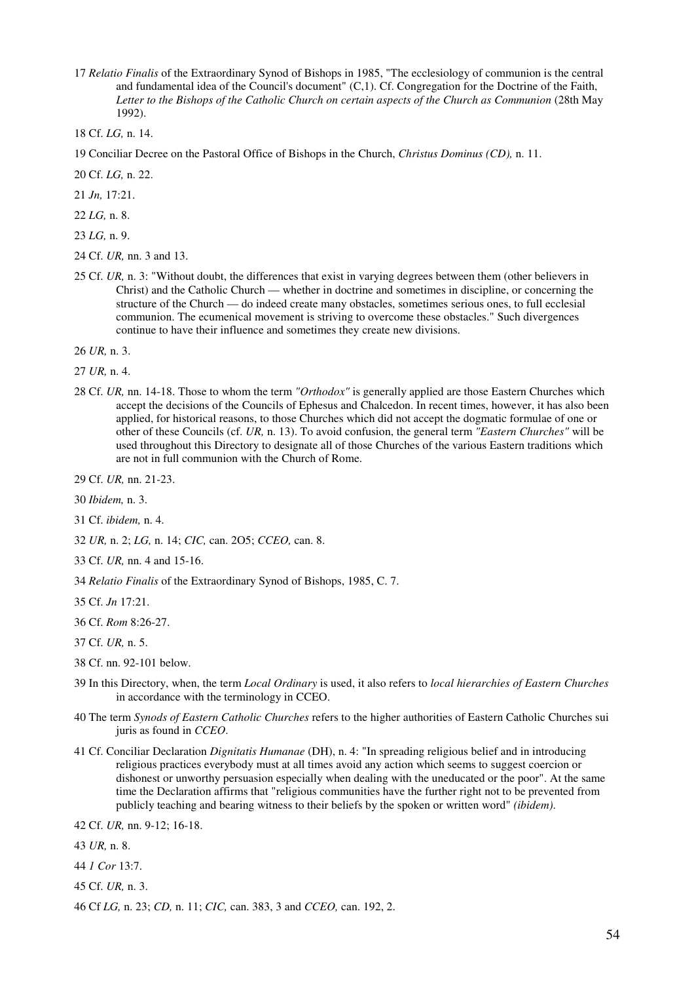17 *Relatio Finalis* of the Extraordinary Synod of Bishops in 1985, "The ecclesiology of communion is the central and fundamental idea of the Council's document" (C,1). Cf. Congregation for the Doctrine of the Faith, Letter to the Bishops of the Catholic Church on certain aspects of the Church as Communion (28th May 1992).

19 Conciliar Decree on the Pastoral Office of Bishops in the Church, *Christus Dominus (CD),* n. 11.

20 Cf. *LG,* n. 22.

21 *Jn,* 17:21.

22 *LG,* n. 8.

23 *LG,* n. 9.

24 Cf. *UR,* nn. 3 and 13.

25 Cf. *UR,* n. 3: "Without doubt, the differences that exist in varying degrees between them (other believers in Christ) and the Catholic Church — whether in doctrine and sometimes in discipline, or concerning the structure of the Church — do indeed create many obstacles, sometimes serious ones, to full ecclesial communion. The ecumenical movement is striving to overcome these obstacles." Such divergences continue to have their influence and sometimes they create new divisions.

26 *UR,* n. 3.

27 *UR,* n. 4.

28 Cf. *UR,* nn. 14-18. Those to whom the term *"Orthodox"* is generally applied are those Eastern Churches which accept the decisions of the Councils of Ephesus and Chalcedon. In recent times, however, it has also been applied, for historical reasons, to those Churches which did not accept the dogmatic formulae of one or other of these Councils (cf. *UR,* n. 13). To avoid confusion, the general term *"Eastern Churches"* will be used throughout this Directory to designate all of those Churches of the various Eastern traditions which are not in full communion with the Church of Rome.

29 Cf. *UR,* nn. 21-23.

30 *Ibidem,* n. 3.

31 Cf. *ibidem,* n. 4.

32 *UR,* n. 2; *LG,* n. 14; *CIC,* can. 2O5; *CCEO,* can. 8.

33 Cf. *UR,* nn. 4 and 15-16.

34 *Relatio Finalis* of the Extraordinary Synod of Bishops, 1985, C. 7.

35 Cf. *Jn* 17:21.

36 Cf. *Rom* 8:26-27.

37 Cf. *UR,* n. 5.

- 38 Cf. nn. 92-101 below.
- 39 In this Directory, when, the term *Local Ordinary* is used, it also refers to *local hierarchies of Eastern Churches*  in accordance with the terminology in CCEO.
- 40 The term *Synods of Eastern Catholic Churches* refers to the higher authorities of Eastern Catholic Churches sui juris as found in *CCEO*.
- 41 Cf. Conciliar Declaration *Dignitatis Humanae* (DH), n. 4: "In spreading religious belief and in introducing religious practices everybody must at all times avoid any action which seems to suggest coercion or dishonest or unworthy persuasion especially when dealing with the uneducated or the poor". At the same time the Declaration affirms that "religious communities have the further right not to be prevented from publicly teaching and bearing witness to their beliefs by the spoken or written word" *(ibidem)*.

42 Cf. *UR,* nn. 9-12; 16-18.

43 *UR,* n. 8.

44 *1 Cor* 13:7.

45 Cf. *UR,* n. 3.

46 Cf *LG,* n. 23; *CD,* n. 11; *CIC,* can. 383, 3 and *CCEO,* can. 192, 2.

<sup>18</sup> Cf. *LG,* n. 14.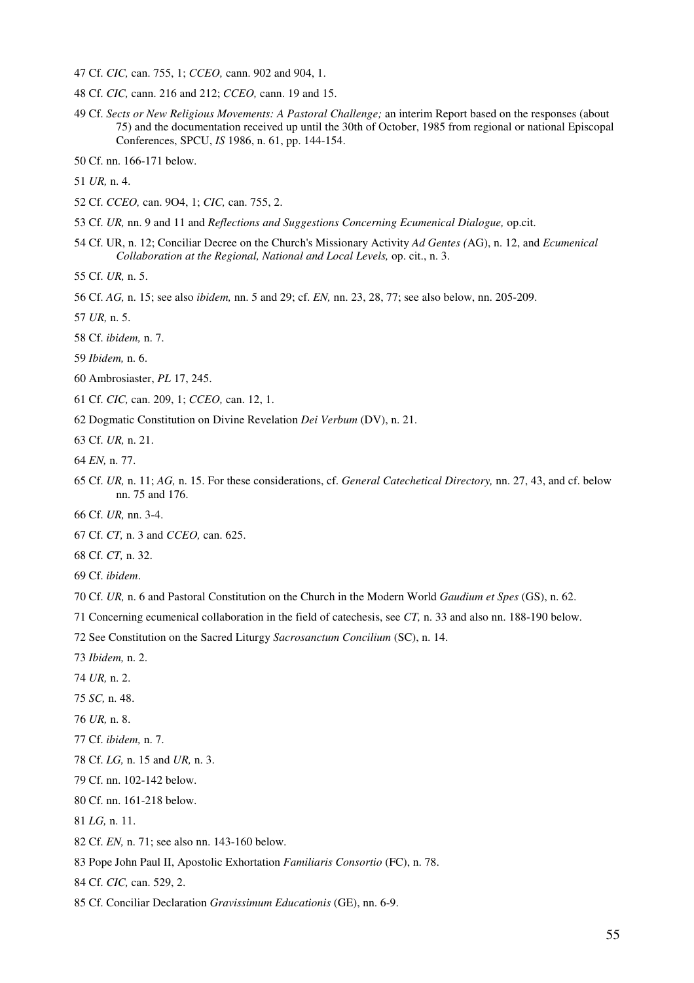- 47 Cf. *CIC,* can. 755, 1; *CCEO,* cann. 902 and 904, 1.
- 48 Cf. *CIC,* cann. 216 and 212; *CCEO,* cann. 19 and 15.
- 49 Cf. *Sects or New Religious Movements: A Pastoral Challenge;* an interim Report based on the responses (about 75) and the documentation received up until the 30th of October, 1985 from regional or national Episcopal Conferences, SPCU, *IS* 1986, n. 61, pp. 144-154.
- 50 Cf. nn. 166-171 below.
- 51 *UR,* n. 4.
- 52 Cf. *CCEO,* can. 9O4, 1; *CIC,* can. 755, 2.
- 53 Cf. *UR,* nn. 9 and 11 and *Reflections and Suggestions Concerning Ecumenical Dialogue,* op.cit.
- 54 Cf. UR, n. 12; Conciliar Decree on the Church's Missionary Activity *Ad Gentes (*AG), n. 12, and *Ecumenical Collaboration at the Regional, National and Local Levels,* op. cit., n. 3.
- 55 Cf. *UR,* n. 5.
- 56 Cf. *AG,* n. 15; see also *ibidem,* nn. 5 and 29; cf. *EN,* nn. 23, 28, 77; see also below, nn. 205-209.
- 57 *UR,* n. 5.
- 58 Cf. *ibidem,* n. 7.
- 59 *Ibidem,* n. 6.
- 60 Ambrosiaster, *PL* 17, 245.
- 61 Cf. *CIC,* can. 209, 1; *CCEO,* can. 12, 1.
- 62 Dogmatic Constitution on Divine Revelation *Dei Verbum* (DV), n. 21.
- 63 Cf. *UR,* n. 21.
- 64 *EN,* n. 77.
- 65 Cf. *UR,* n. 11; *AG,* n. 15. For these considerations, cf. *General Catechetical Directory,* nn. 27, 43, and cf. below nn. 75 and 176.
- 66 Cf. *UR,* nn. 3-4.
- 67 Cf. *CT,* n. 3 and *CCEO,* can. 625.
- 68 Cf. *CT,* n. 32.
- 69 Cf. *ibidem*.
- 70 Cf. *UR,* n. 6 and Pastoral Constitution on the Church in the Modern World *Gaudium et Spes* (GS), n. 62.
- 71 Concerning ecumenical collaboration in the field of catechesis, see *CT,* n. 33 and also nn. 188-190 below.
- 72 See Constitution on the Sacred Liturgy *Sacrosanctum Concilium* (SC), n. 14.
- 73 *Ibidem,* n. 2.
- 74 *UR,* n. 2.
- 75 *SC,* n. 48.
- 76 *UR,* n. 8.

77 Cf. *ibidem,* n. 7.

78 Cf. *LG,* n. 15 and *UR,* n. 3.

- 79 Cf. nn. 102-142 below.
- 80 Cf. nn. 161-218 below.

81 *LG,* n. 11.

82 Cf. *EN,* n. 71; see also nn. 143-160 below.

- 83 Pope John Paul II, Apostolic Exhortation *Familiaris Consortio* (FC), n. 78.
- 84 Cf. *CIC,* can. 529, 2.
- 85 Cf. Conciliar Declaration *Gravissimum Educationis* (GE), nn. 6-9.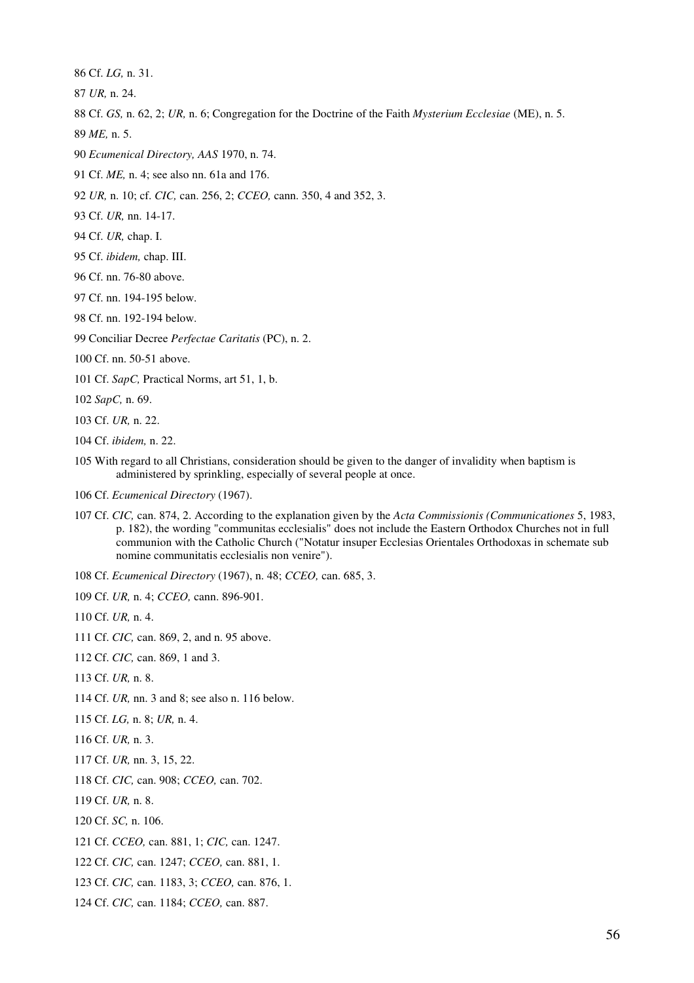86 Cf. *LG,* n. 31.

87 *UR,* n. 24.

88 Cf. *GS,* n. 62, 2; *UR,* n. 6; Congregation for the Doctrine of the Faith *Mysterium Ecclesiae* (ME), n. 5.

89 *ME,* n. 5.

90 *Ecumenical Directory, AAS* 1970, n. 74.

91 Cf. *ME,* n. 4; see also nn. 61a and 176.

92 *UR,* n. 10; cf. *CIC,* can. 256, 2; *CCEO,* cann. 350, 4 and 352, 3.

93 Cf. *UR,* nn. 14-17.

94 Cf. *UR,* chap. I.

95 Cf. *ibidem,* chap. III.

96 Cf. nn. 76-80 above.

97 Cf. nn. 194-195 below.

98 Cf. nn. 192-194 below.

99 Conciliar Decree *Perfectae Caritatis* (PC), n. 2.

100 Cf. nn. 50-51 above.

101 Cf. *SapC,* Practical Norms, art 51, 1, b.

102 *SapC,* n. 69.

103 Cf. *UR,* n. 22.

104 Cf. *ibidem,* n. 22.

- 105 With regard to all Christians, consideration should be given to the danger of invalidity when baptism is administered by sprinkling, especially of several people at once.
- 106 Cf. *Ecumenical Directory* (1967).
- 107 Cf. *CIC,* can. 874, 2. According to the explanation given by the *Acta Commissionis (Communicationes* 5, 1983, p. 182), the wording "communitas ecclesialis" does not include the Eastern Orthodox Churches not in full communion with the Catholic Church ("Notatur insuper Ecclesias Orientales Orthodoxas in schemate sub nomine communitatis ecclesialis non venire").

108 Cf. *Ecumenical Directory* (1967), n. 48; *CCEO,* can. 685, 3.

109 Cf. *UR,* n. 4; *CCEO,* cann. 896-901.

110 Cf. *UR,* n. 4.

111 Cf. *CIC,* can. 869, 2, and n. 95 above.

112 Cf. *CIC,* can. 869, 1 and 3.

113 Cf. *UR,* n. 8.

114 Cf. *UR,* nn. 3 and 8; see also n. 116 below.

115 Cf. *LG,* n. 8; *UR,* n. 4.

116 Cf. *UR,* n. 3.

117 Cf. *UR,* nn. 3, 15, 22.

118 Cf. *CIC,* can. 908; *CCEO,* can. 702.

119 Cf. *UR,* n. 8.

120 Cf. *SC,* n. 106.

121 Cf. *CCEO,* can. 881, 1; *CIC,* can. 1247.

122 Cf. *CIC,* can. 1247; *CCEO,* can. 881, 1.

123 Cf. *CIC,* can. 1183, 3; *CCEO,* can. 876, 1.

124 Cf. *CIC,* can. 1184; *CCEO,* can. 887.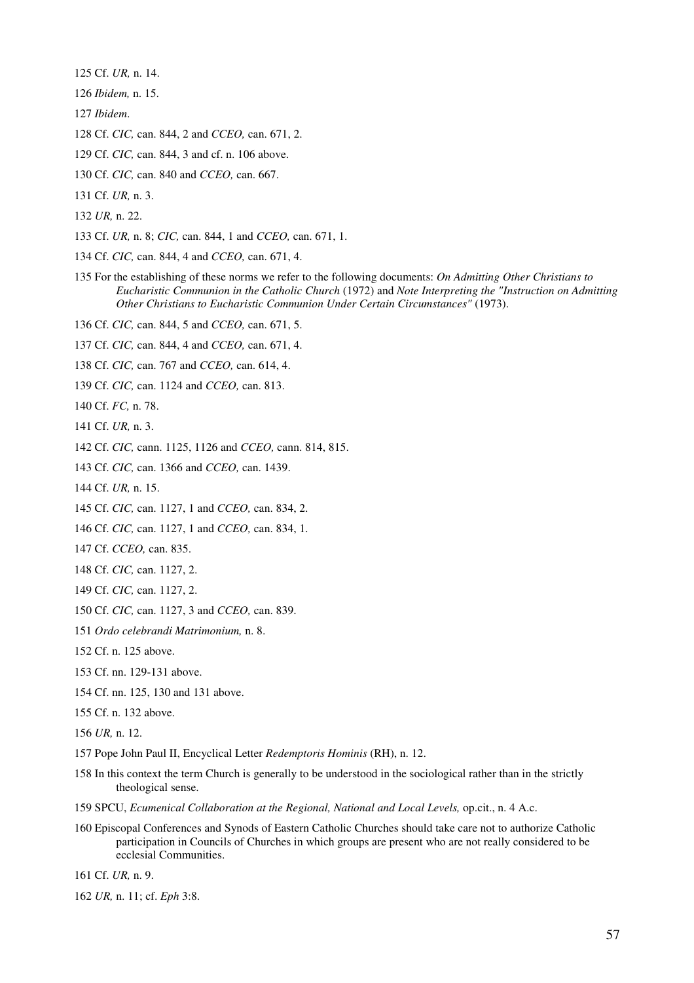125 Cf. *UR,* n. 14.

126 *Ibidem,* n. 15.

127 *Ibidem*.

128 Cf. *CIC,* can. 844, 2 and *CCEO,* can. 671, 2.

129 Cf. *CIC,* can. 844, 3 and cf. n. 106 above.

130 Cf. *CIC,* can. 840 and *CCEO,* can. 667.

131 Cf. *UR,* n. 3.

132 *UR,* n. 22.

133 Cf. *UR,* n. 8; *CIC,* can. 844, 1 and *CCEO,* can. 671, 1.

134 Cf. *CIC,* can. 844, 4 and *CCEO,* can. 671, 4.

135 For the establishing of these norms we refer to the following documents: *On Admitting Other Christians to Eucharistic Communion in the Catholic Church* (1972) and *Note Interpreting the "Instruction on Admitting Other Christians to Eucharistic Communion Under Certain Circumstances"* (1973).

136 Cf. *CIC,* can. 844, 5 and *CCEO,* can. 671, 5.

137 Cf. *CIC,* can. 844, 4 and *CCEO,* can. 671, 4.

138 Cf. *CIC,* can. 767 and *CCEO,* can. 614, 4.

139 Cf. *CIC,* can. 1124 and *CCEO,* can. 813.

140 Cf. *FC,* n. 78.

141 Cf. *UR,* n. 3.

142 Cf. *CIC,* cann. 1125, 1126 and *CCEO,* cann. 814, 815.

143 Cf. *CIC,* can. 1366 and *CCEO,* can. 1439.

144 Cf. *UR,* n. 15.

145 Cf. *CIC,* can. 1127, 1 and *CCEO,* can. 834, 2.

146 Cf. *CIC,* can. 1127, 1 and *CCEO,* can. 834, 1.

147 Cf. *CCEO,* can. 835.

- 148 Cf. *CIC,* can. 1127, 2.
- 149 Cf. *CIC,* can. 1127, 2.

150 Cf. *CIC,* can. 1127, 3 and *CCEO,* can. 839.

151 *Ordo celebrandi Matrimonium,* n. 8.

152 Cf. n. 125 above.

153 Cf. nn. 129-131 above.

154 Cf. nn. 125, 130 and 131 above.

155 Cf. n. 132 above.

156 *UR,* n. 12.

157 Pope John Paul II, Encyclical Letter *Redemptoris Hominis* (RH), n. 12.

- 158 In this context the term Church is generally to be understood in the sociological rather than in the strictly theological sense.
- 159 SPCU, *Ecumenical Collaboration at the Regional, National and Local Levels,* op.cit., n. 4 A.c.
- 160 Episcopal Conferences and Synods of Eastern Catholic Churches should take care not to authorize Catholic participation in Councils of Churches in which groups are present who are not really considered to be ecclesial Communities.

161 Cf. *UR,* n. 9.

162 *UR,* n. 11; cf. *Eph* 3:8.